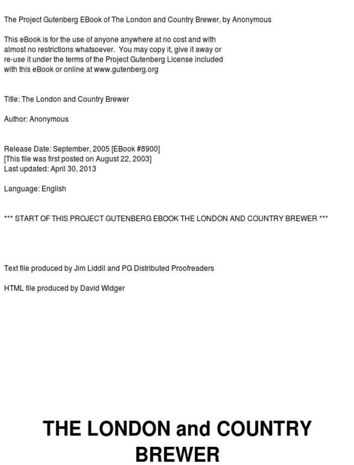The Project Gutenberg EBook of The London and Country Brewer, by Anonymous

This eBook is for the use of anyone anywhere at no cost and with almost no restrictions whatsoever. You may copy it, give it away or re-use it under the terms of the Project Gutenberg License included with this eBook or online at www.gutenberg.org

Title: The London and Country Brewer

Author: Anonymous

Release Date: September, 2005 [EBook #8900] [This file was first posted on August 22, 2003] Last updated: April 30, 2013

Language: English

\*\*\* START OF THIS PROJECT GUTENRERG FROOK THE LONDON AND COUNTRY RREWER \*\*\*

Text file produced by Jim Liddil and PG Distributed Proofreaders

HTML file produced by David Widger

### THE LONDON and COUNTRY **BREWER**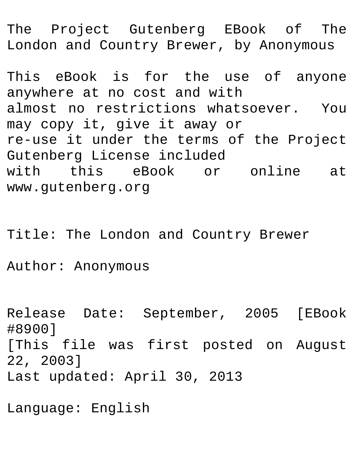The Project Gutenberg EBook of The London and Country Brewer, by Anonymous

This eBook is for the use of anyone anywhere at no cost and with almost no restrictions whatsoever. You may copy it, give it away or re-use it under the terms of the Project Gutenberg License included with this eBook or online at www.gutenberg.org

Title: The London and Country Brewer

Author: Anonymous

Release Date: September, 2005 [EBook #8900] IThis file was first posted on August 22, 2003] Last updated: April 30, 2013

Language: English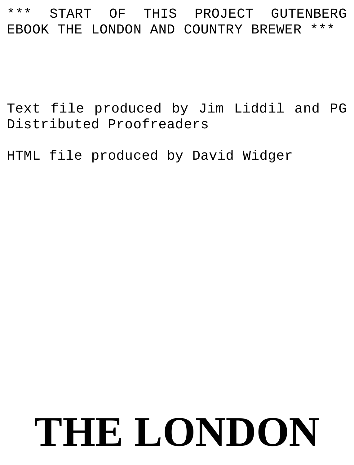#### \*\*\* START OF THIS PROJECT GUTENBERG EBOOK THE LONDON AND COUNTRY BREWER

Text file produced by Jim Liddil and PG Distributed Proofreaders

HTML file produced by David Widger

## **THE LONDON**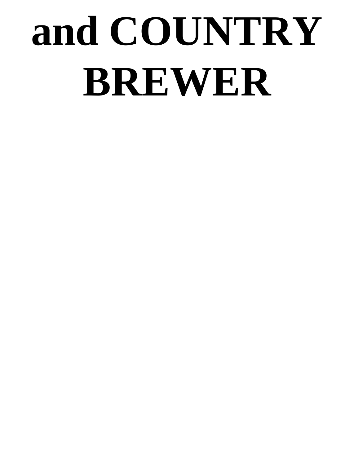# **and COUNTRY BREWER**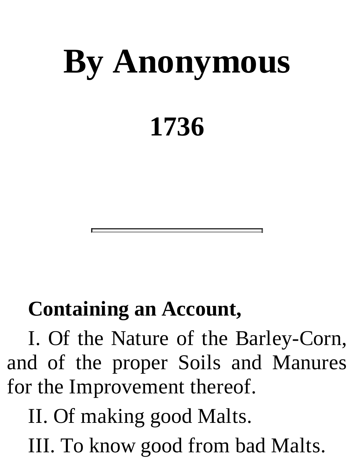# **By Anonymous 1736**

### **Containing an Account,**

I. Of the Nature of the Barley-Corn, and of the proper Soils and Manures for the Improvement thereof.

II. Of making good Malts. III. To know good from bad Malts.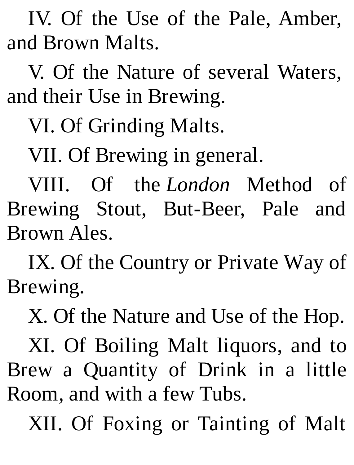IV. Of the Use of the Pale, Amber, and Brown Malts.

V. Of the Nature of several Waters, and their Use in Brewing.

VI. Of Grinding Malts.

VII. Of Brewing in general.

VIII. Of the *London* Method of Brewing Stout, But-Beer, Pale and Brown Ales.

IX. Of the Country or Private Way of Brewing.

X. Of the Nature and Use of the Hop.

XI. Of Boiling Malt liquors, and to Brew a Quantity of Drink in a little Room, and with a few Tubs.

XII. Of Foxing or Tainting of Malt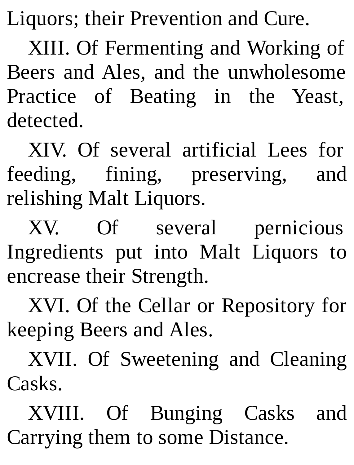Liquors; their Prevention and Cure.

XIII. Of Fermenting and Working of Beers and Ales, and the unwholesome Practice of Beating in the Yeast, detected.

XIV. Of several artificial Lees for feeding, fining, preserving, and relishing Malt Liquors.

XV. Of several pernicious Ingredients put into Malt Liquors to encrease their Strength.

XVI. Of the Cellar or Repository for keeping Beers and Ales.

XVII. Of Sweetening and Cleaning Casks.

XVIII. Of Bunging Casks and Carrying them to some Distance.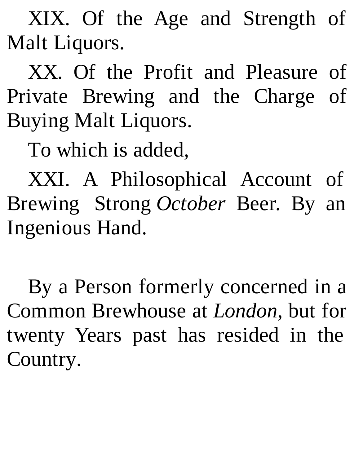XIX. Of the Age and Strength of Malt Liquors.

XX. Of the Profit and Pleasure of Private Brewing and the Charge of Buying Malt Liquors.

To which is added,

XXI. A Philosophical Account of Brewing Strong *October* Beer. By an Ingenious Hand.

By a Person formerly concerned in a Common Brewhouse at *London*, but for twenty Years past has resided in the Country.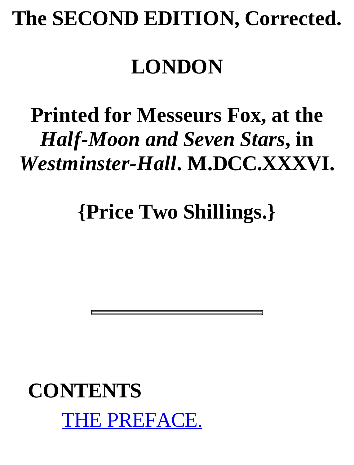**The SECOND EDITION, Corrected.**

**LONDON**

**Printed for Messeurs Fox, at the** *Half-Moon and Seven Stars***, in** *Westminster-Hall***. M.DCC.XXXVI.**

**{Price Two Shillings.}**

the contract of the contract of the contract of the contract of the contract of

**CONTENTS** THE PREFACE.

 $\blacksquare$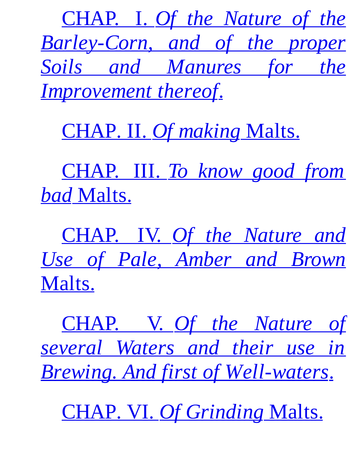CHAP. I. *Of the Nature of the Barley-Corn, and of the proper Soils and Manures for the Improvement thereof*.

CHAP. II. *Of making* Malts.

CHAP. III. *To know good from bad* Malts.

CHAP. IV. *Of the Nature and Use of Pale, Amber and Brown* Malts.

CHAP. V. *Of the Nature of several Waters and their use in Brewing. And first of Well-waters*.

CHAP. VI. *Of Grinding* Malts.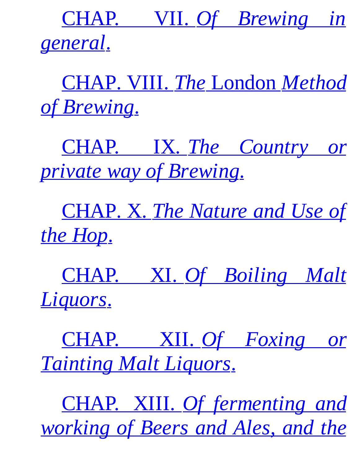CHAP. VII. *Of Brewing in general*.

CHAP. VIII. *The* London *Method of Brewing*.

CHAP. IX. *The Country or private way of Brewing*.

CHAP. X. *The Nature and Use of the Hop*.

CHAP. XI. *Of Boiling Malt Liquors*.

CHAP. XII. *Of Foxing or Tainting Malt Liquors*.

CHAP. XIII. *Of fermenting and working of Beers and Ales, and the*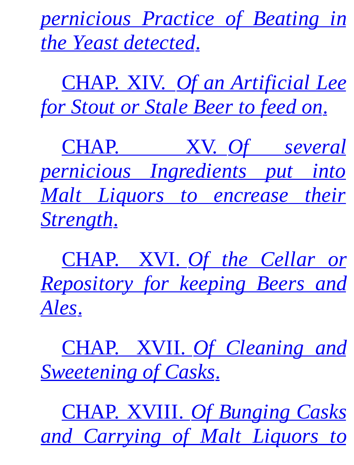*pernicious Practice of Beating in the Yeast detected*.

CHAP. XIV. *Of an Artificial Lee for Stout or Stale Beer to feed on*.

CHAP. XV. *Of several pernicious Ingredients put into Malt Liquors to encrease their Strength*.

CHAP. XVI. *Of the Cellar or Repository for keeping Beers and Ales*.

CHAP. XVII. *Of Cleaning and Sweetening of Casks*.

CHAP. XVIII. *Of Bunging Casks and Carrying of Malt Liquors to*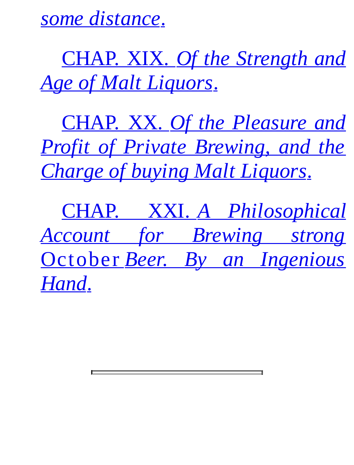*some distance*.

CHAP. XIX. *Of the Strength and Age of Malt Liquors*.

CHAP. XX. *Of the Pleasure and Profit of Private Brewing, and the Charge of buying Malt Liquors*.

CHAP. XXI. *A Philosophical Account for Brewing strong* October *Beer. By an Ingenious Hand*.

 $\overline{a}$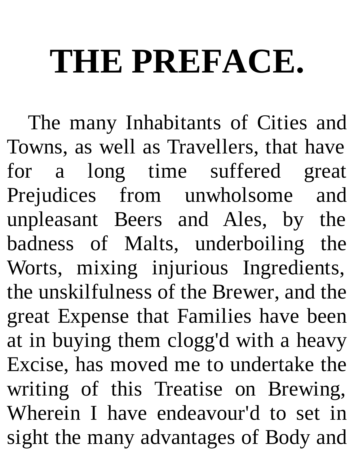### **THE PREFACE.**

The many Inhabitants of Cities and Towns, as well as Travellers, that have for a long time suffered great Prejudices from unwholsome and unpleasant Beers and Ales, by the badness of Malts, underboiling the Worts, mixing injurious Ingredients, the unskilfulness of the Brewer, and the great Expense that Families have been at in buying them clogg'd with a heavy Excise, has moved me to undertake the writing of this Treatise on Brewing, Wherein I have endeavour'd to set in sight the many advantages of Body and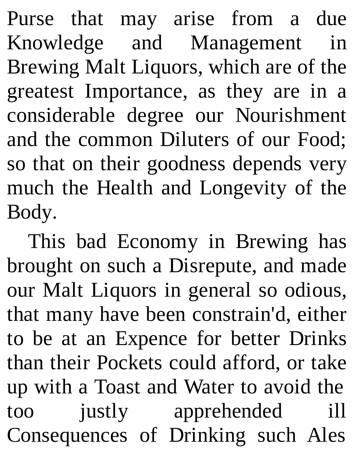Purse that may arise from a due Knowledge and Management in Brewing Malt Liquors, which are of the greatest Importance, as they are in a considerable degree our Nourishment and the common Diluters of our Food; so that on their goodness depends very much the Health and Longevity of the Body.

This bad Economy in Brewing has brought on such a Disrepute, and made our Malt Liquors in general so odious, that many have been constrain'd, either to be at an Expence for better Drinks than their Pockets could afford, or take up with a Toast and Water to avoid the too justly apprehended ill Consequences of Drinking such Ales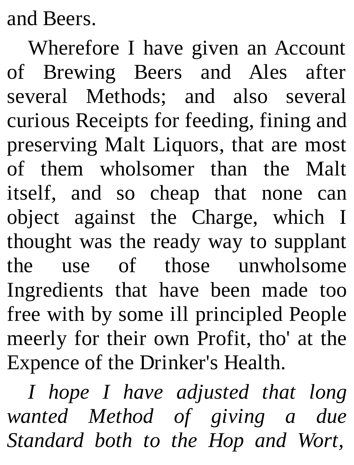and Beers.

Wherefore I have given an Account of Brewing Beers and Ales after several Methods; and also several curious Receipts for feeding, fining and preserving Malt Liquors, that are most of them wholsomer than the Malt itself, and so cheap that none can object against the Charge, which I thought was the ready way to supplant the use of those unwholsome Ingredients that have been made too free with by some ill principled People meerly for their own Profit, tho' at the Expence of the Drinker's Health.

*I hope I have adjusted that long wanted Method of giving a due Standard both to the Hop and Wort,*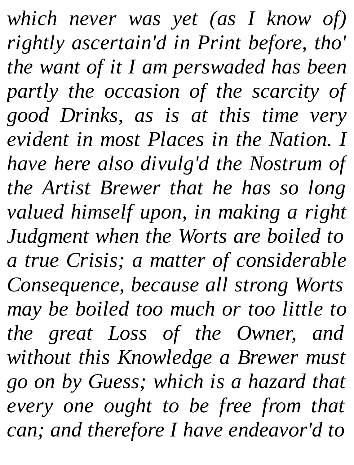*which never was yet (as I know of) rightly ascertain'd in Print before, tho' the want of it I am perswaded has been partly the occasion of the scarcity of good Drinks, as is at this time very evident in most Places in the Nation. I have here also divulg'd the Nostrum of the Artist Brewer that he has so long valued himself upon, in making a right Judgment when the Worts are boiled to a true Crisis; a matter of considerable Consequence, because all strong Worts may be boiled too much or too little to the great Loss of the Owner, and without this Knowledge a Brewer must go on by Guess; which is a hazard that every one ought to be free from that can; and therefore I have endeavor'd to*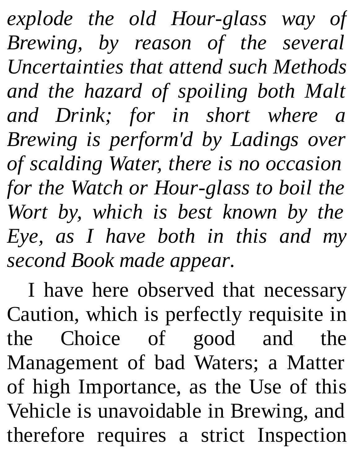*explode the old Hour-glass way of Brewing, by reason of the several Uncertainties that attend such Methods and the hazard of spoiling both Malt and Drink; for in short where a Brewing is perform'd by Ladings over of scalding Water, there is no occasion for the Watch or Hour-glass to boil the Wort by, which is best known by the Eye, as I have both in this and my second Book made appear.*

I have here observed that necessary Caution, which is perfectly requisite in the Choice of good and the Management of bad Waters; a Matter of high Importance, as the Use of this Vehicle is unavoidable in Brewing, and therefore requires a strict Inspection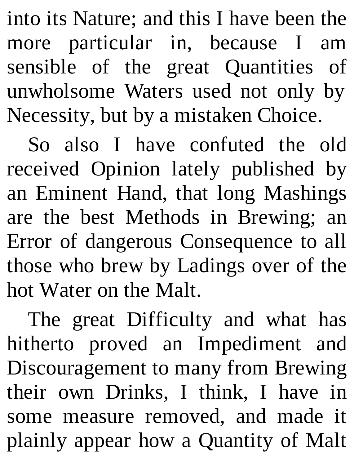into its Nature; and this I have been the more particular in, because I am sensible of the great Quantities of unwholsome Waters used not only by Necessity, but by a mistaken Choice.

So also I have confuted the old received Opinion lately published by an Eminent Hand, that long Mashings are the best Methods in Brewing; an Error of dangerous Consequence to all those who brew by Ladings over of the hot Water on the Malt.

The great Difficulty and what has hitherto proved an Impediment and Discouragement to many from Brewing their own Drinks, I think, I have in some measure removed, and made it plainly appear how a Quantity of Malt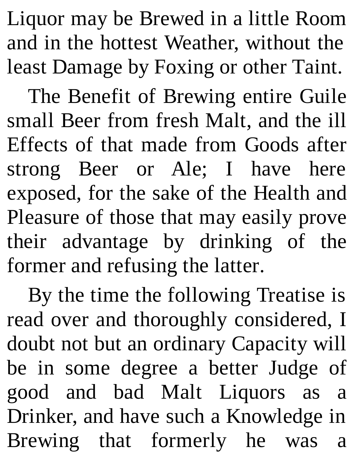Liquor may be Brewed in a little Room and in the hottest Weather, without the least Damage by Foxing or other Taint.

The Benefit of Brewing entire Guile small Beer from fresh Malt, and the ill Effects of that made from Goods after strong Beer or Ale; I have here exposed, for the sake of the Health and Pleasure of those that may easily prove their advantage by drinking of the former and refusing the latter.

By the time the following Treatise is read over and thoroughly considered, I doubt not but an ordinary Capacity will be in some degree a better Judge of good and bad Malt Liquors as a Drinker, and have such a Knowledge in Brewing that formerly he was a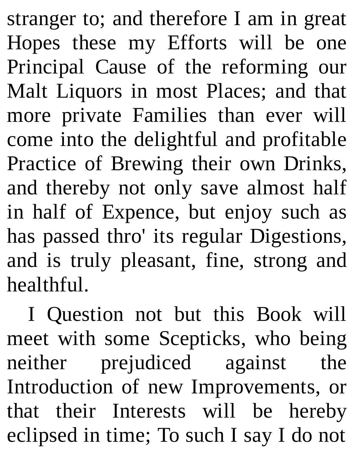stranger to; and therefore I am in great Hopes these my Efforts will be one Principal Cause of the reforming our Malt Liquors in most Places; and that more private Families than ever will come into the delightful and profitable Practice of Brewing their own Drinks, and thereby not only save almost half in half of Expence, but enjoy such as has passed thro' its regular Digestions, and is truly pleasant, fine, strong and healthful.

I Question not but this Book will meet with some Scepticks, who being neither prejudiced against the Introduction of new Improvements, or that their Interests will be hereby eclipsed in time; To such I say I do not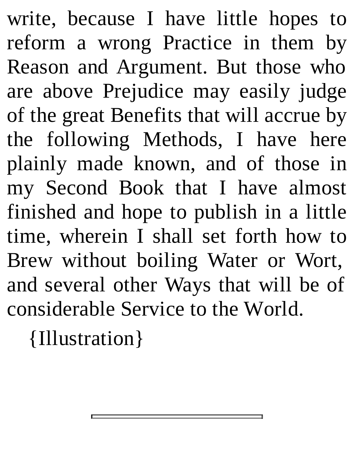write, because I have little hopes to reform a wrong Practice in them by Reason and Argument. But those who are above Prejudice may easily judge of the great Benefits that will accrue by the following Methods, I have here plainly made known, and of those in my Second Book that I have almost finished and hope to publish in a little time, wherein I shall set forth how to Brew without boiling Water or Wort, and several other Ways that will be of considerable Service to the World.

{Illustration}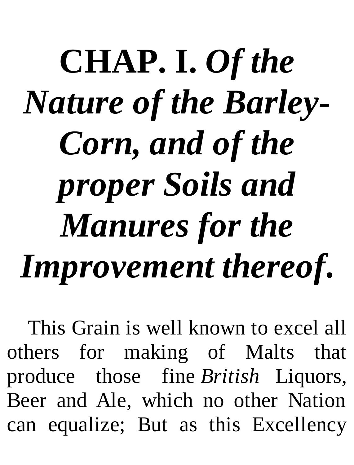## **CHAP. I.** *Of the Nature of the Barley-Corn, and of the proper Soils and Manures for the Improvement thereof***.**

This Grain is well known to excel all others for making of Malts that produce those fine *British* Liquors, Beer and Ale, which no other Nation can equalize; But as this Excellency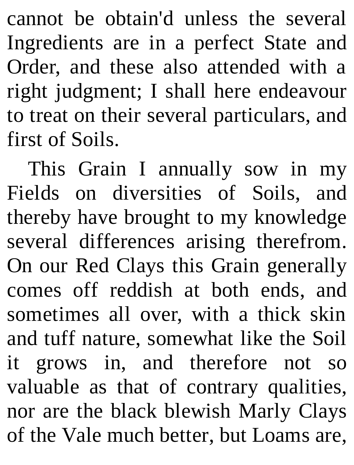cannot be obtain'd unless the several Ingredients are in a perfect State and Order, and these also attended with a right judgment; I shall here endeavour to treat on their several particulars, and first of Soils.

This Grain I annually sow in my Fields on diversities of Soils, and thereby have brought to my knowledge several differences arising therefrom. On our Red Clays this Grain generally comes off reddish at both ends, and sometimes all over, with a thick skin and tuff nature, somewhat like the Soil it grows in, and therefore not so valuable as that of contrary qualities, nor are the black blewish Marly Clays of the Vale much better, but Loams are,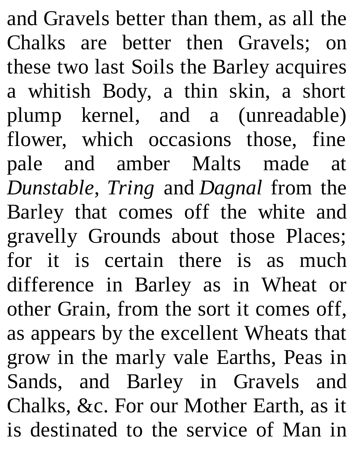and Gravels better than them, as all the Chalks are better then Gravels; on these two last Soils the Barley acquires a whitish Body, a thin skin, a short plump kernel, and a (unreadable) flower, which occasions those, fine pale and amber Malts made at *Dunstable*, *Tring* and *Dagnal* from the Barley that comes off the white and gravelly Grounds about those Places; for it is certain there is as much difference in Barley as in Wheat or other Grain, from the sort it comes off, as appears by the excellent Wheats that grow in the marly vale Earths, Peas in Sands, and Barley in Gravels and Chalks, &c. For our Mother Earth, as it is destinated to the service of Man in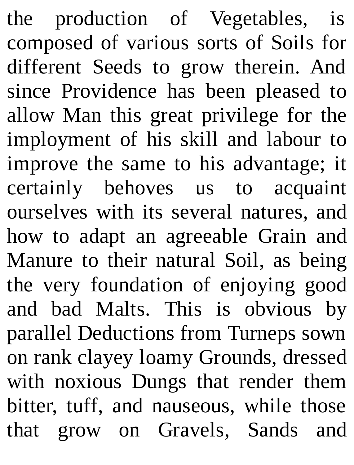the production of Vegetables, is composed of various sorts of Soils for different Seeds to grow therein. And since Providence has been pleased to allow Man this great privilege for the imployment of his skill and labour to improve the same to his advantage; it certainly behoves us to acquaint ourselves with its several natures, and how to adapt an agreeable Grain and Manure to their natural Soil, as being the very foundation of enjoying good and bad Malts. This is obvious by parallel Deductions from Turneps sown on rank clayey loamy Grounds, dressed with noxious Dungs that render them bitter, tuff, and nauseous, while those that grow on Gravels, Sands and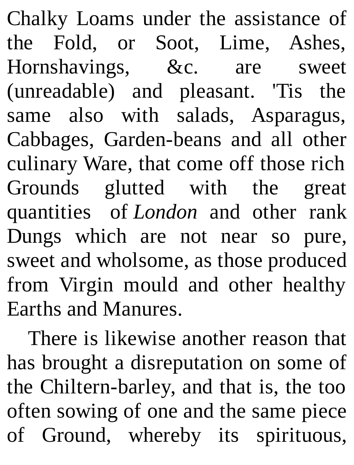Chalky Loams under the assistance of the Fold, or Soot, Lime, Ashes, Hornshavings, &c. are sweet (unreadable) and pleasant. 'Tis the same also with salads, Asparagus, Cabbages, Garden-beans and all other culinary Ware, that come off those rich Grounds glutted with the great quantities of *London* and other rank Dungs which are not near so pure, sweet and wholsome, as those produced from Virgin mould and other healthy Earths and Manures.

There is likewise another reason that has brought a disreputation on some of the Chiltern-barley, and that is, the too often sowing of one and the same piece of Ground, whereby its spirituous,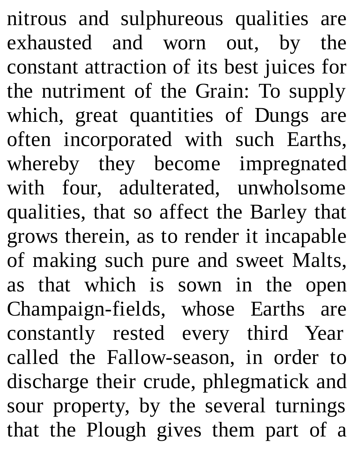nitrous and sulphureous qualities are exhausted and worn out, by the constant attraction of its best juices for the nutriment of the Grain: To supply which, great quantities of Dungs are often incorporated with such Earths, whereby they become impregnated with four, adulterated, unwholsome qualities, that so affect the Barley that grows therein, as to render it incapable of making such pure and sweet Malts, as that which is sown in the open Champaign-fields, whose Earths are constantly rested every third Year called the Fallow-season, in order to discharge their crude, phlegmatick and sour property, by the several turnings that the Plough gives them part of a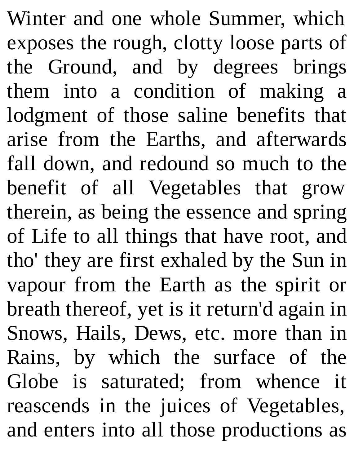Winter and one whole Summer, which exposes the rough, clotty loose parts of the Ground, and by degrees brings them into a condition of making a lodgment of those saline benefits that arise from the Earths, and afterwards fall down, and redound so much to the benefit of all Vegetables that grow therein, as being the essence and spring of Life to all things that have root, and tho' they are first exhaled by the Sun in vapour from the Earth as the spirit or breath thereof, yet is it return'd again in Snows, Hails, Dews, etc. more than in Rains, by which the surface of the Globe is saturated; from whence it reascends in the juices of Vegetables, and enters into all those productions as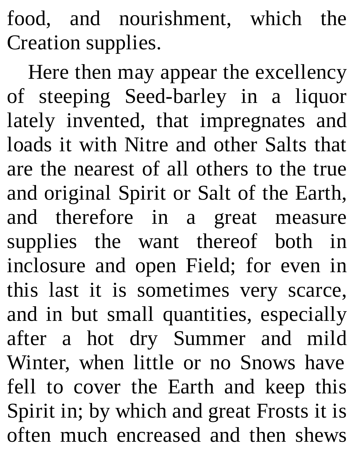food, and nourishment, which the Creation supplies.

Here then may appear the excellency of steeping Seed-barley in a liquor lately invented, that impregnates and loads it with Nitre and other Salts that are the nearest of all others to the true and original Spirit or Salt of the Earth, and therefore in a great measure supplies the want thereof both in inclosure and open Field; for even in this last it is sometimes very scarce, and in but small quantities, especially after a hot dry Summer and mild Winter, when little or no Snows have fell to cover the Earth and keep this Spirit in; by which and great Frosts it is often much encreased and then shews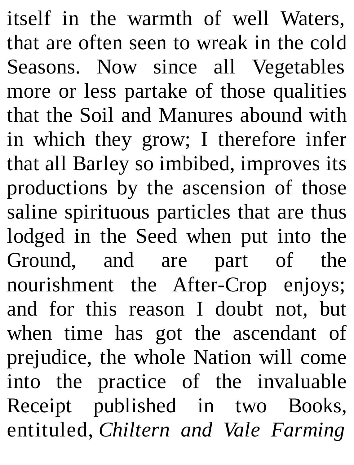itself in the warmth of well Waters, that are often seen to wreak in the cold Seasons. Now since all Vegetables more or less partake of those qualities that the Soil and Manures abound with in which they grow; I therefore infer that all Barley so imbibed, improves its productions by the ascension of those saline spirituous particles that are thus lodged in the Seed when put into the Ground, and are part of the nourishment the After-Crop enjoys; and for this reason I doubt not, but when time has got the ascendant of prejudice, the whole Nation will come into the practice of the invaluable Receipt published in two Books, entituled, *Chiltern and Vale Farming*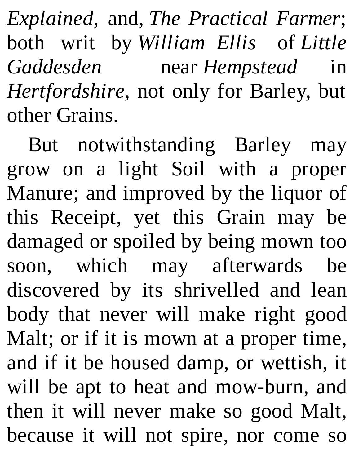*Explained*, and, *The Practical Farmer*; both writ by *William Ellis* of *Little Gaddesden* near *Hempstead* in *Hertfordshire*, not only for Barley, but other Grains.

But notwithstanding Barley may grow on a light Soil with a proper Manure; and improved by the liquor of this Receipt, yet this Grain may be damaged or spoiled by being mown too soon, which may afterwards be discovered by its shrivelled and lean body that never will make right good Malt; or if it is mown at a proper time, and if it be housed damp, or wettish, it will be apt to heat and mow-burn, and then it will never make so good Malt, because it will not spire, nor come so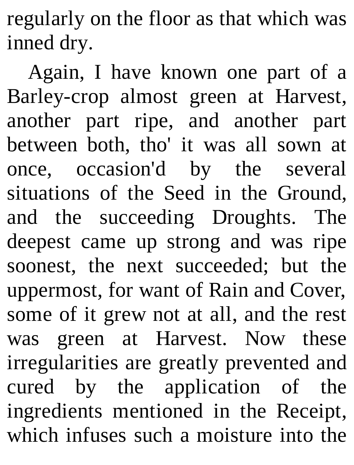regularly on the floor as that which was inned dry.

Again, I have known one part of a Barley-crop almost green at Harvest, another part ripe, and another part between both, tho' it was all sown at once, occasion'd by the several situations of the Seed in the Ground, and the succeeding Droughts. The deepest came up strong and was ripe soonest, the next succeeded; but the uppermost, for want of Rain and Cover, some of it grew not at all, and the rest was green at Harvest. Now these irregularities are greatly prevented and cured by the application of the ingredients mentioned in the Receipt, which infuses such a moisture into the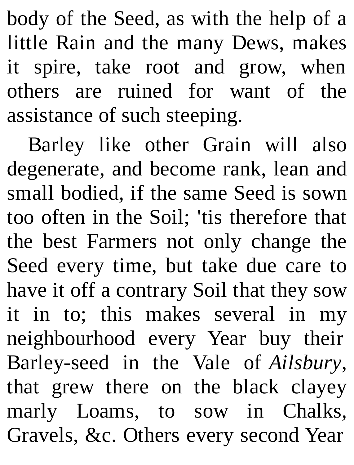body of the Seed, as with the help of a little Rain and the many Dews, makes it spire, take root and grow, when others are ruined for want of the assistance of such steeping.

Barley like other Grain will also degenerate, and become rank, lean and small bodied, if the same Seed is sown too often in the Soil; 'tis therefore that the best Farmers not only change the Seed every time, but take due care to have it off a contrary Soil that they sow it in to; this makes several in my neighbourhood every Year buy their Barley-seed in the Vale of *Ailsbury*, that grew there on the black clayey marly Loams, to sow in Chalks, Gravels, &c. Others every second Year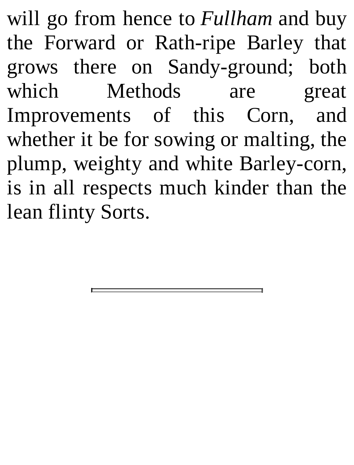will go from hence to *Fullham* and buy the Forward or Rath-ripe Barley that grows there on Sandy-ground; both which Methods are great Improvements of this Corn, and whether it be for sowing or malting, the plump, weighty and white Barley-corn, is in all respects much kinder than the lean flinty Sorts.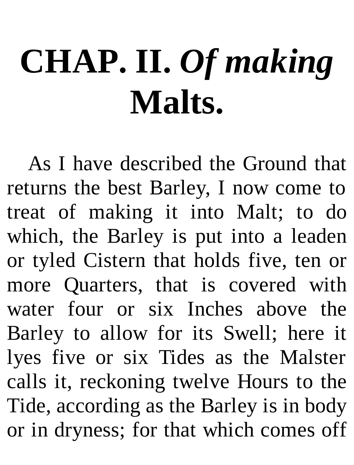## **CHAP. II.** *Of making* **Malts.**

As I have described the Ground that returns the best Barley, I now come to treat of making it into Malt; to do which, the Barley is put into a leaden or tyled Cistern that holds five, ten or more Quarters, that is covered with water four or six Inches above the Barley to allow for its Swell; here it lyes five or six Tides as the Malster calls it, reckoning twelve Hours to the Tide, according as the Barley is in body or in dryness; for that which comes off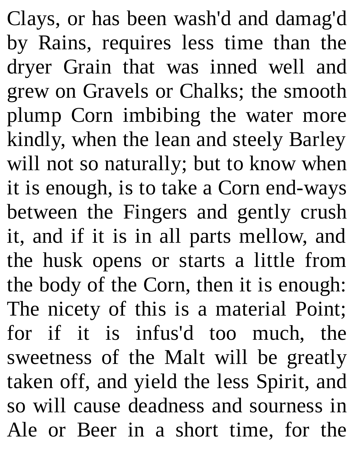Clays, or has been wash'd and damag'd by Rains, requires less time than the dryer Grain that was inned well and grew on Gravels or Chalks; the smooth plump Corn imbibing the water more kindly, when the lean and steely Barley will not so naturally; but to know when it is enough, is to take a Corn end-ways between the Fingers and gently crush it, and if it is in all parts mellow, and the husk opens or starts a little from the body of the Corn, then it is enough: The nicety of this is a material Point; for if it is infus'd too much, the sweetness of the Malt will be greatly taken off, and yield the less Spirit, and so will cause deadness and sourness in Ale or Beer in a short time, for the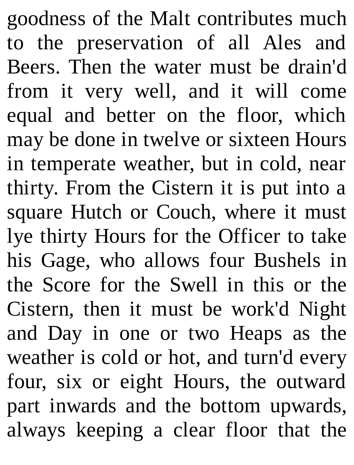goodness of the Malt contributes much to the preservation of all Ales and Beers. Then the water must be drain'd from it very well, and it will come equal and better on the floor, which may be done in twelve or sixteen Hours in temperate weather, but in cold, near thirty. From the Cistern it is put into a square Hutch or Couch, where it must lye thirty Hours for the Officer to take his Gage, who allows four Bushels in the Score for the Swell in this or the Cistern, then it must be work'd Night and Day in one or two Heaps as the weather is cold or hot, and turn'd every four, six or eight Hours, the outward part inwards and the bottom upwards, always keeping a clear floor that the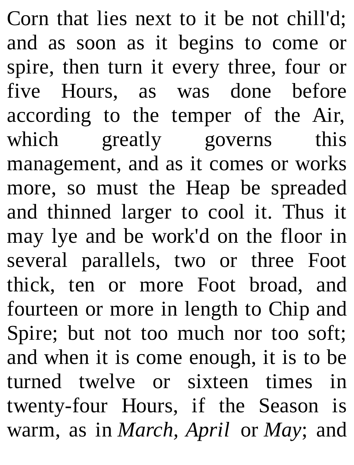Corn that lies next to it be not chill'd; and as soon as it begins to come or spire, then turn it every three, four or five Hours, as was done before according to the temper of the Air, which greatly governs this management, and as it comes or works more, so must the Heap be spreaded and thinned larger to cool it. Thus it may lye and be work'd on the floor in several parallels, two or three Foot thick, ten or more Foot broad, and fourteen or more in length to Chip and Spire; but not too much nor too soft; and when it is come enough, it is to be turned twelve or sixteen times in twenty-four Hours, if the Season is warm, as in *March, April* or *May*; and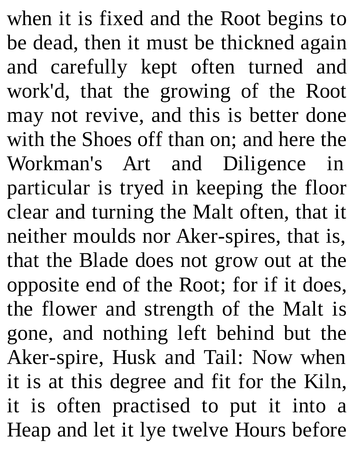when it is fixed and the Root begins to be dead, then it must be thickned again and carefully kept often turned and work'd, that the growing of the Root may not revive, and this is better done with the Shoes off than on; and here the Workman's Art and Diligence in particular is tryed in keeping the floor clear and turning the Malt often, that it neither moulds nor Aker-spires, that is, that the Blade does not grow out at the opposite end of the Root; for if it does, the flower and strength of the Malt is gone, and nothing left behind but the Aker-spire, Husk and Tail: Now when it is at this degree and fit for the Kiln, it is often practised to put it into a Heap and let it lye twelve Hours before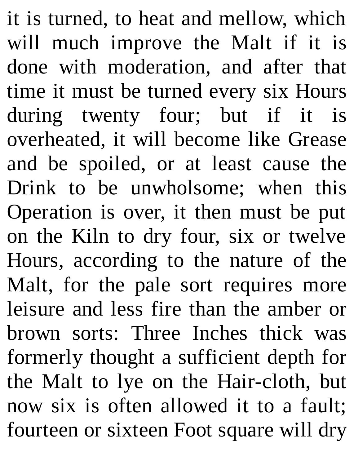it is turned, to heat and mellow, which will much improve the Malt if it is done with moderation, and after that time it must be turned every six Hours during twenty four; but if it is overheated, it will become like Grease and be spoiled, or at least cause the Drink to be unwholsome; when this Operation is over, it then must be put on the Kiln to dry four, six or twelve Hours, according to the nature of the Malt, for the pale sort requires more leisure and less fire than the amber or brown sorts: Three Inches thick was formerly thought a sufficient depth for the Malt to lye on the Hair-cloth, but now six is often allowed it to a fault; fourteen or sixteen Foot square will dry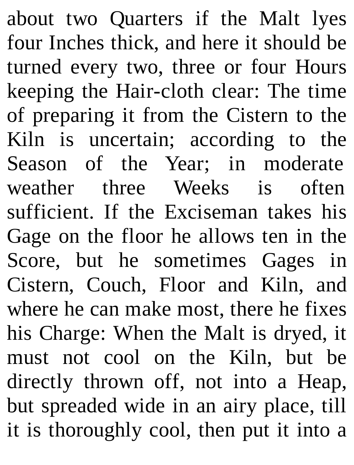about two Quarters if the Malt lyes four Inches thick, and here it should be turned every two, three or four Hours keeping the Hair-cloth clear: The time of preparing it from the Cistern to the Kiln is uncertain; according to the Season of the Year; in moderate weather three Weeks is often sufficient. If the Exciseman takes his Gage on the floor he allows ten in the Score, but he sometimes Gages in Cistern, Couch, Floor and Kiln, and where he can make most, there he fixes his Charge: When the Malt is dryed, it must not cool on the Kiln, but be directly thrown off, not into a Heap, but spreaded wide in an airy place, till it is thoroughly cool, then put it into a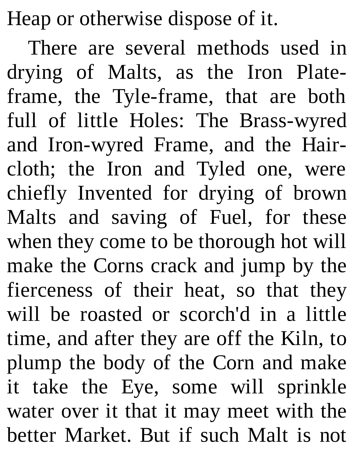Heap or otherwise dispose of it.

There are several methods used in drying of Malts, as the Iron Plateframe, the Tyle-frame, that are both full of little Holes: The Brass-wyred and Iron-wyred Frame, and the Haircloth; the Iron and Tyled one, were chiefly Invented for drying of brown Malts and saving of Fuel, for these when they come to be thorough hot will make the Corns crack and jump by the fierceness of their heat, so that they will be roasted or scorch'd in a little time, and after they are off the Kiln, to plump the body of the Corn and make it take the Eye, some will sprinkle water over it that it may meet with the better Market. But if such Malt is not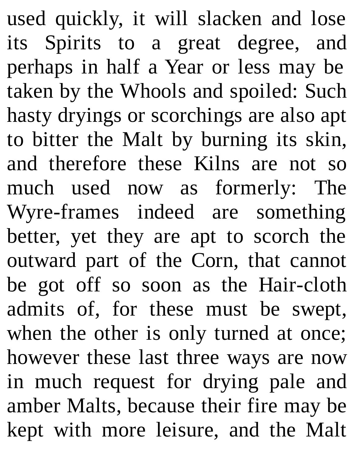used quickly, it will slacken and lose its Spirits to a great degree, and perhaps in half a Year or less may be taken by the Whools and spoiled: Such hasty dryings or scorchings are also apt to bitter the Malt by burning its skin, and therefore these Kilns are not so much used now as formerly: The Wyre-frames indeed are something better, yet they are apt to scorch the outward part of the Corn, that cannot be got off so soon as the Hair-cloth admits of, for these must be swept, when the other is only turned at once; however these last three ways are now in much request for drying pale and amber Malts, because their fire may be kept with more leisure, and the Malt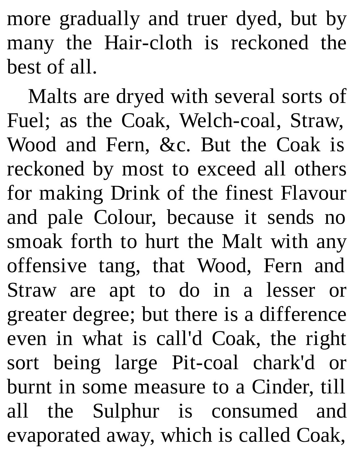more gradually and truer dyed, but by many the Hair-cloth is reckoned the best of all.

Malts are dryed with several sorts of Fuel; as the Coak, Welch-coal, Straw, Wood and Fern, &c. But the Coak is reckoned by most to exceed all others for making Drink of the finest Flavour and pale Colour, because it sends no smoak forth to hurt the Malt with any offensive tang, that Wood, Fern and Straw are apt to do in a lesser or greater degree; but there is a difference even in what is call'd Coak, the right sort being large Pit-coal chark'd or burnt in some measure to a Cinder, till all the Sulphur is consumed and evaporated away, which is called Coak,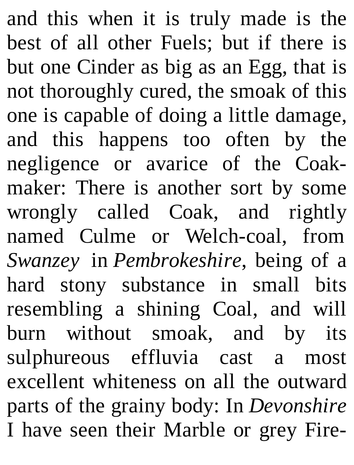and this when it is truly made is the best of all other Fuels; but if there is but one Cinder as big as an Egg, that is not thoroughly cured, the smoak of this one is capable of doing a little damage, and this happens too often by the negligence or avarice of the Coakmaker: There is another sort by some wrongly called Coak, and rightly named Culme or Welch-coal, from *Swanzey* in *Pembrokeshire*, being of a hard stony substance in small bits resembling a shining Coal, and will burn without smoak, and by its sulphureous effluvia cast a most excellent whiteness on all the outward parts of the grainy body: In *Devonshire* I have seen their Marble or grey Fire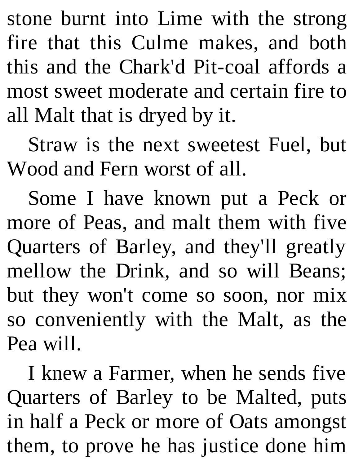stone burnt into Lime with the strong fire that this Culme makes, and both this and the Chark'd Pit-coal affords a most sweet moderate and certain fire to all Malt that is dryed by it.

Straw is the next sweetest Fuel, but Wood and Fern worst of all.

Some I have known put a Peck or more of Peas, and malt them with five Quarters of Barley, and they'll greatly mellow the Drink, and so will Beans; but they won't come so soon, nor mix so conveniently with the Malt, as the Pea will.

I knew a Farmer, when he sends five Quarters of Barley to be Malted, puts in half a Peck or more of Oats amongst them, to prove he has justice done him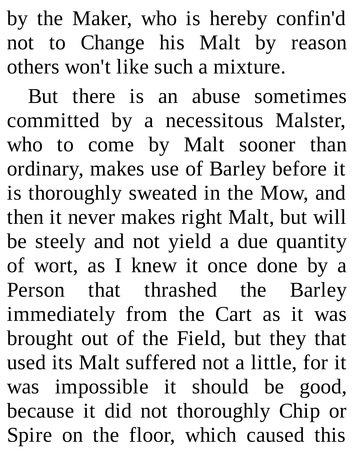by the Maker, who is hereby confin'd not to Change his Malt by reason others won't like such a mixture.

But there is an abuse sometimes committed by a necessitous Malster, who to come by Malt sooner than ordinary, makes use of Barley before it is thoroughly sweated in the Mow, and then it never makes right Malt, but will be steely and not yield a due quantity of wort, as I knew it once done by a Person that thrashed the Barley immediately from the Cart as it was brought out of the Field, but they that used its Malt suffered not a little, for it was impossible it should be good, because it did not thoroughly Chip or Spire on the floor, which caused this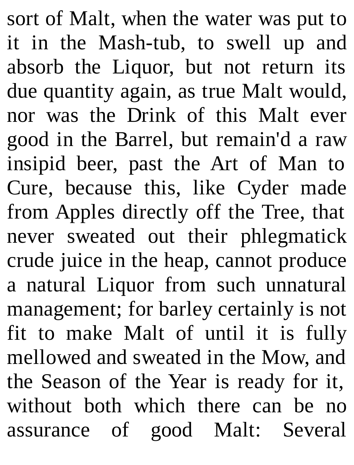sort of Malt, when the water was put to it in the Mash-tub, to swell up and absorb the Liquor, but not return its due quantity again, as true Malt would, nor was the Drink of this Malt ever good in the Barrel, but remain'd a raw insipid beer, past the Art of Man to Cure, because this, like Cyder made from Apples directly off the Tree, that never sweated out their phlegmatick crude juice in the heap, cannot produce a natural Liquor from such unnatural management; for barley certainly is not fit to make Malt of until it is fully mellowed and sweated in the Mow, and the Season of the Year is ready for it, without both which there can be no assurance of good Malt: Several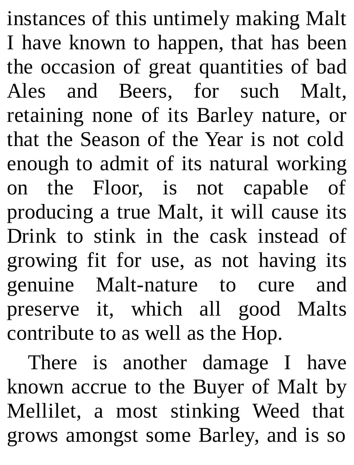instances of this untimely making Malt I have known to happen, that has been the occasion of great quantities of bad Ales and Beers, for such Malt, retaining none of its Barley nature, or that the Season of the Year is not cold enough to admit of its natural working on the Floor, is not capable of producing a true Malt, it will cause its Drink to stink in the cask instead of growing fit for use, as not having its genuine Malt-nature to cure and preserve it, which all good Malts contribute to as well as the Hop.

There is another damage I have known accrue to the Buyer of Malt by Mellilet, a most stinking Weed that grows amongst some Barley, and is so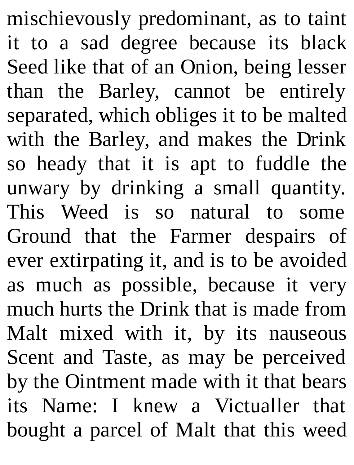mischievously predominant, as to taint it to a sad degree because its black Seed like that of an Onion, being lesser than the Barley, cannot be entirely separated, which obliges it to be malted with the Barley, and makes the Drink so heady that it is apt to fuddle the unwary by drinking a small quantity. This Weed is so natural to some Ground that the Farmer despairs of ever extirpating it, and is to be avoided as much as possible, because it very much hurts the Drink that is made from Malt mixed with it, by its nauseous Scent and Taste, as may be perceived by the Ointment made with it that bears its Name: I knew a Victualler that bought a parcel of Malt that this weed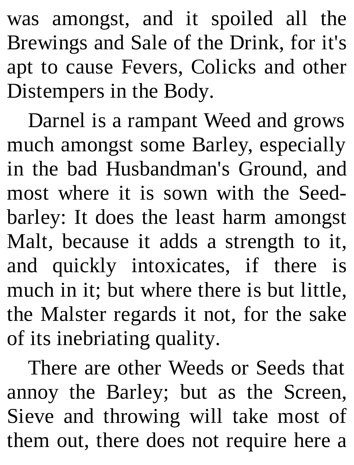was amongst, and it spoiled all the Brewings and Sale of the Drink, for it's apt to cause Fevers, Colicks and other Distempers in the Body.

Darnel is a rampant Weed and grows much amongst some Barley, especially in the bad Husbandman's Ground, and most where it is sown with the Seedbarley: It does the least harm amongst Malt, because it adds a strength to it, and quickly intoxicates, if there is much in it; but where there is but little, the Malster regards it not, for the sake of its inebriating quality.

There are other Weeds or Seeds that annoy the Barley; but as the Screen, Sieve and throwing will take most of them out, there does not require here a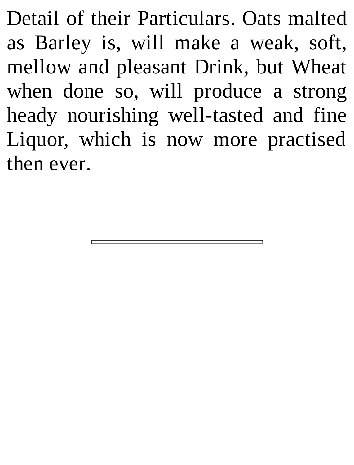Detail of their Particulars. Oats malted as Barley is, will make a weak, soft, mellow and pleasant Drink, but Wheat when done so, will produce a strong heady nourishing well-tasted and fine Liquor, which is now more practised then ever.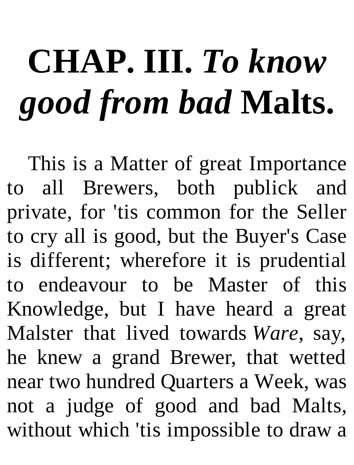## **CHAP. III.** *To know good from bad* **Malts.**

This is a Matter of great Importance to all Brewers, both publick and private, for 'tis common for the Seller to cry all is good, but the Buyer's Case is different; wherefore it is prudential to endeavour to be Master of this Knowledge, but I have heard a great Malster that lived towards *Ware*, say, he knew a grand Brewer, that wetted near two hundred Quarters a Week, was not a judge of good and bad Malts, without which 'tis impossible to draw a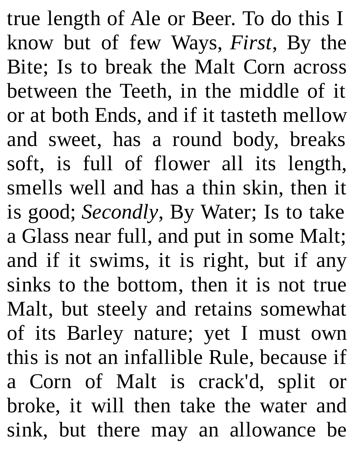true length of Ale or Beer. To do this I know but of few Ways, *First*, By the Bite; Is to break the Malt Corn across between the Teeth, in the middle of it or at both Ends, and if it tasteth mellow and sweet, has a round body, breaks soft, is full of flower all its length, smells well and has a thin skin, then it is good; *Secondly*, By Water; Is to take a Glass near full, and put in some Malt; and if it swims, it is right, but if any sinks to the bottom, then it is not true Malt, but steely and retains somewhat of its Barley nature; yet I must own this is not an infallible Rule, because if a Corn of Malt is crack'd, split or broke, it will then take the water and sink, but there may an allowance be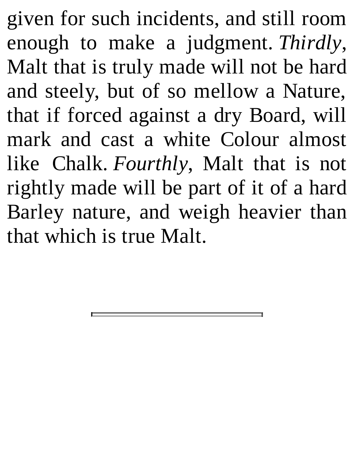given for such incidents, and still room enough to make a judgment. *Thirdly*, Malt that is truly made will not be hard and steely, but of so mellow a Nature, that if forced against a dry Board, will mark and cast a white Colour almost like Chalk. *Fourthly*, Malt that is not rightly made will be part of it of a hard Barley nature, and weigh heavier than that which is true Malt.

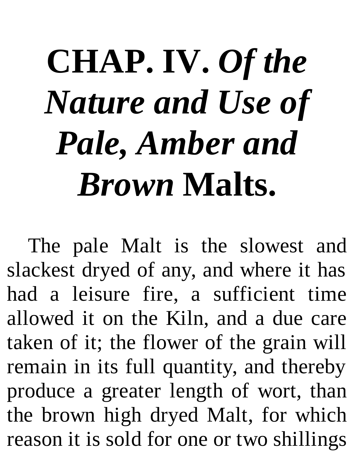## **CHAP. IV.** *Of the Nature and Use of Pale, Amber and Brown* **Malts.**

The pale Malt is the slowest and slackest dryed of any, and where it has had a leisure fire, a sufficient time allowed it on the Kiln, and a due care taken of it; the flower of the grain will remain in its full quantity, and thereby produce a greater length of wort, than the brown high dryed Malt, for which reason it is sold for one or two shillings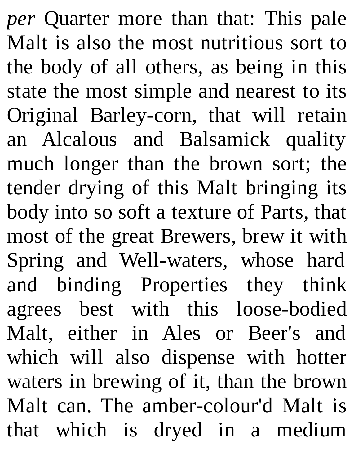*per* Quarter more than that: This pale Malt is also the most nutritious sort to the body of all others, as being in this state the most simple and nearest to its Original Barley-corn, that will retain an Alcalous and Balsamick quality much longer than the brown sort; the tender drying of this Malt bringing its body into so soft a texture of Parts, that most of the great Brewers, brew it with Spring and Well-waters, whose hard and binding Properties they think agrees best with this loose-bodied Malt, either in Ales or Beer's and which will also dispense with hotter waters in brewing of it, than the brown Malt can. The amber-colour'd Malt is that which is dryed in a medium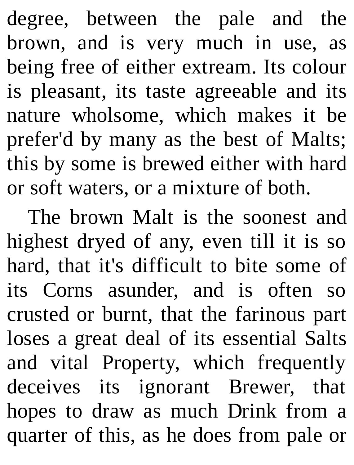degree, between the pale and the brown, and is very much in use, as being free of either extream. Its colour is pleasant, its taste agreeable and its nature wholsome, which makes it be prefer'd by many as the best of Malts; this by some is brewed either with hard or soft waters, or a mixture of both.

The brown Malt is the soonest and highest dryed of any, even till it is so hard, that it's difficult to bite some of its Corns asunder, and is often so crusted or burnt, that the farinous part loses a great deal of its essential Salts and vital Property, which frequently deceives its ignorant Brewer, that hopes to draw as much Drink from a quarter of this, as he does from pale or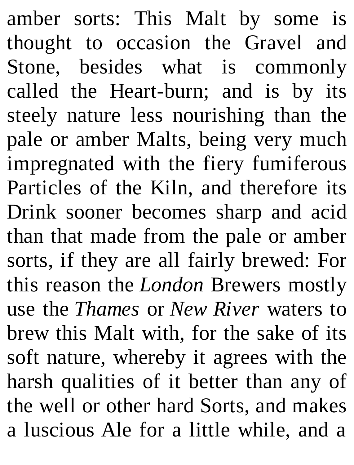amber sorts: This Malt by some is thought to occasion the Gravel and Stone, besides what is commonly called the Heart-burn; and is by its steely nature less nourishing than the pale or amber Malts, being very much impregnated with the fiery fumiferous Particles of the Kiln, and therefore its Drink sooner becomes sharp and acid than that made from the pale or amber sorts, if they are all fairly brewed: For this reason the *London* Brewers mostly use the *Thames* or *New River* waters to brew this Malt with, for the sake of its soft nature, whereby it agrees with the harsh qualities of it better than any of the well or other hard Sorts, and makes a luscious Ale for a little while, and a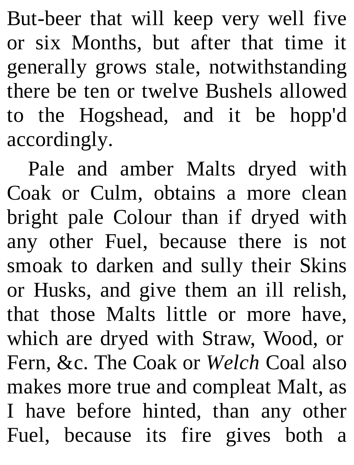But-beer that will keep very well five or six Months, but after that time it generally grows stale, notwithstanding there be ten or twelve Bushels allowed to the Hogshead, and it be hopp'd accordingly.

Pale and amber Malts dryed with Coak or Culm, obtains a more clean bright pale Colour than if dryed with any other Fuel, because there is not smoak to darken and sully their Skins or Husks, and give them an ill relish, that those Malts little or more have, which are dryed with Straw, Wood, or Fern, &c. The Coak or *Welch* Coal also makes more true and compleat Malt, as I have before hinted, than any other Fuel, because its fire gives both a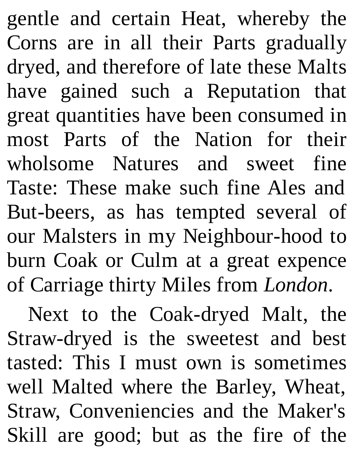gentle and certain Heat, whereby the Corns are in all their Parts gradually dryed, and therefore of late these Malts have gained such a Reputation that great quantities have been consumed in most Parts of the Nation for their wholsome Natures and sweet fine Taste: These make such fine Ales and But-beers, as has tempted several of our Malsters in my Neighbour-hood to burn Coak or Culm at a great expence of Carriage thirty Miles from *London*.

Next to the Coak-dryed Malt, the Straw-dryed is the sweetest and best tasted: This I must own is sometimes well Malted where the Barley, Wheat, Straw, Conveniencies and the Maker's Skill are good; but as the fire of the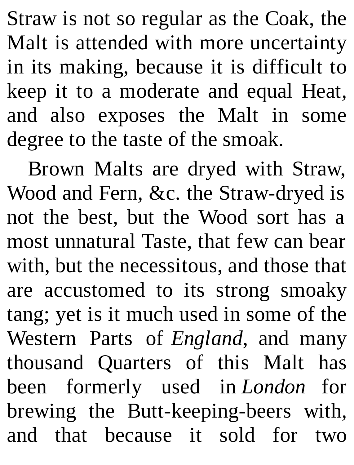Straw is not so regular as the Coak, the Malt is attended with more uncertainty in its making, because it is difficult to keep it to a moderate and equal Heat, and also exposes the Malt in some degree to the taste of the smoak.

Brown Malts are dryed with Straw, Wood and Fern, &c. the Straw-dryed is not the best, but the Wood sort has a most unnatural Taste, that few can bear with, but the necessitous, and those that are accustomed to its strong smoaky tang; yet is it much used in some of the Western Parts of *England*, and many thousand Quarters of this Malt has been formerly used in *London* for brewing the Butt-keeping-beers with, and that because it sold for two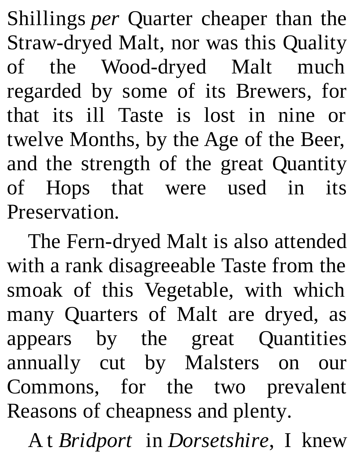Shillings *per* Quarter cheaper than the Straw-dryed Malt, nor was this Quality of the Wood-dryed Malt much regarded by some of its Brewers, for that its ill Taste is lost in nine or twelve Months, by the Age of the Beer, and the strength of the great Quantity of Hops that were used in its Preservation.

The Fern-dryed Malt is also attended with a rank disagreeable Taste from the smoak of this Vegetable, with which many Quarters of Malt are dryed, as appears by the great Quantities annually cut by Malsters on our Commons, for the two prevalent Reasons of cheapness and plenty.

A t *Bridport* in *Dorsetshire*, I knew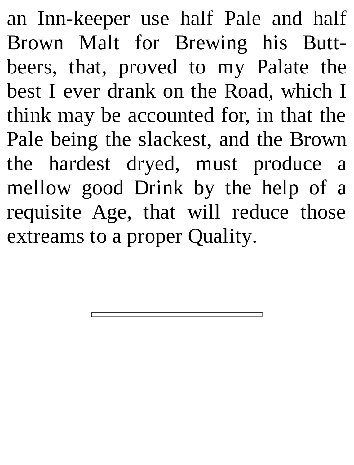an Inn-keeper use half Pale and half Brown Malt for Brewing his Buttbeers, that, proved to my Palate the best I ever drank on the Road, which I think may be accounted for, in that the Pale being the slackest, and the Brown the hardest dryed, must produce a mellow good Drink by the help of a requisite Age, that will reduce those extreams to a proper Quality.

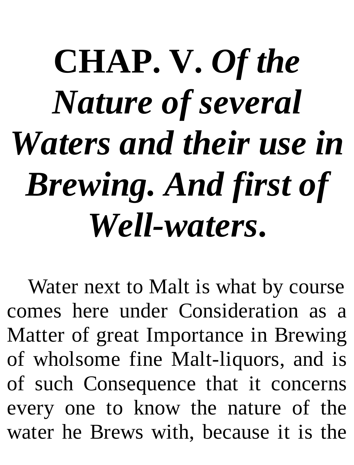## **CHAP. V.** *Of the Nature of several Waters and their use in Brewing. And first of Well-waters***.**

Water next to Malt is what by course comes here under Consideration as a Matter of great Importance in Brewing of wholsome fine Malt-liquors, and is of such Consequence that it concerns every one to know the nature of the water he Brews with, because it is the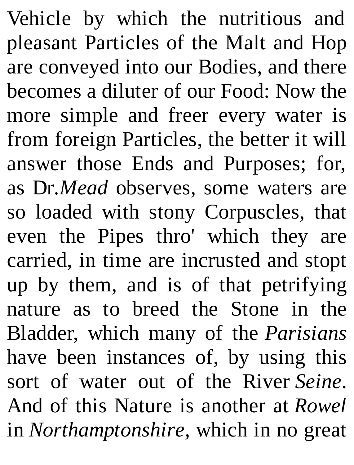Vehicle by which the nutritious and pleasant Particles of the Malt and Hop are conveyed into our Bodies, and there becomes a diluter of our Food: Now the more simple and freer every water is from foreign Particles, the better it will answer those Ends and Purposes; for, as Dr*.Mead* observes, some waters are so loaded with stony Corpuscles, that even the Pipes thro' which they are carried, in time are incrusted and stopt up by them, and is of that petrifying nature as to breed the Stone in the Bladder, which many of the *Parisians* have been instances of, by using this sort of water out of the River *Seine*. And of this Nature is another at *Rowel* in *Northamptonshire*, which in no great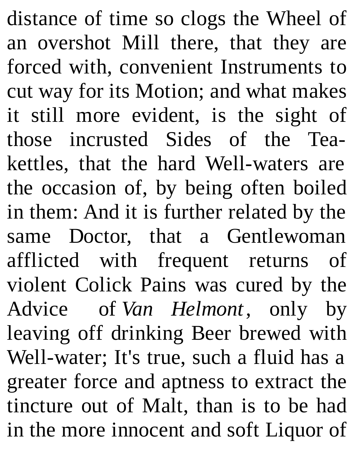distance of time so clogs the Wheel of an overshot Mill there, that they are forced with, convenient Instruments to cut way for its Motion; and what makes it still more evident, is the sight of those incrusted Sides of the Teakettles, that the hard Well-waters are the occasion of, by being often boiled in them: And it is further related by the same Doctor, that a Gentlewoman afflicted with frequent returns of violent Colick Pains was cured by the Advice of *Van Helmont*, only by leaving off drinking Beer brewed with Well-water; It's true, such a fluid has a greater force and aptness to extract the tincture out of Malt, than is to be had in the more innocent and soft Liquor of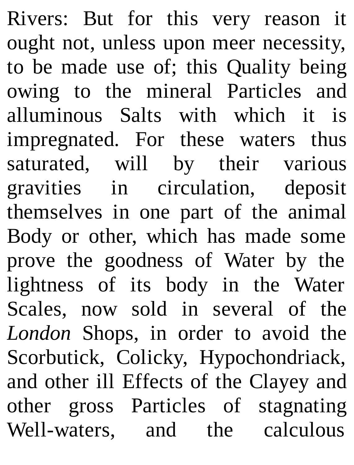Rivers: But for this very reason it ought not, unless upon meer necessity, to be made use of; this Quality being owing to the mineral Particles and alluminous Salts with which it is impregnated. For these waters thus saturated, will by their various gravities in circulation, deposit themselves in one part of the animal Body or other, which has made some prove the goodness of Water by the lightness of its body in the Water Scales, now sold in several of the *London* Shops, in order to avoid the Scorbutick, Colicky, Hypochondriack, and other ill Effects of the Clayey and other gross Particles of stagnating Well-waters, and the calculous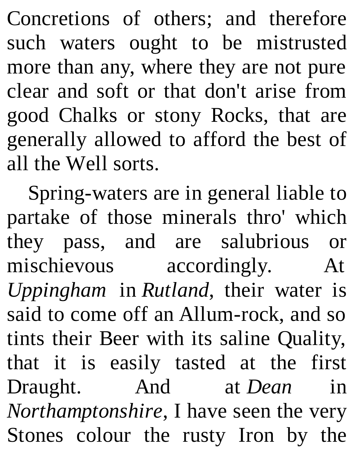Concretions of others; and therefore such waters ought to be mistrusted more than any, where they are not pure clear and soft or that don't arise from good Chalks or stony Rocks, that are generally allowed to afford the best of all the Well sorts.

Spring-waters are in general liable to partake of those minerals thro' which they pass, and are salubrious or mischievous accordingly. At *Uppingham* in *Rutland*, their water is said to come off an Allum-rock, and so tints their Beer with its saline Quality, that it is easily tasted at the first Draught. And at *Dean* in *Northamptonshire*, I have seen the very Stones colour the rusty Iron by the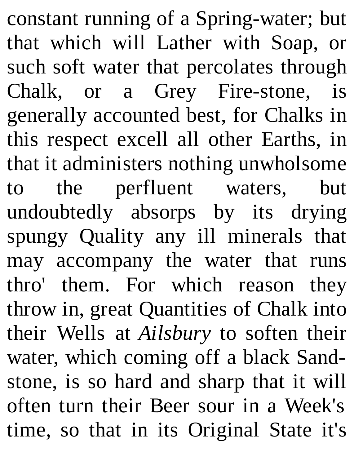constant running of a Spring-water; but that which will Lather with Soap, or such soft water that percolates through Chalk, or a Grey Fire-stone, is generally accounted best, for Chalks in this respect excell all other Earths, in that it administers nothing unwholsome to the perfluent waters, but undoubtedly absorps by its drying spungy Quality any ill minerals that may accompany the water that runs thro' them. For which reason they throw in, great Quantities of Chalk into their Wells at *Ailsbury* to soften their water, which coming off a black Sandstone, is so hard and sharp that it will often turn their Beer sour in a Week's time, so that in its Original State it's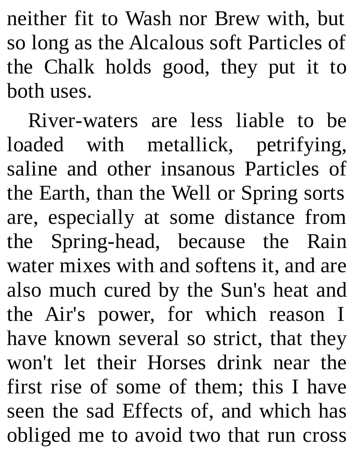neither fit to Wash nor Brew with, but so long as the Alcalous soft Particles of the Chalk holds good, they put it to both uses.

River-waters are less liable to be loaded with metallick, petrifying, saline and other insanous Particles of the Earth, than the Well or Spring sorts are, especially at some distance from the Spring-head, because the Rain water mixes with and softens it, and are also much cured by the Sun's heat and the Air's power, for which reason I have known several so strict, that they won't let their Horses drink near the first rise of some of them; this I have seen the sad Effects of, and which has obliged me to avoid two that run cross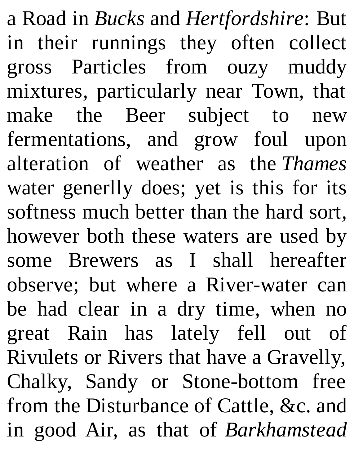a Road in *Bucks* and *Hertfordshire*: But in their runnings they often collect gross Particles from ouzy muddy mixtures, particularly near Town, that make the Beer subject to new fermentations, and grow foul upon alteration of weather as the *Thames* water generlly does; yet is this for its softness much better than the hard sort, however both these waters are used by some Brewers as I shall hereafter observe; but where a River-water can be had clear in a dry time, when no great Rain has lately fell out of Rivulets or Rivers that have a Gravelly, Chalky, Sandy or Stone-bottom free from the Disturbance of Cattle, &c. and in good Air, as that of *Barkhamstead*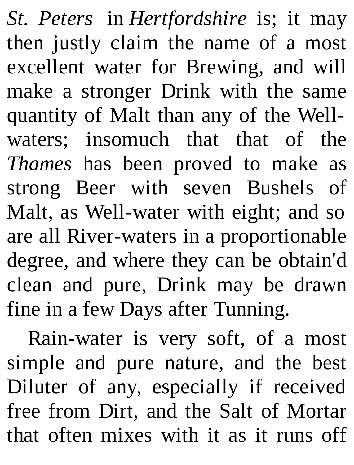*St. Peters* in *Hertfordshire* is; it may then justly claim the name of a most excellent water for Brewing, and will make a stronger Drink with the same quantity of Malt than any of the Wellwaters; insomuch that that of the *Thames* has been proved to make as strong Beer with seven Bushels of Malt, as Well-water with eight; and so are all River-waters in a proportionable degree, and where they can be obtain'd clean and pure, Drink may be drawn fine in a few Days after Tunning.

Rain-water is very soft, of a most simple and pure nature, and the best Diluter of any, especially if received free from Dirt, and the Salt of Mortar that often mixes with it as it runs off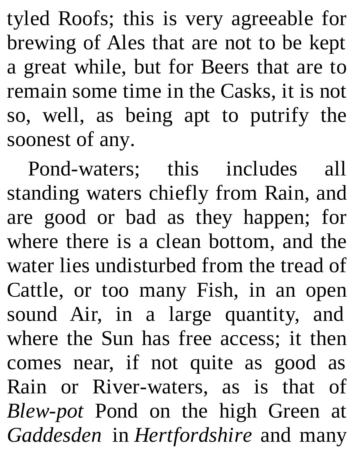tyled Roofs; this is very agreeable for brewing of Ales that are not to be kept a great while, but for Beers that are to remain some time in the Casks, it is not so, well, as being apt to putrify the soonest of any.

Pond-waters; this includes all standing waters chiefly from Rain, and are good or bad as they happen; for where there is a clean bottom, and the water lies undisturbed from the tread of Cattle, or too many Fish, in an open sound Air, in a large quantity, and where the Sun has free access; it then comes near, if not quite as good as Rain or River-waters, as is that of *Blew-pot* Pond on the high Green at *Gaddesden* in *Hertfordshire* and many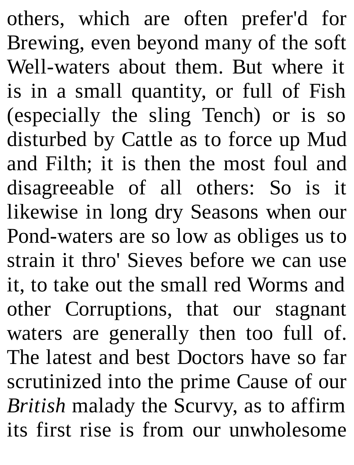others, which are often prefer'd for Brewing, even beyond many of the soft Well-waters about them. But where it is in a small quantity, or full of Fish (especially the sling Tench) or is so disturbed by Cattle as to force up Mud and Filth; it is then the most foul and disagreeable of all others: So is it likewise in long dry Seasons when our Pond-waters are so low as obliges us to strain it thro' Sieves before we can use it, to take out the small red Worms and other Corruptions, that our stagnant waters are generally then too full of. The latest and best Doctors have so far scrutinized into the prime Cause of our *British* malady the Scurvy, as to affirm its first rise is from our unwholesome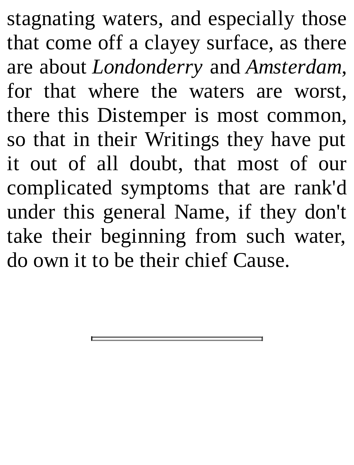stagnating waters, and especially those that come off a clayey surface, as there are about *Londonderry* and *Amsterdam*, for that where the waters are worst, there this Distemper is most common, so that in their Writings they have put it out of all doubt, that most of our complicated symptoms that are rank'd under this general Name, if they don't take their beginning from such water, do own it to be their chief Cause.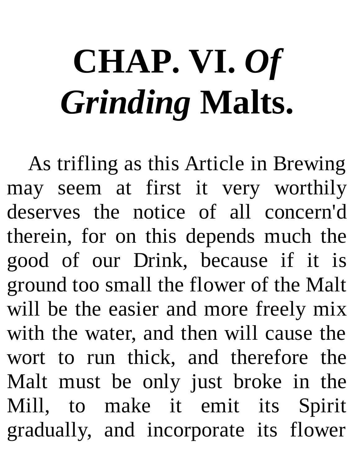## **CHAP. VI.** *Of Grinding* **Malts.**

As trifling as this Article in Brewing may seem at first it very worthily deserves the notice of all concern'd therein, for on this depends much the good of our Drink, because if it is ground too small the flower of the Malt will be the easier and more freely mix with the water, and then will cause the wort to run thick, and therefore the Malt must be only just broke in the Mill, to make it emit its Spirit gradually, and incorporate its flower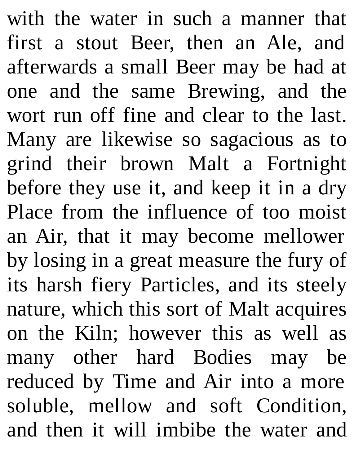with the water in such a manner that first a stout Beer, then an Ale, and afterwards a small Beer may be had at one and the same Brewing, and the wort run off fine and clear to the last. Many are likewise so sagacious as to grind their brown Malt a Fortnight before they use it, and keep it in a dry Place from the influence of too moist an Air, that it may become mellower by losing in a great measure the fury of its harsh fiery Particles, and its steely nature, which this sort of Malt acquires on the Kiln; however this as well as many other hard Bodies may be reduced by Time and Air into a more soluble, mellow and soft Condition, and then it will imbibe the water and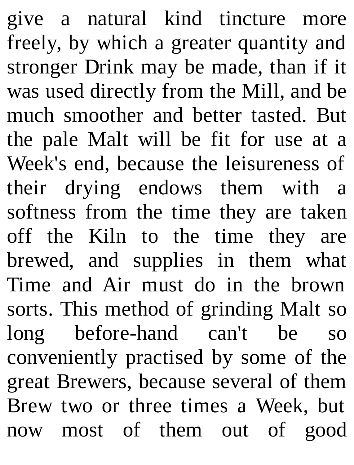give a natural kind tincture more freely, by which a greater quantity and stronger Drink may be made, than if it was used directly from the Mill, and be much smoother and better tasted. But the pale Malt will be fit for use at a Week's end, because the leisureness of their drying endows them with a softness from the time they are taken off the Kiln to the time they are brewed, and supplies in them what Time and Air must do in the brown sorts. This method of grinding Malt so long before-hand can't be so conveniently practised by some of the great Brewers, because several of them Brew two or three times a Week, but now most of them out of good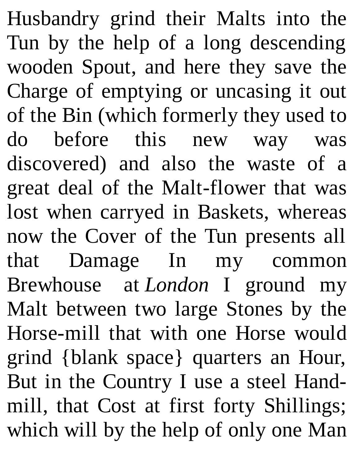Husbandry grind their Malts into the Tun by the help of a long descending wooden Spout, and here they save the Charge of emptying or uncasing it out of the Bin (which formerly they used to do before this new way was discovered) and also the waste of a great deal of the Malt-flower that was lost when carryed in Baskets, whereas now the Cover of the Tun presents all that Damage In my common Brewhouse at *London* I ground my Malt between two large Stones by the Horse-mill that with one Horse would grind {blank space} quarters an Hour, But in the Country I use a steel Handmill, that Cost at first forty Shillings; which will by the help of only one Man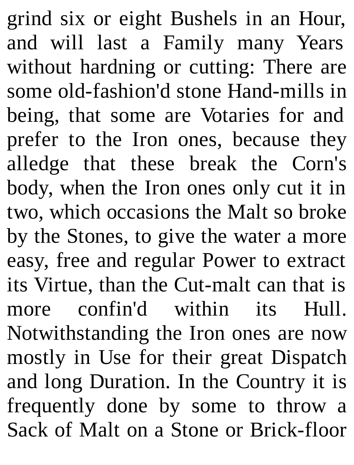grind six or eight Bushels in an Hour, and will last a Family many Years without hardning or cutting: There are some old-fashion'd stone Hand-mills in being, that some are Votaries for and prefer to the Iron ones, because they alledge that these break the Corn's body, when the Iron ones only cut it in two, which occasions the Malt so broke by the Stones, to give the water a more easy, free and regular Power to extract its Virtue, than the Cut-malt can that is more confin'd within its Hull. Notwithstanding the Iron ones are now mostly in Use for their great Dispatch and long Duration. In the Country it is frequently done by some to throw a Sack of Malt on a Stone or Brick-floor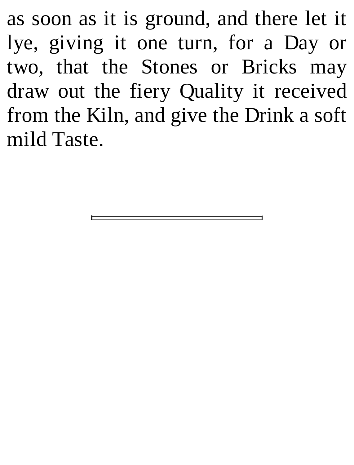as soon as it is ground, and there let it lye, giving it one turn, for a Day or two, that the Stones or Bricks may draw out the fiery Quality it received from the Kiln, and give the Drink a soft mild Taste.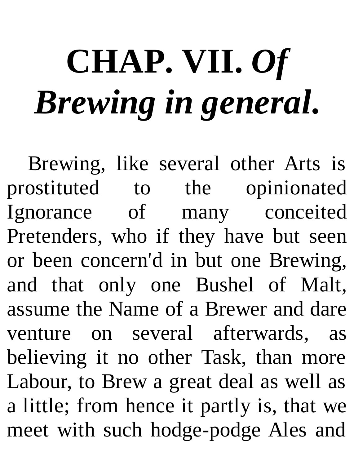## **CHAP. VII.** *Of Brewing in general***.**

Brewing, like several other Arts is prostituted to the opinionated Ignorance of many conceited Pretenders, who if they have but seen or been concern'd in but one Brewing, and that only one Bushel of Malt, assume the Name of a Brewer and dare venture on several afterwards, as believing it no other Task, than more Labour, to Brew a great deal as well as a little; from hence it partly is, that we meet with such hodge-podge Ales and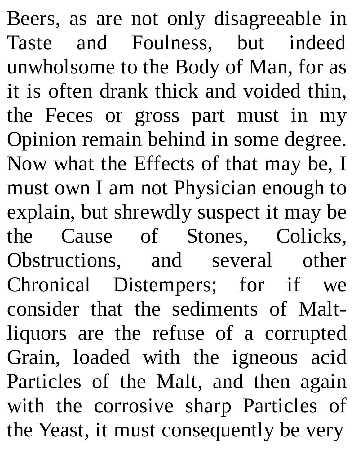Beers, as are not only disagreeable in Taste and Foulness, but indeed unwholsome to the Body of Man, for as it is often drank thick and voided thin, the Feces or gross part must in my Opinion remain behind in some degree. Now what the Effects of that may be, I must own I am not Physician enough to explain, but shrewdly suspect it may be the Cause of Stones, Colicks, Obstructions, and several other Chronical Distempers; for if we consider that the sediments of Maltliquors are the refuse of a corrupted Grain, loaded with the igneous acid Particles of the Malt, and then again with the corrosive sharp Particles of the Yeast, it must consequently be very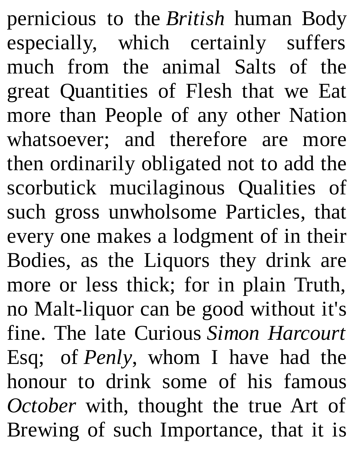pernicious to the *British* human Body especially, which certainly suffers much from the animal Salts of the great Quantities of Flesh that we Eat more than People of any other Nation whatsoever; and therefore are more then ordinarily obligated not to add the scorbutick mucilaginous Qualities of such gross unwholsome Particles, that every one makes a lodgment of in their Bodies, as the Liquors they drink are more or less thick; for in plain Truth, no Malt-liquor can be good without it's fine. The late Curious *Simon Harcourt* Esq; of *Penly*, whom I have had the honour to drink some of his famous *October* with, thought the true Art of Brewing of such Importance, that it is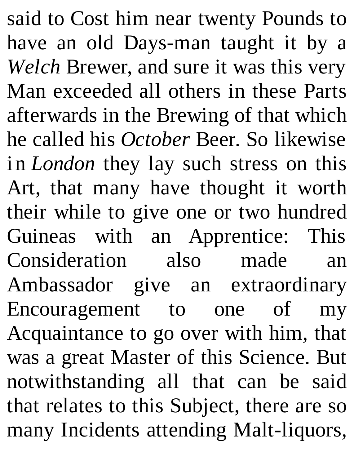said to Cost him near twenty Pounds to have an old Days-man taught it by a *Welch* Brewer, and sure it was this very Man exceeded all others in these Parts afterwards in the Brewing of that which he called his *October* Beer. So likewise in *London* they lay such stress on this Art, that many have thought it worth their while to give one or two hundred Guineas with an Apprentice: This Consideration also made an Ambassador give an extraordinary Encouragement to one of my Acquaintance to go over with him, that was a great Master of this Science. But notwithstanding all that can be said that relates to this Subject, there are so many Incidents attending Malt-liquors,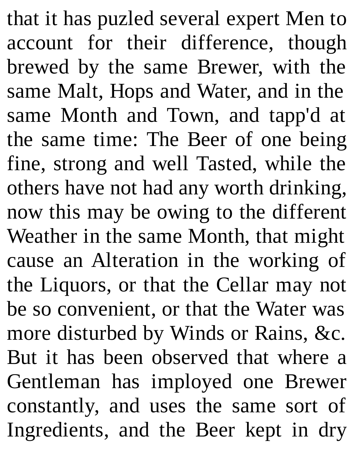that it has puzled several expert Men to account for their difference, though brewed by the same Brewer, with the same Malt, Hops and Water, and in the same Month and Town, and tapp'd at the same time: The Beer of one being fine, strong and well Tasted, while the others have not had any worth drinking, now this may be owing to the different Weather in the same Month, that might cause an Alteration in the working of the Liquors, or that the Cellar may not be so convenient, or that the Water was more disturbed by Winds or Rains, &c. But it has been observed that where a Gentleman has imployed one Brewer constantly, and uses the same sort of Ingredients, and the Beer kept in dry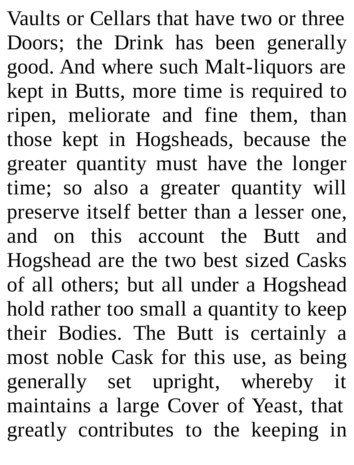Vaults or Cellars that have two or three Doors; the Drink has been generally good. And where such Malt-liquors are kept in Butts, more time is required to ripen, meliorate and fine them, than those kept in Hogsheads, because the greater quantity must have the longer time; so also a greater quantity will preserve itself better than a lesser one, and on this account the Butt and Hogshead are the two best sized Casks of all others; but all under a Hogshead hold rather too small a quantity to keep their Bodies. The Butt is certainly a most noble Cask for this use, as being generally set upright, whereby it maintains a large Cover of Yeast, that greatly contributes to the keeping in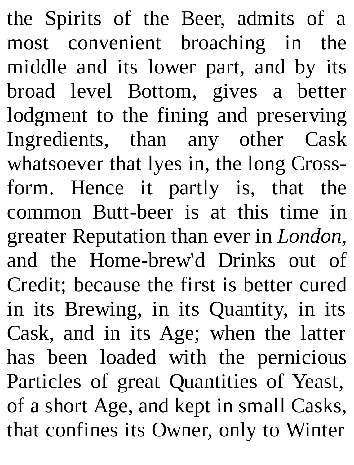the Spirits of the Beer, admits of a most convenient broaching in the middle and its lower part, and by its broad level Bottom, gives a better lodgment to the fining and preserving Ingredients, than any other Cask whatsoever that lyes in, the long Crossform. Hence it partly is, that the common Butt-beer is at this time in greater Reputation than ever in *London*, and the Home-brew'd Drinks out of Credit; because the first is better cured in its Brewing, in its Quantity, in its Cask, and in its Age; when the latter has been loaded with the pernicious Particles of great Quantities of Yeast, of a short Age, and kept in small Casks, that confines its Owner, only to Winter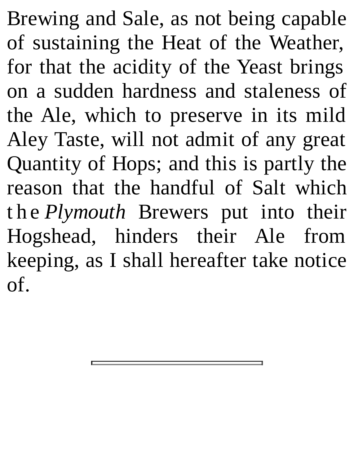Brewing and Sale, as not being capable of sustaining the Heat of the Weather, for that the acidity of the Yeast brings on a sudden hardness and staleness of the Ale, which to preserve in its mild Aley Taste, will not admit of any great Quantity of Hops; and this is partly the reason that the handful of Salt which t h e *Plymouth* Brewers put into their Hogshead, hinders their Ale from keeping, as I shall hereafter take notice of.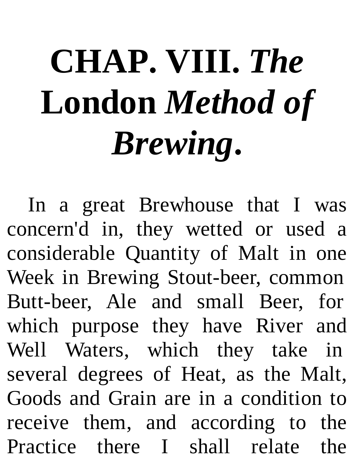## **CHAP. VIII.** *The* **London** *Method of Brewing***.**

In a great Brewhouse that I was concern'd in, they wetted or used a considerable Quantity of Malt in one Week in Brewing Stout-beer, common Butt-beer, Ale and small Beer, for which purpose they have River and Well Waters, which they take in several degrees of Heat, as the Malt, Goods and Grain are in a condition to receive them, and according to the Practice there I shall relate the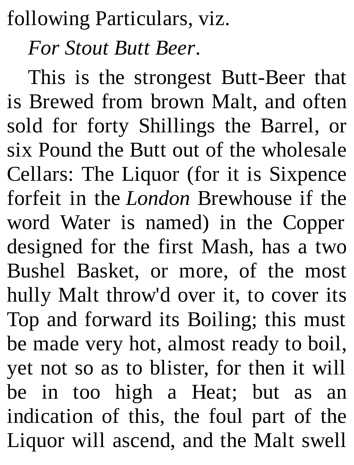following Particulars, viz.

*For Stout Butt Beer*.

This is the strongest Butt-Beer that is Brewed from brown Malt, and often sold for forty Shillings the Barrel, or six Pound the Butt out of the wholesale Cellars: The Liquor (for it is Sixpence forfeit in the *London* Brewhouse if the word Water is named) in the Copper designed for the first Mash, has a two Bushel Basket, or more, of the most hully Malt throw'd over it, to cover its Top and forward its Boiling; this must be made very hot, almost ready to boil, yet not so as to blister, for then it will be in too high a Heat; but as an indication of this, the foul part of the Liquor will ascend, and the Malt swell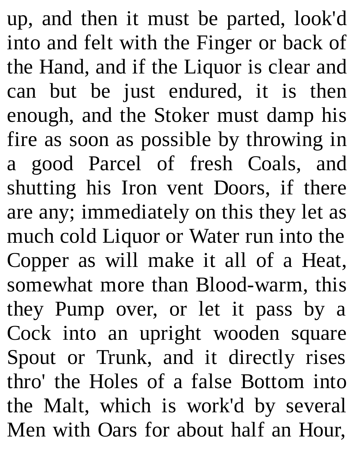up, and then it must be parted, look'd into and felt with the Finger or back of the Hand, and if the Liquor is clear and can but be just endured, it is then enough, and the Stoker must damp his fire as soon as possible by throwing in a good Parcel of fresh Coals, and shutting his Iron vent Doors, if there are any; immediately on this they let as much cold Liquor or Water run into the Copper as will make it all of a Heat, somewhat more than Blood-warm, this they Pump over, or let it pass by a Cock into an upright wooden square Spout or Trunk, and it directly rises thro' the Holes of a false Bottom into the Malt, which is work'd by several Men with Oars for about half an Hour,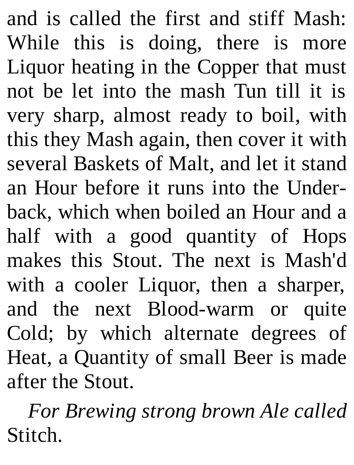and is called the first and stiff Mash: While this is doing, there is more Liquor heating in the Copper that must not be let into the mash Tun till it is very sharp, almost ready to boil, with this they Mash again, then cover it with several Baskets of Malt, and let it stand an Hour before it runs into the Underback, which when boiled an Hour and a half with a good quantity of Hops makes this Stout. The next is Mash'd with a cooler Liquor, then a sharper, and the next Blood-warm or quite Cold; by which alternate degrees of Heat, a Quantity of small Beer is made after the Stout.

*For Brewing strong brown Ale called* Stitch.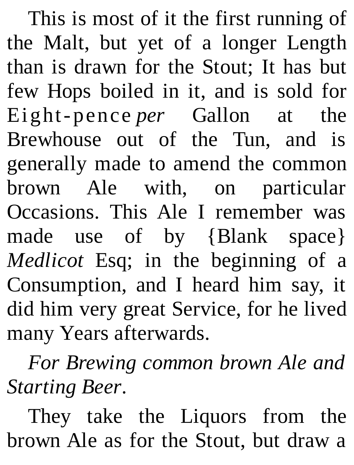This is most of it the first running of the Malt, but yet of a longer Length than is drawn for the Stout; It has but few Hops boiled in it, and is sold for Eight-pence *per* Gallon at the Brewhouse out of the Tun, and is generally made to amend the common brown Ale with, on particular Occasions. This Ale I remember was made use of by {Blank space} *Medlicot* Esq; in the beginning of a Consumption, and I heard him say, it did him very great Service, for he lived many Years afterwards.

*For Brewing common brown Ale and Starting Beer*.

They take the Liquors from the brown Ale as for the Stout, but draw a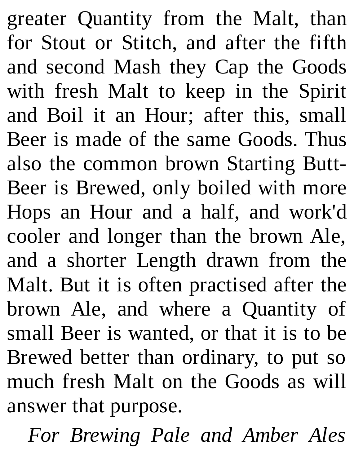greater Quantity from the Malt, than for Stout or Stitch, and after the fifth and second Mash they Cap the Goods with fresh Malt to keep in the Spirit and Boil it an Hour; after this, small Beer is made of the same Goods. Thus also the common brown Starting Butt-Beer is Brewed, only boiled with more Hops an Hour and a half, and work'd cooler and longer than the brown Ale, and a shorter Length drawn from the Malt. But it is often practised after the brown Ale, and where a Quantity of small Beer is wanted, or that it is to be Brewed better than ordinary, to put so much fresh Malt on the Goods as will answer that purpose.

*For Brewing Pale and Amber Ales*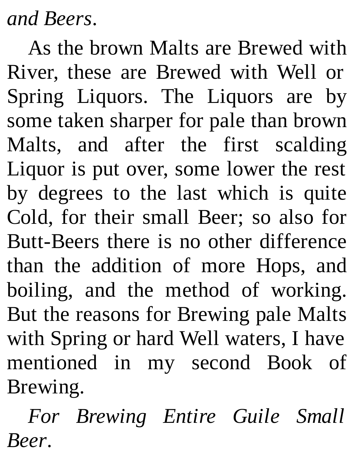*and Beers*.

As the brown Malts are Brewed with River, these are Brewed with Well or Spring Liquors. The Liquors are by some taken sharper for pale than brown Malts, and after the first scalding Liquor is put over, some lower the rest by degrees to the last which is quite Cold, for their small Beer; so also for Butt-Beers there is no other difference than the addition of more Hops, and boiling, and the method of working. But the reasons for Brewing pale Malts with Spring or hard Well waters, I have mentioned in my second Book of Brewing.

*For Brewing Entire Guile Small Beer*.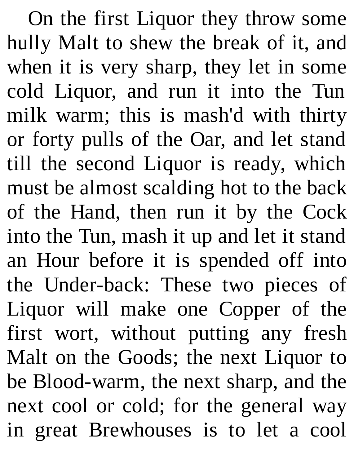On the first Liquor they throw some hully Malt to shew the break of it, and when it is very sharp, they let in some cold Liquor, and run it into the Tun milk warm; this is mash'd with thirty or forty pulls of the Oar, and let stand till the second Liquor is ready, which must be almost scalding hot to the back of the Hand, then run it by the Cock into the Tun, mash it up and let it stand an Hour before it is spended off into the Under-back: These two pieces of Liquor will make one Copper of the first wort, without putting any fresh Malt on the Goods; the next Liquor to be Blood-warm, the next sharp, and the next cool or cold; for the general way in great Brewhouses is to let a cool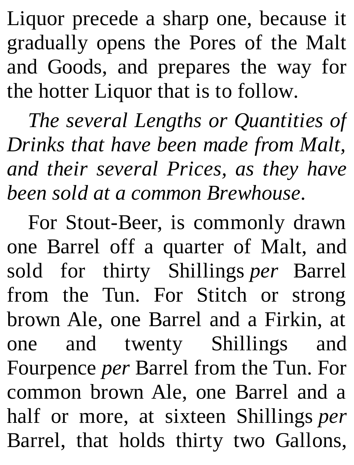Liquor precede a sharp one, because it gradually opens the Pores of the Malt and Goods, and prepares the way for the hotter Liquor that is to follow.

*The several Lengths or Quantities of Drinks that have been made from Malt, and their several Prices, as they have been sold at a common Brewhouse*.

For Stout-Beer, is commonly drawn one Barrel off a quarter of Malt, and sold for thirty Shillings *per* Barrel from the Tun. For Stitch or strong brown Ale, one Barrel and a Firkin, at one and twenty Shillings and Fourpence *per* Barrel from the Tun. For common brown Ale, one Barrel and a half or more, at sixteen Shillings *per* Barrel, that holds thirty two Gallons,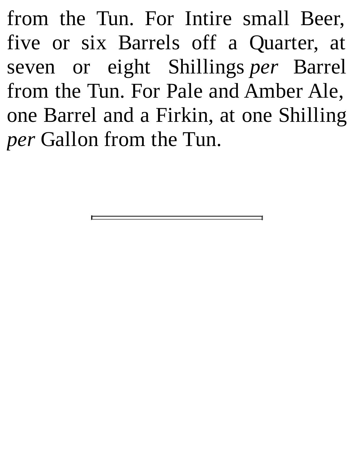from the Tun. For Intire small Beer, five or six Barrels off a Quarter, at seven or eight Shillings *per* Barrel from the Tun. For Pale and Amber Ale, one Barrel and a Firkin, at one Shilling *per* Gallon from the Tun.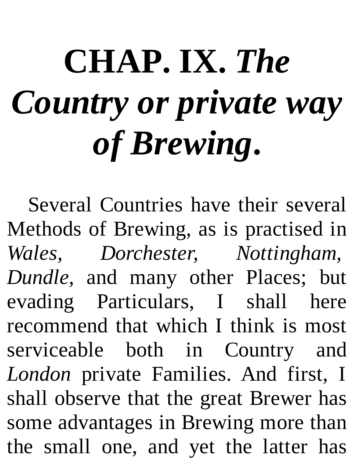## **CHAP. IX.** *The Country or private way of Brewing***.**

Several Countries have their several Methods of Brewing, as is practised in *Wales, Dorchester, Nottingham, Dundle*, and many other Places; but evading Particulars, I shall here recommend that which I think is most serviceable both in Country and *London* private Families. And first, I shall observe that the great Brewer has some advantages in Brewing more than the small one, and yet the latter has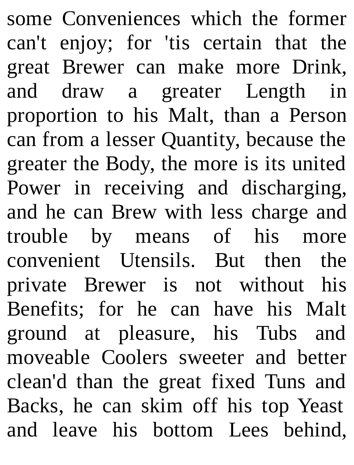some Conveniences which the former can't enjoy; for 'tis certain that the great Brewer can make more Drink, and draw a greater Length in proportion to his Malt, than a Person can from a lesser Quantity, because the greater the Body, the more is its united Power in receiving and discharging, and he can Brew with less charge and trouble by means of his more convenient Utensils. But then the private Brewer is not without his Benefits; for he can have his Malt ground at pleasure, his Tubs and moveable Coolers sweeter and better clean'd than the great fixed Tuns and Backs, he can skim off his top Yeast and leave his bottom Lees behind,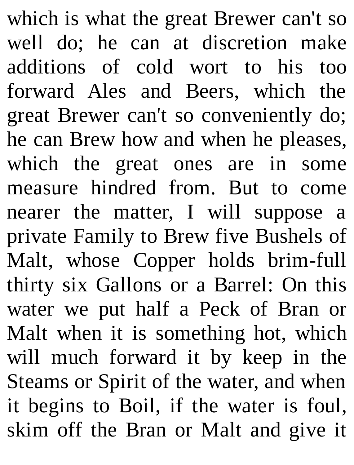which is what the great Brewer can't so well do; he can at discretion make additions of cold wort to his too forward Ales and Beers, which the great Brewer can't so conveniently do; he can Brew how and when he pleases, which the great ones are in some measure hindred from. But to come nearer the matter, I will suppose a private Family to Brew five Bushels of Malt, whose Copper holds brim-full thirty six Gallons or a Barrel: On this water we put half a Peck of Bran or Malt when it is something hot, which will much forward it by keep in the Steams or Spirit of the water, and when it begins to Boil, if the water is foul, skim off the Bran or Malt and give it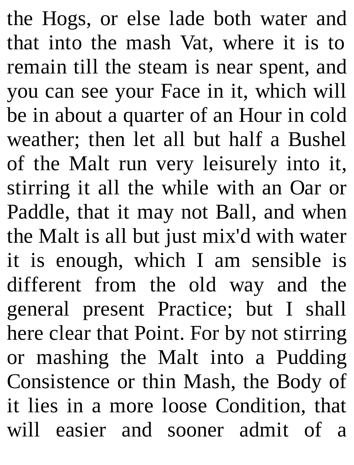the Hogs, or else lade both water and that into the mash Vat, where it is to remain till the steam is near spent, and you can see your Face in it, which will be in about a quarter of an Hour in cold weather; then let all but half a Bushel of the Malt run very leisurely into it, stirring it all the while with an Oar or Paddle, that it may not Ball, and when the Malt is all but just mix'd with water it is enough, which I am sensible is different from the old way and the general present Practice; but I shall here clear that Point. For by not stirring or mashing the Malt into a Pudding Consistence or thin Mash, the Body of it lies in a more loose Condition, that will easier and sooner admit of a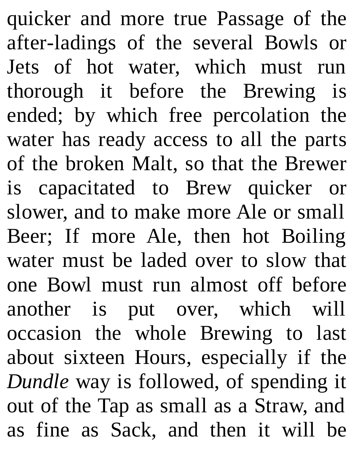quicker and more true Passage of the after-ladings of the several Bowls or Jets of hot water, which must run thorough it before the Brewing is ended; by which free percolation the water has ready access to all the parts of the broken Malt, so that the Brewer is capacitated to Brew quicker or slower, and to make more Ale or small Beer; If more Ale, then hot Boiling water must be laded over to slow that one Bowl must run almost off before another is put over, which will occasion the whole Brewing to last about sixteen Hours, especially if the *Dundle* way is followed, of spending it out of the Tap as small as a Straw, and as fine as Sack, and then it will be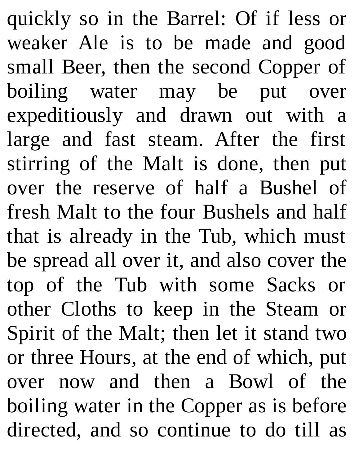quickly so in the Barrel: Of if less or weaker Ale is to be made and good small Beer, then the second Copper of boiling water may be put over expeditiously and drawn out with a large and fast steam. After the first stirring of the Malt is done, then put over the reserve of half a Bushel of fresh Malt to the four Bushels and half that is already in the Tub, which must be spread all over it, and also cover the top of the Tub with some Sacks or other Cloths to keep in the Steam or Spirit of the Malt; then let it stand two or three Hours, at the end of which, put over now and then a Bowl of the boiling water in the Copper as is before directed, and so continue to do till as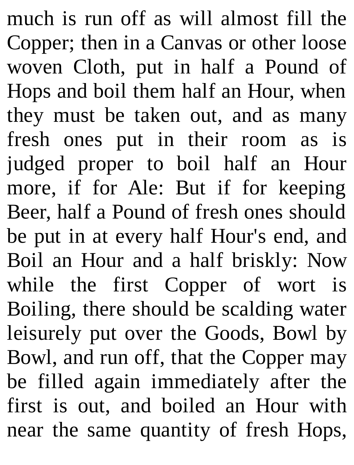much is run off as will almost fill the Copper; then in a Canvas or other loose woven Cloth, put in half a Pound of Hops and boil them half an Hour, when they must be taken out, and as many fresh ones put in their room as is judged proper to boil half an Hour more, if for Ale: But if for keeping Beer, half a Pound of fresh ones should be put in at every half Hour's end, and Boil an Hour and a half briskly: Now while the first Copper of wort is Boiling, there should be scalding water leisurely put over the Goods, Bowl by Bowl, and run off, that the Copper may be filled again immediately after the first is out, and boiled an Hour with near the same quantity of fresh Hops,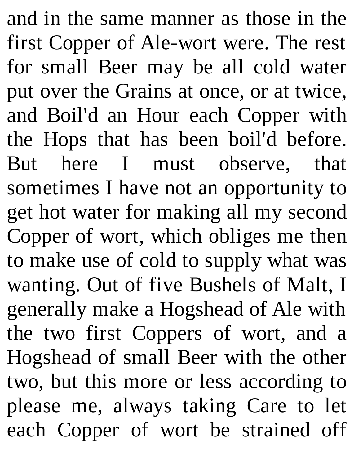and in the same manner as those in the first Copper of Ale-wort were. The rest for small Beer may be all cold water put over the Grains at once, or at twice, and Boil'd an Hour each Copper with the Hops that has been boil'd before. But here I must observe, that sometimes I have not an opportunity to get hot water for making all my second Copper of wort, which obliges me then to make use of cold to supply what was wanting. Out of five Bushels of Malt, I generally make a Hogshead of Ale with the two first Coppers of wort, and a Hogshead of small Beer with the other two, but this more or less according to please me, always taking Care to let each Copper of wort be strained off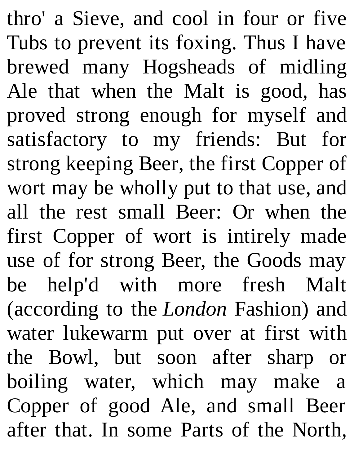thro' a Sieve, and cool in four or five Tubs to prevent its foxing. Thus I have brewed many Hogsheads of midling Ale that when the Malt is good, has proved strong enough for myself and satisfactory to my friends: But for strong keeping Beer, the first Copper of wort may be wholly put to that use, and all the rest small Beer: Or when the first Copper of wort is intirely made use of for strong Beer, the Goods may be help'd with more fresh Malt (according to the *London* Fashion) and water lukewarm put over at first with the Bowl, but soon after sharp or boiling water, which may make a Copper of good Ale, and small Beer after that. In some Parts of the North,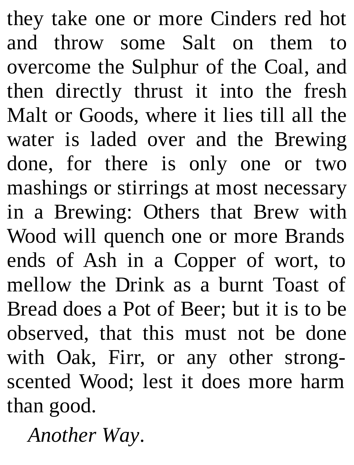they take one or more Cinders red hot and throw some Salt on them to overcome the Sulphur of the Coal, and then directly thrust it into the fresh Malt or Goods, where it lies till all the water is laded over and the Brewing done, for there is only one or two mashings or stirrings at most necessary in a Brewing: Others that Brew with Wood will quench one or more Brands ends of Ash in a Copper of wort, to mellow the Drink as a burnt Toast of Bread does a Pot of Beer; but it is to be observed, that this must not be done with Oak, Firr, or any other strongscented Wood; lest it does more harm than good.

*Another Way*.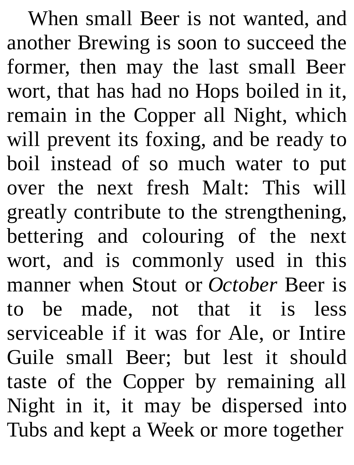When small Beer is not wanted, and another Brewing is soon to succeed the former, then may the last small Beer wort, that has had no Hops boiled in it, remain in the Copper all Night, which will prevent its foxing, and be ready to boil instead of so much water to put over the next fresh Malt: This will greatly contribute to the strengthening, bettering and colouring of the next wort, and is commonly used in this manner when Stout or *October* Beer is to be made, not that it is less serviceable if it was for Ale, or Intire Guile small Beer; but lest it should taste of the Copper by remaining all Night in it, it may be dispersed into Tubs and kept a Week or more together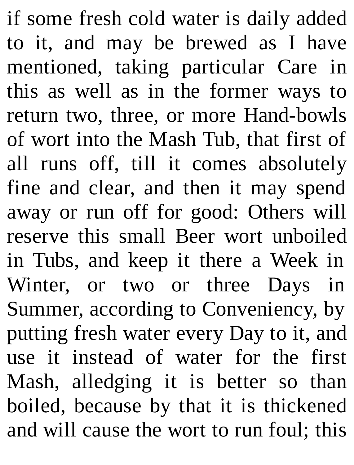if some fresh cold water is daily added to it, and may be brewed as I have mentioned, taking particular Care in this as well as in the former ways to return two, three, or more Hand-bowls of wort into the Mash Tub, that first of all runs off, till it comes absolutely fine and clear, and then it may spend away or run off for good: Others will reserve this small Beer wort unboiled in Tubs, and keep it there a Week in Winter, or two or three Days in Summer, according to Conveniency, by putting fresh water every Day to it, and use it instead of water for the first Mash, alledging it is better so than boiled, because by that it is thickened and will cause the wort to run foul; this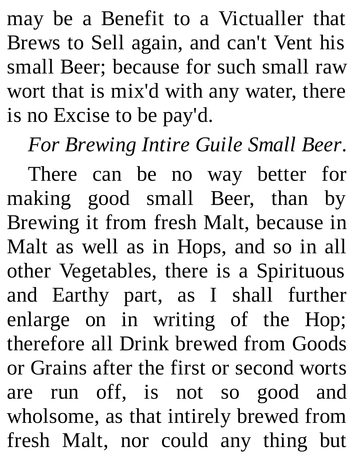may be a Benefit to a Victualler that Brews to Sell again, and can't Vent his small Beer; because for such small raw wort that is mix'd with any water, there is no Excise to be pay'd.

*For Brewing Intire Guile Small Beer*.

There can be no way better for making good small Beer, than by Brewing it from fresh Malt, because in Malt as well as in Hops, and so in all other Vegetables, there is a Spirituous and Earthy part, as I shall further enlarge on in writing of the Hop; therefore all Drink brewed from Goods or Grains after the first or second worts are run off, is not so good and wholsome, as that intirely brewed from fresh Malt, nor could any thing but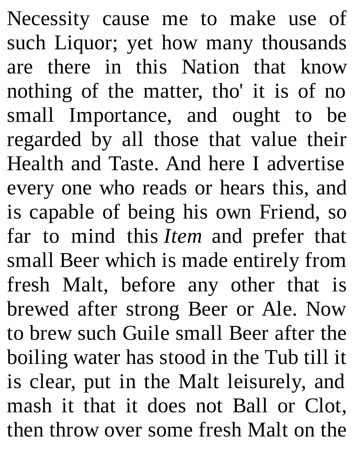Necessity cause me to make use of such Liquor; yet how many thousands are there in this Nation that know nothing of the matter, tho' it is of no small Importance, and ought to be regarded by all those that value their Health and Taste. And here I advertise every one who reads or hears this, and is capable of being his own Friend, so far to mind this *Item* and prefer that small Beer which is made entirely from fresh Malt, before any other that is brewed after strong Beer or Ale. Now to brew such Guile small Beer after the boiling water has stood in the Tub till it is clear, put in the Malt leisurely, and mash it that it does not Ball or Clot, then throw over some fresh Malt on the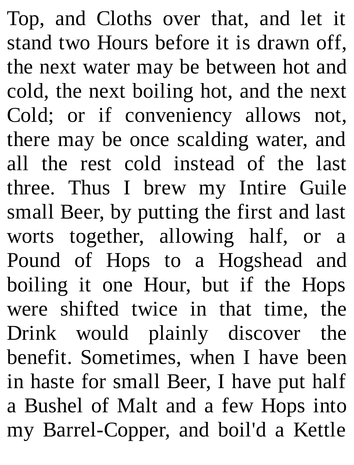Top, and Cloths over that, and let it stand two Hours before it is drawn off, the next water may be between hot and cold, the next boiling hot, and the next Cold; or if conveniency allows not, there may be once scalding water, and all the rest cold instead of the last three. Thus I brew my Intire Guile small Beer, by putting the first and last worts together, allowing half, or a Pound of Hops to a Hogshead and boiling it one Hour, but if the Hops were shifted twice in that time, the Drink would plainly discover the benefit. Sometimes, when I have been in haste for small Beer, I have put half a Bushel of Malt and a few Hops into my Barrel-Copper, and boil'd a Kettle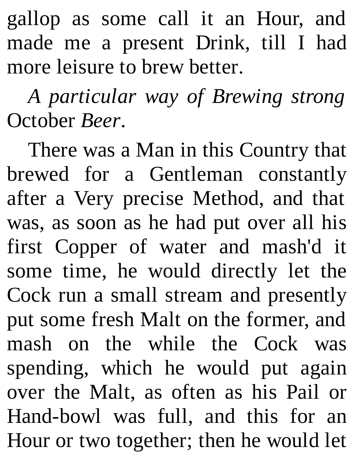gallop as some call it an Hour, and made me a present Drink, till I had more leisure to brew better.

*A particular way of Brewing strong* October *Beer*.

There was a Man in this Country that brewed for a Gentleman constantly after a Very precise Method, and that was, as soon as he had put over all his first Copper of water and mash'd it some time, he would directly let the Cock run a small stream and presently put some fresh Malt on the former, and mash on the while the Cock was spending, which he would put again over the Malt, as often as his Pail or Hand-bowl was full, and this for an Hour or two together; then he would let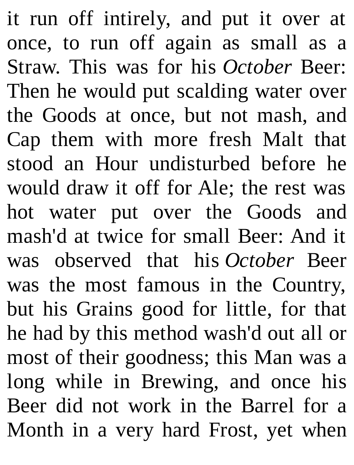it run off intirely, and put it over at once, to run off again as small as a Straw. This was for his *October* Beer: Then he would put scalding water over the Goods at once, but not mash, and Cap them with more fresh Malt that stood an Hour undisturbed before he would draw it off for Ale; the rest was hot water put over the Goods and mash'd at twice for small Beer: And it was observed that his *October* Beer was the most famous in the Country, but his Grains good for little, for that he had by this method wash'd out all or most of their goodness; this Man was a long while in Brewing, and once his Beer did not work in the Barrel for a Month in a very hard Frost, yet when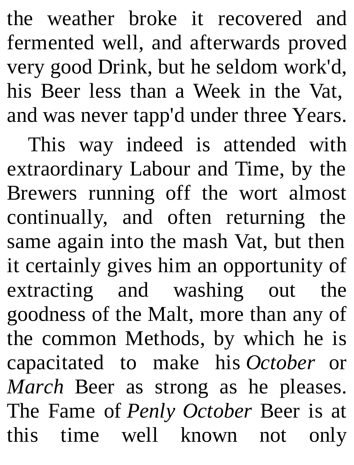the weather broke it recovered and fermented well, and afterwards proved very good Drink, but he seldom work'd, his Beer less than a Week in the Vat, and was never tapp'd under three Years.

This way indeed is attended with extraordinary Labour and Time, by the Brewers running off the wort almost continually, and often returning the same again into the mash Vat, but then it certainly gives him an opportunity of extracting and washing out the goodness of the Malt, more than any of the common Methods, by which he is capacitated to make his *October* or *March* Beer as strong as he pleases. The Fame of *Penly October* Beer is at this time well known not only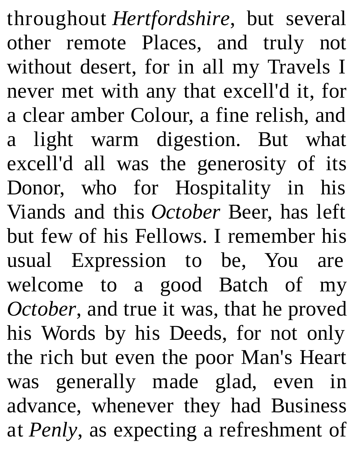throughout *Hertfordshire*, but several other remote Places, and truly not without desert, for in all my Travels I never met with any that excell'd it, for a clear amber Colour, a fine relish, and a light warm digestion. But what excell'd all was the generosity of its Donor, who for Hospitality in his Viands and this *October* Beer, has left but few of his Fellows. I remember his usual Expression to be, You are welcome to a good Batch of my *October*, and true it was, that he proved his Words by his Deeds, for not only the rich but even the poor Man's Heart was generally made glad, even in advance, whenever they had Business at *Penly*, as expecting a refreshment of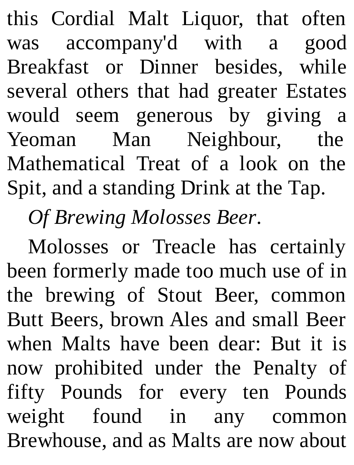this Cordial Malt Liquor, that often was accompany'd with a good Breakfast or Dinner besides, while several others that had greater Estates would seem generous by giving a Yeoman Man Neighbour, the Mathematical Treat of a look on the Spit, and a standing Drink at the Tap.

*Of Brewing Molosses Beer*.

Molosses or Treacle has certainly been formerly made too much use of in the brewing of Stout Beer, common Butt Beers, brown Ales and small Beer when Malts have been dear: But it is now prohibited under the Penalty of fifty Pounds for every ten Pounds weight found in any common Brewhouse, and as Malts are now about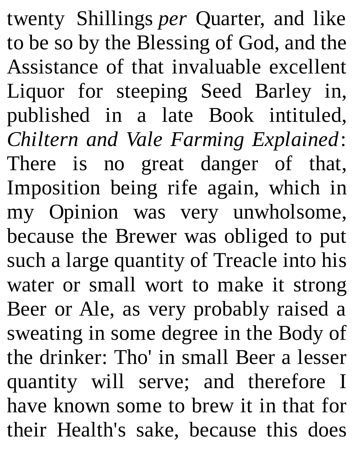twenty Shillings *per* Quarter, and like to be so by the Blessing of God, and the Assistance of that invaluable excellent Liquor for steeping Seed Barley in, published in a late Book intituled, *Chiltern and Vale Farming Explained*: There is no great danger of that, Imposition being rife again, which in my Opinion was very unwholsome, because the Brewer was obliged to put such a large quantity of Treacle into his water or small wort to make it strong Beer or Ale, as very probably raised a sweating in some degree in the Body of the drinker: Tho' in small Beer a lesser quantity will serve; and therefore I have known some to brew it in that for their Health's sake, because this does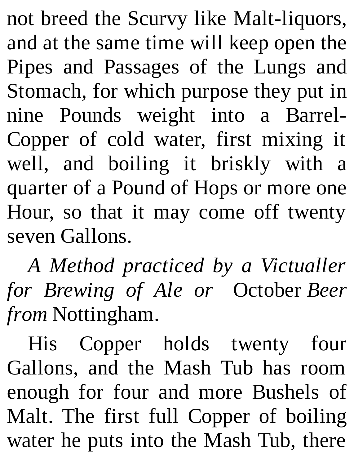not breed the Scurvy like Malt-liquors, and at the same time will keep open the Pipes and Passages of the Lungs and Stomach, for which purpose they put in nine Pounds weight into a Barrel-Copper of cold water, first mixing it well, and boiling it briskly with a quarter of a Pound of Hops or more one Hour, so that it may come off twenty seven Gallons.

*A Method practiced by a Victualler for Brewing of Ale or* October *Beer from* Nottingham.

His Copper holds twenty four Gallons, and the Mash Tub has room enough for four and more Bushels of Malt. The first full Copper of boiling water he puts into the Mash Tub, there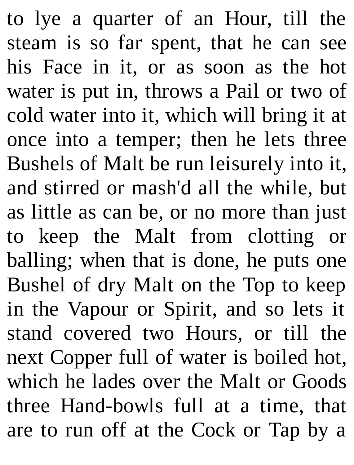to lye a quarter of an Hour, till the steam is so far spent, that he can see his Face in it, or as soon as the hot water is put in, throws a Pail or two of cold water into it, which will bring it at once into a temper; then he lets three Bushels of Malt be run leisurely into it, and stirred or mash'd all the while, but as little as can be, or no more than just to keep the Malt from clotting or balling; when that is done, he puts one Bushel of dry Malt on the Top to keep in the Vapour or Spirit, and so lets it stand covered two Hours, or till the next Copper full of water is boiled hot, which he lades over the Malt or Goods three Hand-bowls full at a time, that are to run off at the Cock or Tap by a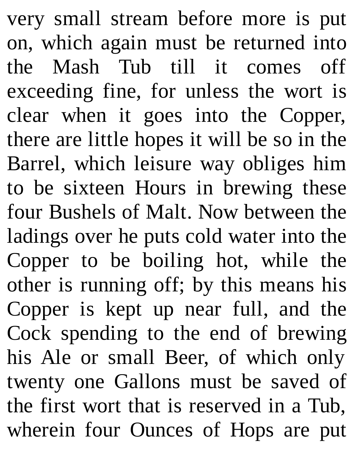very small stream before more is put on, which again must be returned into the Mash Tub till it comes off exceeding fine, for unless the wort is clear when it goes into the Copper, there are little hopes it will be so in the Barrel, which leisure way obliges him to be sixteen Hours in brewing these four Bushels of Malt. Now between the ladings over he puts cold water into the Copper to be boiling hot, while the other is running off; by this means his Copper is kept up near full, and the Cock spending to the end of brewing his Ale or small Beer, of which only twenty one Gallons must be saved of the first wort that is reserved in a Tub, wherein four Ounces of Hops are put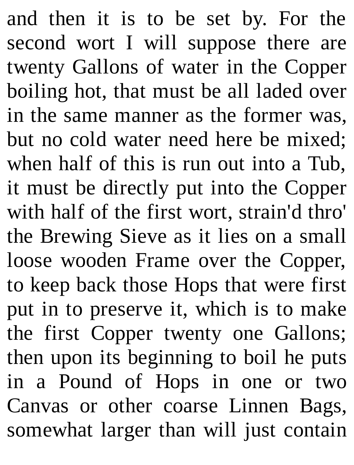and then it is to be set by. For the second wort I will suppose there are twenty Gallons of water in the Copper boiling hot, that must be all laded over in the same manner as the former was, but no cold water need here be mixed; when half of this is run out into a Tub, it must be directly put into the Copper with half of the first wort, strain'd thro' the Brewing Sieve as it lies on a small loose wooden Frame over the Copper, to keep back those Hops that were first put in to preserve it, which is to make the first Copper twenty one Gallons; then upon its beginning to boil he puts in a Pound of Hops in one or two Canvas or other coarse Linnen Bags, somewhat larger than will just contain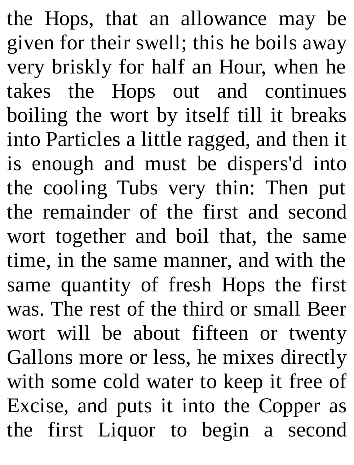the Hops, that an allowance may be given for their swell; this he boils away very briskly for half an Hour, when he takes the Hops out and continues boiling the wort by itself till it breaks into Particles a little ragged, and then it is enough and must be dispers'd into the cooling Tubs very thin: Then put the remainder of the first and second wort together and boil that, the same time, in the same manner, and with the same quantity of fresh Hops the first was. The rest of the third or small Beer wort will be about fifteen or twenty Gallons more or less, he mixes directly with some cold water to keep it free of Excise, and puts it into the Copper as the first Liquor to begin a second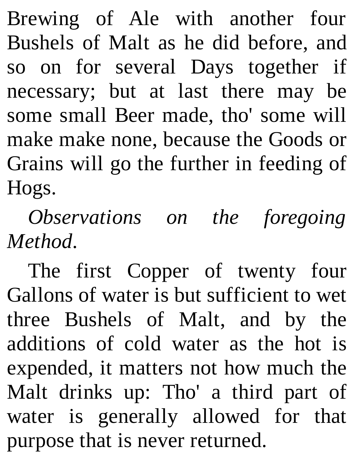Brewing of Ale with another four Bushels of Malt as he did before, and so on for several Days together if necessary; but at last there may be some small Beer made, tho' some will make make none, because the Goods or Grains will go the further in feeding of Hogs.

*Observations on the foregoing Method*.

The first Copper of twenty four Gallons of water is but sufficient to wet three Bushels of Malt, and by the additions of cold water as the hot is expended, it matters not how much the Malt drinks up: Tho' a third part of water is generally allowed for that purpose that is never returned.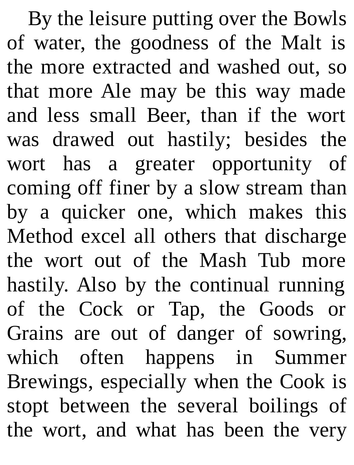By the leisure putting over the Bowls of water, the goodness of the Malt is the more extracted and washed out, so that more Ale may be this way made and less small Beer, than if the wort was drawed out hastily; besides the wort has a greater opportunity of coming off finer by a slow stream than by a quicker one, which makes this Method excel all others that discharge the wort out of the Mash Tub more hastily. Also by the continual running of the Cock or Tap, the Goods or Grains are out of danger of sowring, which often happens in Summer Brewings, especially when the Cook is stopt between the several boilings of the wort, and what has been the very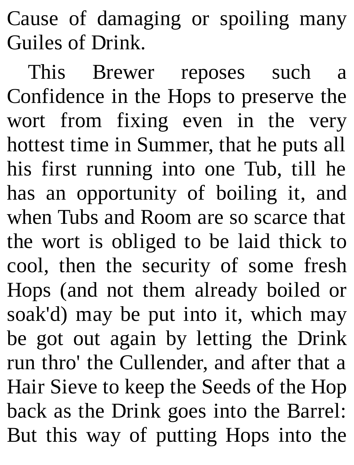Cause of damaging or spoiling many Guiles of Drink.

This Brewer reposes such a Confidence in the Hops to preserve the wort from fixing even in the very hottest time in Summer, that he puts all his first running into one Tub, till he has an opportunity of boiling it, and when Tubs and Room are so scarce that the wort is obliged to be laid thick to cool, then the security of some fresh Hops (and not them already boiled or soak'd) may be put into it, which may be got out again by letting the Drink run thro' the Cullender, and after that a Hair Sieve to keep the Seeds of the Hop back as the Drink goes into the Barrel: But this way of putting Hops into the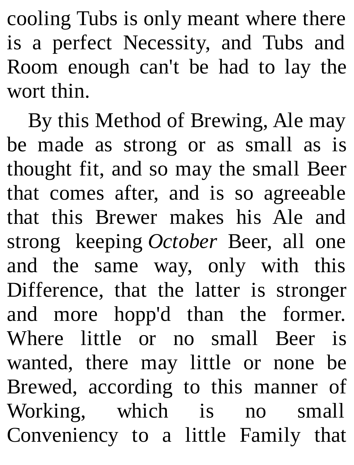cooling Tubs is only meant where there is a perfect Necessity, and Tubs and Room enough can't be had to lay the wort thin.

By this Method of Brewing, Ale may be made as strong or as small as is thought fit, and so may the small Beer that comes after, and is so agreeable that this Brewer makes his Ale and strong keeping *October* Beer, all one and the same way, only with this Difference, that the latter is stronger and more hopp'd than the former. Where little or no small Beer is wanted, there may little or none be Brewed, according to this manner of Working, which is no small Conveniency to a little Family that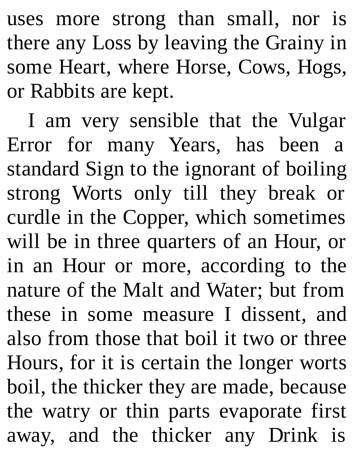uses more strong than small, nor is there any Loss by leaving the Grainy in some Heart, where Horse, Cows, Hogs, or Rabbits are kept.

I am very sensible that the Vulgar Error for many Years, has been a standard Sign to the ignorant of boiling strong Worts only till they break or curdle in the Copper, which sometimes will be in three quarters of an Hour, or in an Hour or more, according to the nature of the Malt and Water; but from these in some measure I dissent, and also from those that boil it two or three Hours, for it is certain the longer worts boil, the thicker they are made, because the watry or thin parts evaporate first away, and the thicker any Drink is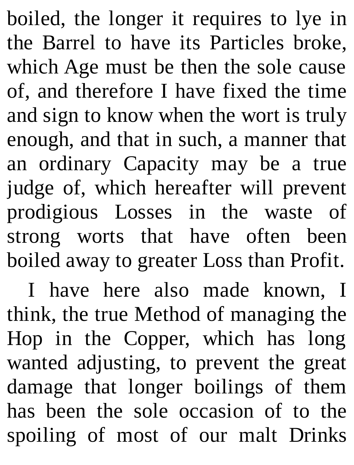boiled, the longer it requires to lye in the Barrel to have its Particles broke, which Age must be then the sole cause of, and therefore I have fixed the time and sign to know when the wort is truly enough, and that in such, a manner that an ordinary Capacity may be a true judge of, which hereafter will prevent prodigious Losses in the waste of strong worts that have often been boiled away to greater Loss than Profit.

I have here also made known, I think, the true Method of managing the Hop in the Copper, which has long wanted adjusting, to prevent the great damage that longer boilings of them has been the sole occasion of to the spoiling of most of our malt Drinks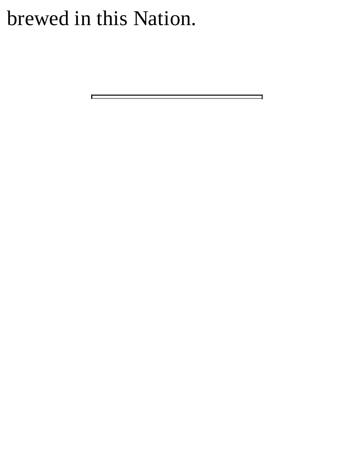## brewed in this Nation.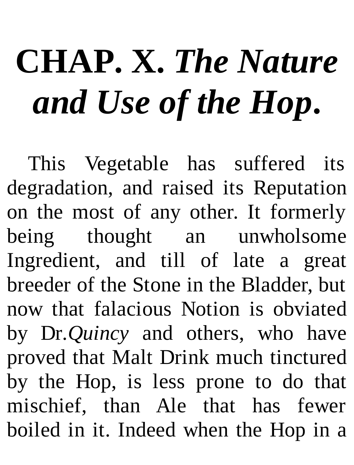## **CHAP. X.** *The Nature and Use of the Hop***.**

This Vegetable has suffered its degradation, and raised its Reputation on the most of any other. It formerly being thought an unwholsome Ingredient, and till of late a great breeder of the Stone in the Bladder, but now that falacious Notion is obviated by Dr*.Quincy* and others, who have proved that Malt Drink much tinctured by the Hop, is less prone to do that mischief, than Ale that has fewer boiled in it. Indeed when the Hop in a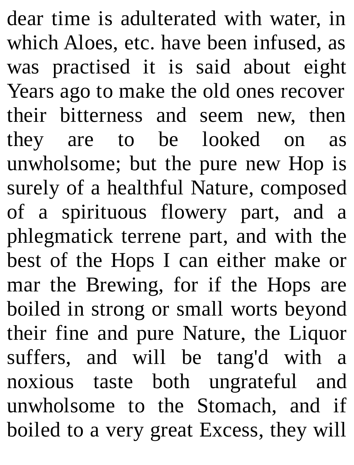dear time is adulterated with water, in which Aloes, etc. have been infused, as was practised it is said about eight Years ago to make the old ones recover their bitterness and seem new, then they are to be looked on as unwholsome; but the pure new Hop is surely of a healthful Nature, composed of a spirituous flowery part, and a phlegmatick terrene part, and with the best of the Hops I can either make or mar the Brewing, for if the Hops are boiled in strong or small worts beyond their fine and pure Nature, the Liquor suffers, and will be tang'd with a noxious taste both ungrateful and unwholsome to the Stomach, and if boiled to a very great Excess, they will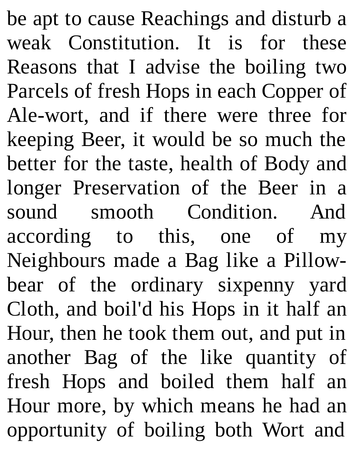be apt to cause Reachings and disturb a weak Constitution. It is for these Reasons that I advise the boiling two Parcels of fresh Hops in each Copper of Ale-wort, and if there were three for keeping Beer, it would be so much the better for the taste, health of Body and longer Preservation of the Beer in a sound smooth Condition. And according to this, one of my Neighbours made a Bag like a Pillowbear of the ordinary sixpenny yard Cloth, and boil'd his Hops in it half an Hour, then he took them out, and put in another Bag of the like quantity of fresh Hops and boiled them half an Hour more, by which means he had an opportunity of boiling both Wort and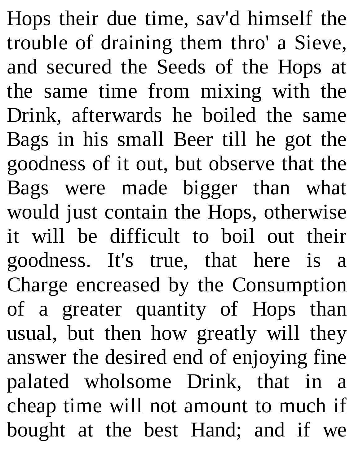Hops their due time, sav'd himself the trouble of draining them thro' a Sieve, and secured the Seeds of the Hops at the same time from mixing with the Drink, afterwards he boiled the same Bags in his small Beer till he got the goodness of it out, but observe that the Bags were made bigger than what would just contain the Hops, otherwise it will be difficult to boil out their goodness. It's true, that here is a Charge encreased by the Consumption of a greater quantity of Hops than usual, but then how greatly will they answer the desired end of enjoying fine palated wholsome Drink, that in a cheap time will not amount to much if bought at the best Hand; and if we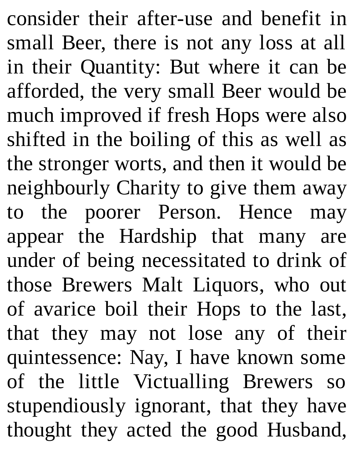consider their after-use and benefit in small Beer, there is not any loss at all in their Quantity: But where it can be afforded, the very small Beer would be much improved if fresh Hops were also shifted in the boiling of this as well as the stronger worts, and then it would be neighbourly Charity to give them away to the poorer Person. Hence may appear the Hardship that many are under of being necessitated to drink of those Brewers Malt Liquors, who out of avarice boil their Hops to the last, that they may not lose any of their quintessence: Nay, I have known some of the little Victualling Brewers so stupendiously ignorant, that they have thought they acted the good Husband,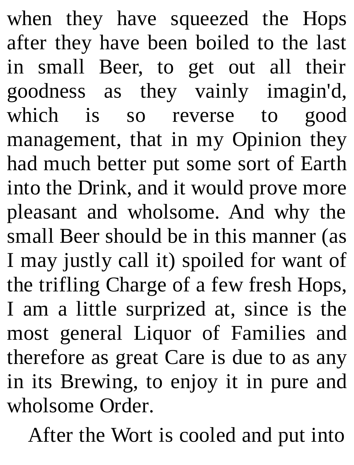when they have squeezed the Hops after they have been boiled to the last in small Beer, to get out all their goodness as they vainly imagin'd, which is so reverse to good management, that in my Opinion they had much better put some sort of Earth into the Drink, and it would prove more pleasant and wholsome. And why the small Beer should be in this manner (as I may justly call it) spoiled for want of the trifling Charge of a few fresh Hops, I am a little surprized at, since is the most general Liquor of Families and therefore as great Care is due to as any in its Brewing, to enjoy it in pure and wholsome Order.

After the Wort is cooled and put into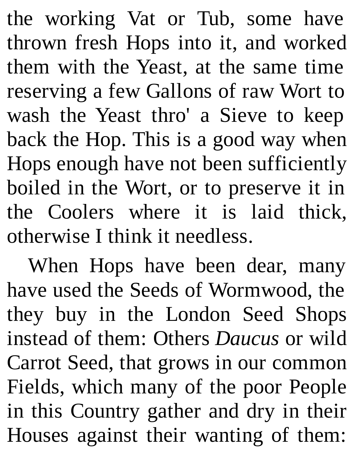the working Vat or Tub, some have thrown fresh Hops into it, and worked them with the Yeast, at the same time reserving a few Gallons of raw Wort to wash the Yeast thro' a Sieve to keep back the Hop. This is a good way when Hops enough have not been sufficiently boiled in the Wort, or to preserve it in the Coolers where it is laid thick, otherwise I think it needless.

When Hops have been dear, many have used the Seeds of Wormwood, the they buy in the London Seed Shops instead of them: Others *Daucus* or wild Carrot Seed, that grows in our common Fields, which many of the poor People in this Country gather and dry in their Houses against their wanting of them: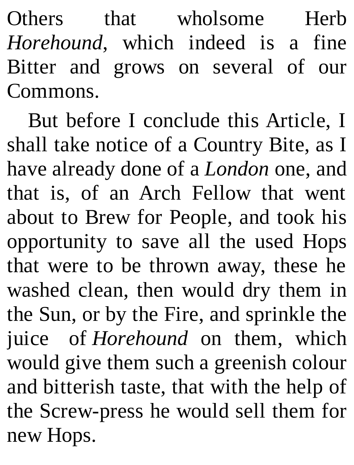Others that wholsome Herb *Horehound*, which indeed is a fine Bitter and grows on several of our Commons.

But before I conclude this Article, I shall take notice of a Country Bite, as I have already done of a *London* one, and that is, of an Arch Fellow that went about to Brew for People, and took his opportunity to save all the used Hops that were to be thrown away, these he washed clean, then would dry them in the Sun, or by the Fire, and sprinkle the juice of *Horehound* on them, which would give them such a greenish colour and bitterish taste, that with the help of the Screw-press he would sell them for new Hops.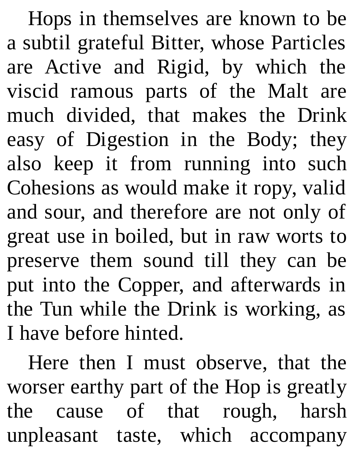Hops in themselves are known to be a subtil grateful Bitter, whose Particles are Active and Rigid, by which the viscid ramous parts of the Malt are much divided, that makes the Drink easy of Digestion in the Body; they also keep it from running into such Cohesions as would make it ropy, valid and sour, and therefore are not only of great use in boiled, but in raw worts to preserve them sound till they can be put into the Copper, and afterwards in the Tun while the Drink is working, as I have before hinted.

Here then I must observe, that the worser earthy part of the Hop is greatly the cause of that rough, harsh unpleasant taste, which accompany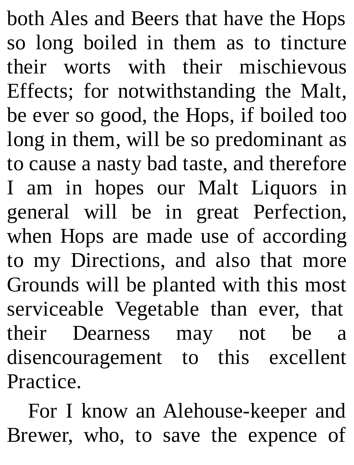both Ales and Beers that have the Hops so long boiled in them as to tincture their worts with their mischievous Effects; for notwithstanding the Malt, be ever so good, the Hops, if boiled too long in them, will be so predominant as to cause a nasty bad taste, and therefore I am in hopes our Malt Liquors in general will be in great Perfection, when Hops are made use of according to my Directions, and also that more Grounds will be planted with this most serviceable Vegetable than ever, that their Dearness may not be a disencouragement to this excellent Practice.

For I know an Alehouse-keeper and Brewer, who, to save the expence of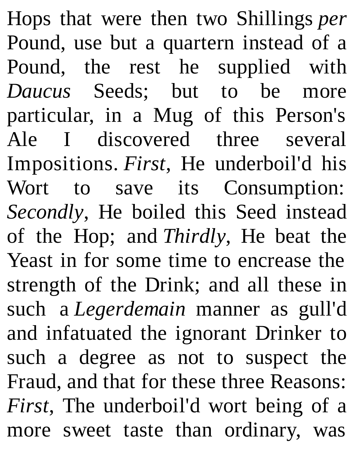Hops that were then two Shillings *per* Pound, use but a quartern instead of a Pound, the rest he supplied with *Daucus* Seeds; but to be more particular, in a Mug of this Person's Ale I discovered three several Impositions. *First*, He underboil'd his Wort to save its Consumption: *Secondly*, He boiled this Seed instead of the Hop; and *Thirdly*, He beat the Yeast in for some time to encrease the strength of the Drink; and all these in such a *Legerdemain* manner as gull'd and infatuated the ignorant Drinker to such a degree as not to suspect the Fraud, and that for these three Reasons: *First*, The underboil'd wort being of a more sweet taste than ordinary, was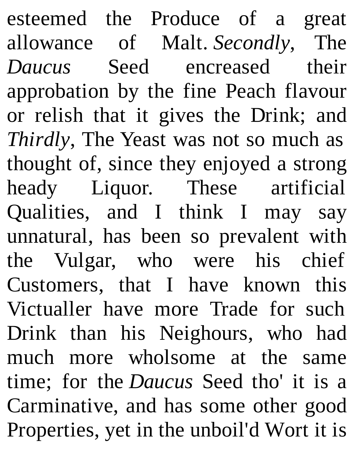esteemed the Produce of a great allowance of Malt. *Secondly*, The *Daucus* Seed encreased their approbation by the fine Peach flavour or relish that it gives the Drink; and *Thirdly*, The Yeast was not so much as thought of, since they enjoyed a strong heady Liquor. These artificial Qualities, and I think I may say unnatural, has been so prevalent with the Vulgar, who were his chief Customers, that I have known this Victualler have more Trade for such Drink than his Neighours, who had much more wholsome at the same time; for the *Daucus* Seed tho' it is a Carminative, and has some other good Properties, yet in the unboil'd Wort it is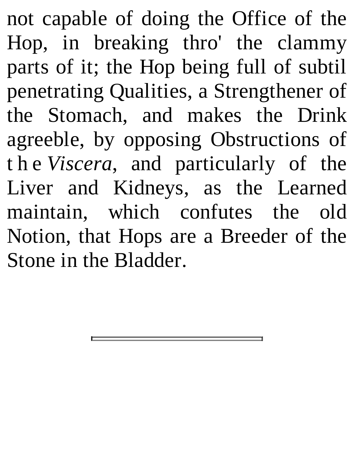not capable of doing the Office of the Hop, in breaking thro' the clammy parts of it; the Hop being full of subtil penetrating Qualities, a Strengthener of the Stomach, and makes the Drink agreeble, by opposing Obstructions of t h e *Viscera*, and particularly of the Liver and Kidneys, as the Learned maintain, which confutes the old Notion, that Hops are a Breeder of the Stone in the Bladder.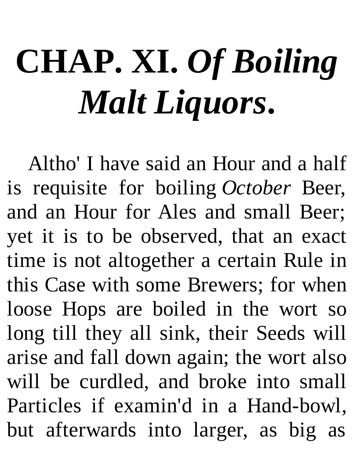## **CHAP. XI.** *Of Boiling Malt Liquors***.**

Altho' I have said an Hour and a half is requisite for boiling *October* Beer, and an Hour for Ales and small Beer; yet it is to be observed, that an exact time is not altogether a certain Rule in this Case with some Brewers; for when loose Hops are boiled in the wort so long till they all sink, their Seeds will arise and fall down again; the wort also will be curdled, and broke into small Particles if examin'd in a Hand-bowl, but afterwards into larger, as big as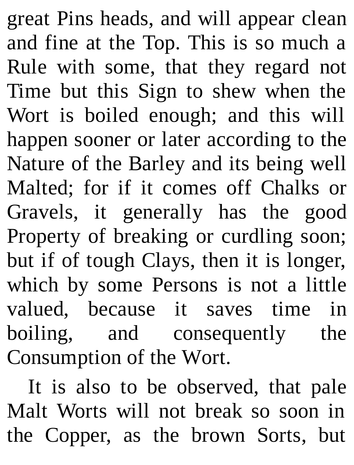great Pins heads, and will appear clean and fine at the Top. This is so much a Rule with some, that they regard not Time but this Sign to shew when the Wort is boiled enough; and this will happen sooner or later according to the Nature of the Barley and its being well Malted; for if it comes off Chalks or Gravels, it generally has the good Property of breaking or curdling soon; but if of tough Clays, then it is longer, which by some Persons is not a little valued, because it saves time in boiling, and consequently the Consumption of the Wort.

It is also to be observed, that pale Malt Worts will not break so soon in the Copper, as the brown Sorts, but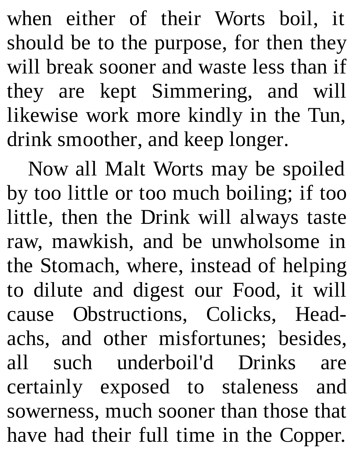when either of their Worts boil, it should be to the purpose, for then they will break sooner and waste less than if they are kept Simmering, and will likewise work more kindly in the Tun, drink smoother, and keep longer.

Now all Malt Worts may be spoiled by too little or too much boiling; if too little, then the Drink will always taste raw, mawkish, and be unwholsome in the Stomach, where, instead of helping to dilute and digest our Food, it will cause Obstructions, Colicks, Headachs, and other misfortunes; besides, all such underboil'd Drinks are certainly exposed to staleness and sowerness, much sooner than those that have had their full time in the Copper.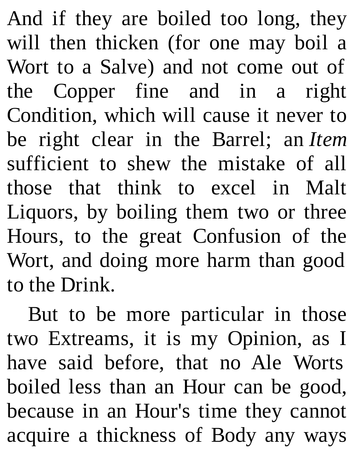And if they are boiled too long, they will then thicken (for one may boil a Wort to a Salve) and not come out of the Copper fine and in a right Condition, which will cause it never to be right clear in the Barrel; an *Item* sufficient to shew the mistake of all those that think to excel in Malt Liquors, by boiling them two or three Hours, to the great Confusion of the Wort, and doing more harm than good to the Drink.

But to be more particular in those two Extreams, it is my Opinion, as I have said before, that no Ale Worts boiled less than an Hour can be good, because in an Hour's time they cannot acquire a thickness of Body any ways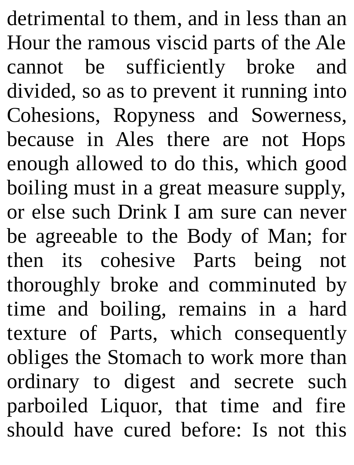detrimental to them, and in less than an Hour the ramous viscid parts of the Ale cannot be sufficiently broke and divided, so as to prevent it running into Cohesions, Ropyness and Sowerness, because in Ales there are not Hops enough allowed to do this, which good boiling must in a great measure supply, or else such Drink I am sure can never be agreeable to the Body of Man; for then its cohesive Parts being not thoroughly broke and comminuted by time and boiling, remains in a hard texture of Parts, which consequently obliges the Stomach to work more than ordinary to digest and secrete such parboiled Liquor, that time and fire should have cured before: Is not this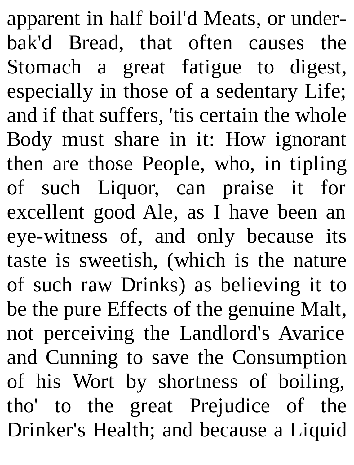apparent in half boil'd Meats, or underbak'd Bread, that often causes the Stomach a great fatigue to digest, especially in those of a sedentary Life; and if that suffers, 'tis certain the whole Body must share in it: How ignorant then are those People, who, in tipling of such Liquor, can praise it for excellent good Ale, as I have been an eye-witness of, and only because its taste is sweetish, (which is the nature of such raw Drinks) as believing it to be the pure Effects of the genuine Malt, not perceiving the Landlord's Avarice and Cunning to save the Consumption of his Wort by shortness of boiling, tho' to the great Prejudice of the Drinker's Health; and because a Liquid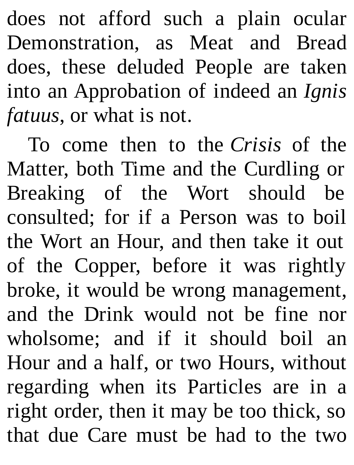does not afford such a plain ocular Demonstration, as Meat and Bread does, these deluded People are taken into an Approbation of indeed an *Ignis fatuus*, or what is not.

To come then to the *Crisis* of the Matter, both Time and the Curdling or Breaking of the Wort should be consulted; for if a Person was to boil the Wort an Hour, and then take it out of the Copper, before it was rightly broke, it would be wrong management, and the Drink would not be fine nor wholsome; and if it should boil an Hour and a half, or two Hours, without regarding when its Particles are in a right order, then it may be too thick, so that due Care must be had to the two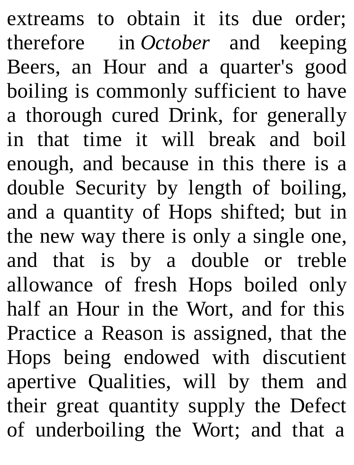extreams to obtain it its due order; therefore in *October* and keeping Beers, an Hour and a quarter's good boiling is commonly sufficient to have a thorough cured Drink, for generally in that time it will break and boil enough, and because in this there is a double Security by length of boiling, and a quantity of Hops shifted; but in the new way there is only a single one, and that is by a double or treble allowance of fresh Hops boiled only half an Hour in the Wort, and for this Practice a Reason is assigned, that the Hops being endowed with discutient apertive Qualities, will by them and their great quantity supply the Defect of underboiling the Wort; and that a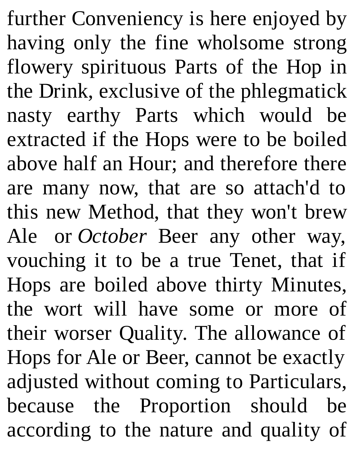further Conveniency is here enjoyed by having only the fine wholsome strong flowery spirituous Parts of the Hop in the Drink, exclusive of the phlegmatick nasty earthy Parts which would be extracted if the Hops were to be boiled above half an Hour; and therefore there are many now, that are so attach'd to this new Method, that they won't brew Ale or *October* Beer any other way, vouching it to be a true Tenet, that if Hops are boiled above thirty Minutes, the wort will have some or more of their worser Quality. The allowance of Hops for Ale or Beer, cannot be exactly adjusted without coming to Particulars, because the Proportion should be according to the nature and quality of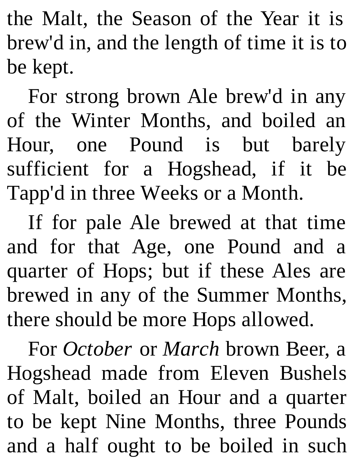the Malt, the Season of the Year it is brew'd in, and the length of time it is to be kept.

For strong brown Ale brew'd in any of the Winter Months, and boiled an Hour, one Pound is but barely sufficient for a Hogshead, if it be Tapp'd in three Weeks or a Month.

If for pale Ale brewed at that time and for that Age, one Pound and a quarter of Hops; but if these Ales are brewed in any of the Summer Months, there should be more Hops allowed.

For *October* or *March* brown Beer, a Hogshead made from Eleven Bushels of Malt, boiled an Hour and a quarter to be kept Nine Months, three Pounds and a half ought to be boiled in such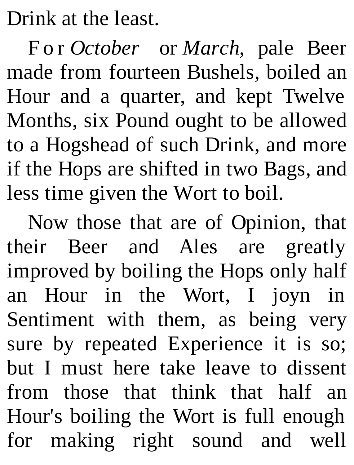Drink at the least.

F o r *October* or *March*, pale Beer made from fourteen Bushels, boiled an Hour and a quarter, and kept Twelve Months, six Pound ought to be allowed to a Hogshead of such Drink, and more if the Hops are shifted in two Bags, and less time given the Wort to boil.

Now those that are of Opinion, that their Beer and Ales are greatly improved by boiling the Hops only half an Hour in the Wort, I joyn in Sentiment with them, as being very sure by repeated Experience it is so; but I must here take leave to dissent from those that think that half an Hour's boiling the Wort is full enough for making right sound and well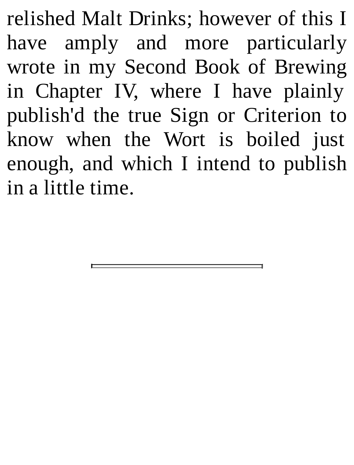relished Malt Drinks; however of this I have amply and more particularly wrote in my Second Book of Brewing in Chapter IV, where I have plainly publish'd the true Sign or Criterion to know when the Wort is boiled just enough, and which I intend to publish in a little time.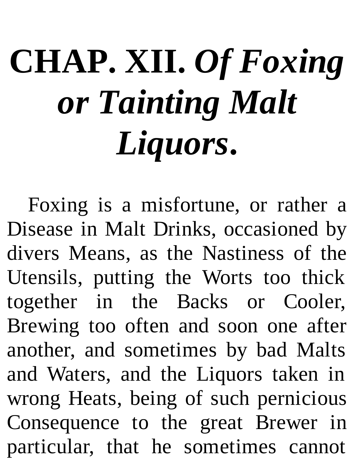## **CHAP. XII.** *Of Foxing or Tainting Malt Liquors***.**

Foxing is a misfortune, or rather a Disease in Malt Drinks, occasioned by divers Means, as the Nastiness of the Utensils, putting the Worts too thick together in the Backs or Cooler, Brewing too often and soon one after another, and sometimes by bad Malts and Waters, and the Liquors taken in wrong Heats, being of such pernicious Consequence to the great Brewer in particular, that he sometimes cannot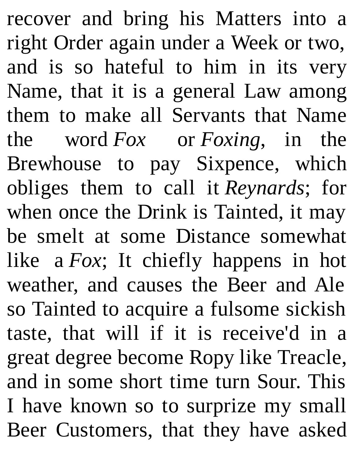recover and bring his Matters into a right Order again under a Week or two, and is so hateful to him in its very Name, that it is a general Law among them to make all Servants that Name the word *Fox* or *Foxing*, in the Brewhouse to pay Sixpence, which obliges them to call it *Reynards*; for when once the Drink is Tainted, it may be smelt at some Distance somewhat like a *Fox*; It chiefly happens in hot weather, and causes the Beer and Ale so Tainted to acquire a fulsome sickish taste, that will if it is receive'd in a great degree become Ropy like Treacle, and in some short time turn Sour. This I have known so to surprize my small Beer Customers, that they have asked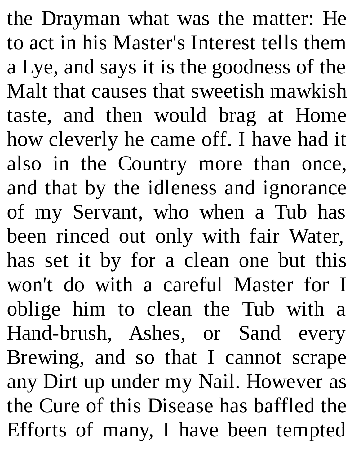the Drayman what was the matter: He to act in his Master's Interest tells them a Lye, and says it is the goodness of the Malt that causes that sweetish mawkish taste, and then would brag at Home how cleverly he came off. I have had it also in the Country more than once, and that by the idleness and ignorance of my Servant, who when a Tub has been rinced out only with fair Water, has set it by for a clean one but this won't do with a careful Master for I oblige him to clean the Tub with a Hand-brush, Ashes, or Sand every Brewing, and so that I cannot scrape any Dirt up under my Nail. However as the Cure of this Disease has baffled the Efforts of many, I have been tempted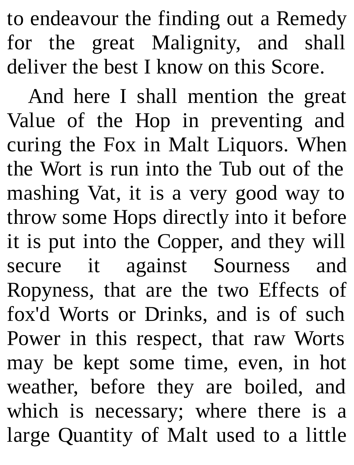to endeavour the finding out a Remedy for the great Malignity, and shall deliver the best I know on this Score.

And here I shall mention the great Value of the Hop in preventing and curing the Fox in Malt Liquors. When the Wort is run into the Tub out of the mashing Vat, it is a very good way to throw some Hops directly into it before it is put into the Copper, and they will secure it against Sourness and Ropyness, that are the two Effects of fox'd Worts or Drinks, and is of such Power in this respect, that raw Worts may be kept some time, even, in hot weather, before they are boiled, and which is necessary; where there is a large Quantity of Malt used to a little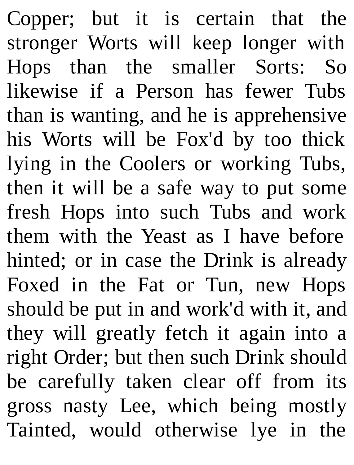Copper; but it is certain that the stronger Worts will keep longer with Hops than the smaller Sorts: So likewise if a Person has fewer Tubs than is wanting, and he is apprehensive his Worts will be Fox'd by too thick lying in the Coolers or working Tubs, then it will be a safe way to put some fresh Hops into such Tubs and work them with the Yeast as I have before hinted; or in case the Drink is already Foxed in the Fat or Tun, new Hops should be put in and work'd with it, and they will greatly fetch it again into a right Order; but then such Drink should be carefully taken clear off from its gross nasty Lee, which being mostly Tainted, would otherwise lye in the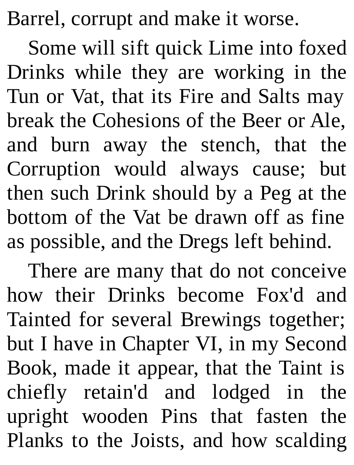Barrel, corrupt and make it worse.

Some will sift quick Lime into foxed Drinks while they are working in the Tun or Vat, that its Fire and Salts may break the Cohesions of the Beer or Ale, and burn away the stench, that the Corruption would always cause; but then such Drink should by a Peg at the bottom of the Vat be drawn off as fine as possible, and the Dregs left behind.

There are many that do not conceive how their Drinks become Fox'd and Tainted for several Brewings together; but I have in Chapter VI, in my Second Book, made it appear, that the Taint is chiefly retain'd and lodged in the upright wooden Pins that fasten the Planks to the Joists, and how scalding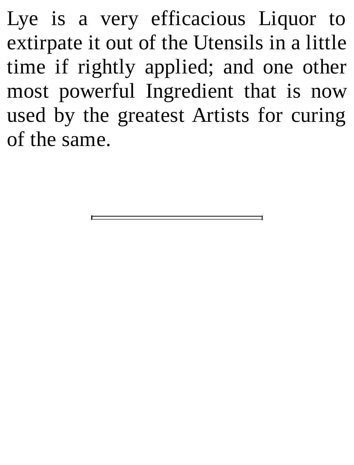Lye is a very efficacious Liquor to extirpate it out of the Utensils in a little time if rightly applied; and one other most powerful Ingredient that is now used by the greatest Artists for curing of the same.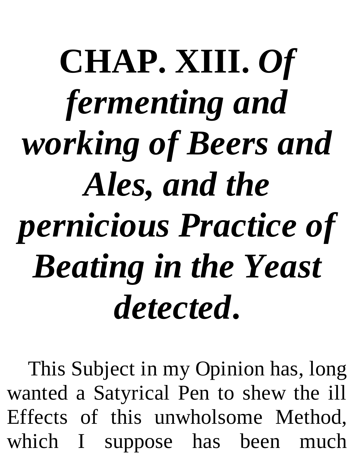## **CHAP. XIII.** *Of fermenting and working of Beers and Ales, and the pernicious Practice of Beating in the Yeast detected***.**

This Subject in my Opinion has, long wanted a Satyrical Pen to shew the ill Effects of this unwholsome Method, which I suppose has been much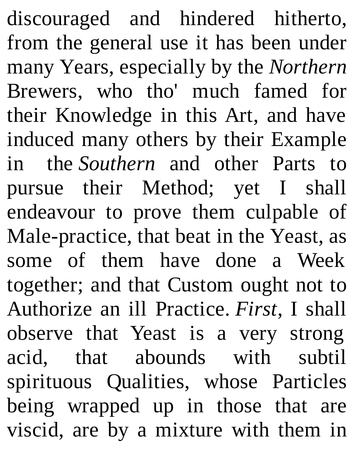discouraged and hindered hitherto, from the general use it has been under many Years, especially by the *Northern* Brewers, who tho' much famed for their Knowledge in this Art, and have induced many others by their Example in the *Southern* and other Parts to pursue their Method; yet I shall endeavour to prove them culpable of Male-practice, that beat in the Yeast, as some of them have done a Week together; and that Custom ought not to Authorize an ill Practice. *First*, I shall observe that Yeast is a very strong acid, that abounds with subtil spirituous Qualities, whose Particles being wrapped up in those that are viscid, are by a mixture with them in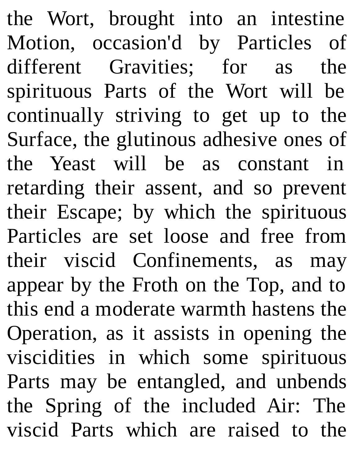the Wort, brought into an intestine Motion, occasion'd by Particles of different Gravities; for as the spirituous Parts of the Wort will be continually striving to get up to the Surface, the glutinous adhesive ones of the Yeast will be as constant in retarding their assent, and so prevent their Escape; by which the spirituous Particles are set loose and free from their viscid Confinements, as may appear by the Froth on the Top, and to this end a moderate warmth hastens the Operation, as it assists in opening the viscidities in which some spirituous Parts may be entangled, and unbends the Spring of the included Air: The viscid Parts which are raised to the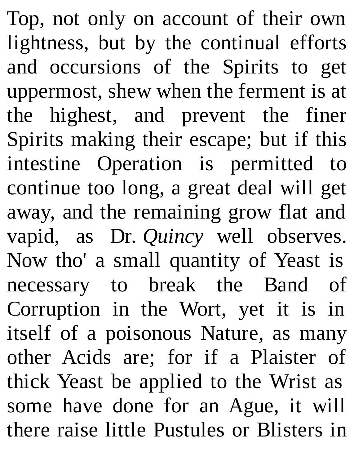Top, not only on account of their own lightness, but by the continual efforts and occursions of the Spirits to get uppermost, shew when the ferment is at the highest, and prevent the finer Spirits making their escape; but if this intestine Operation is permitted to continue too long, a great deal will get away, and the remaining grow flat and vapid, as Dr. *Quincy* well observes. Now tho' a small quantity of Yeast is necessary to break the Band of Corruption in the Wort, yet it is in itself of a poisonous Nature, as many other Acids are; for if a Plaister of thick Yeast be applied to the Wrist as some have done for an Ague, it will there raise little Pustules or Blisters in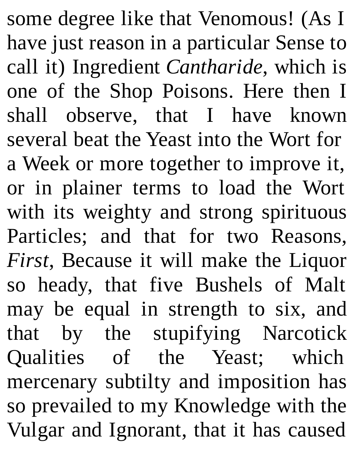some degree like that Venomous! (As I have just reason in a particular Sense to call it) Ingredient *Cantharide*, which is one of the Shop Poisons. Here then I shall observe, that I have known several beat the Yeast into the Wort for a Week or more together to improve it, or in plainer terms to load the Wort with its weighty and strong spirituous Particles; and that for two Reasons, *First*, Because it will make the Liquor so heady, that five Bushels of Malt may be equal in strength to six, and that by the stupifying Narcotick Qualities of the Yeast; which mercenary subtilty and imposition has so prevailed to my Knowledge with the Vulgar and Ignorant, that it has caused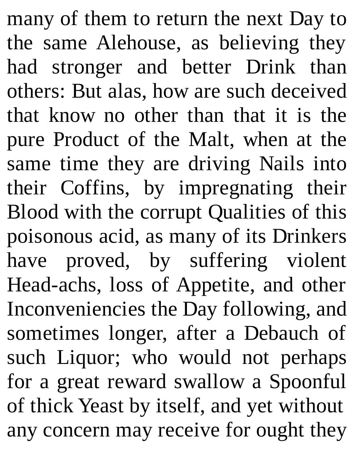many of them to return the next Day to the same Alehouse, as believing they had stronger and better Drink than others: But alas, how are such deceived that know no other than that it is the pure Product of the Malt, when at the same time they are driving Nails into their Coffins, by impregnating their Blood with the corrupt Qualities of this poisonous acid, as many of its Drinkers have proved, by suffering violent Head-achs, loss of Appetite, and other Inconveniencies the Day following, and sometimes longer, after a Debauch of such Liquor; who would not perhaps for a great reward swallow a Spoonful of thick Yeast by itself, and yet without any concern may receive for ought they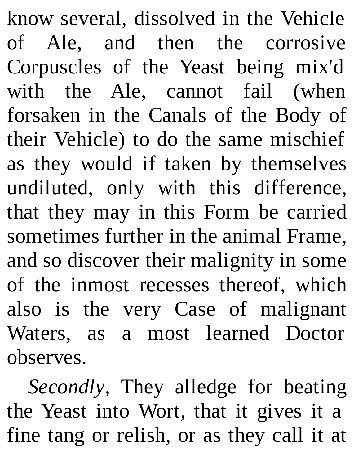know several, dissolved in the Vehicle of Ale, and then the corrosive Corpuscles of the Yeast being mix'd with the Ale, cannot fail (when forsaken in the Canals of the Body of their Vehicle) to do the same mischief as they would if taken by themselves undiluted, only with this difference, that they may in this Form be carried sometimes further in the animal Frame, and so discover their malignity in some of the inmost recesses thereof, which also is the very Case of malignant Waters, as a most learned Doctor observes.

*Secondly*, They alledge for beating the Yeast into Wort, that it gives it a fine tang or relish, or as they call it at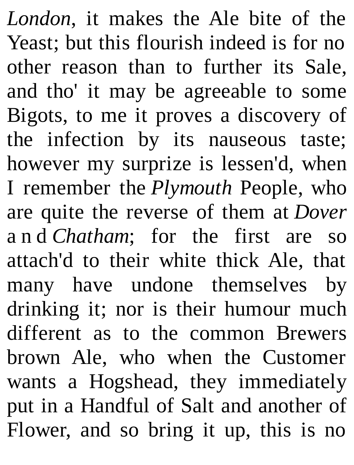*London*, it makes the Ale bite of the Yeast; but this flourish indeed is for no other reason than to further its Sale, and tho' it may be agreeable to some Bigots, to me it proves a discovery of the infection by its nauseous taste; however my surprize is lessen'd, when I remember the *Plymouth* People, who are quite the reverse of them at *Dover* a n d *Chatham*; for the first are so attach'd to their white thick Ale, that many have undone themselves by drinking it; nor is their humour much different as to the common Brewers brown Ale, who when the Customer wants a Hogshead, they immediately put in a Handful of Salt and another of Flower, and so bring it up, this is no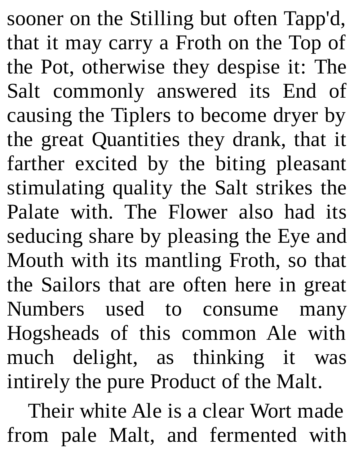sooner on the Stilling but often Tapp'd, that it may carry a Froth on the Top of the Pot, otherwise they despise it: The Salt commonly answered its End of causing the Tiplers to become dryer by the great Quantities they drank, that it farther excited by the biting pleasant stimulating quality the Salt strikes the Palate with. The Flower also had its seducing share by pleasing the Eye and Mouth with its mantling Froth, so that the Sailors that are often here in great Numbers used to consume many Hogsheads of this common Ale with much delight, as thinking it was intirely the pure Product of the Malt.

Their white Ale is a clear Wort made from pale Malt, and fermented with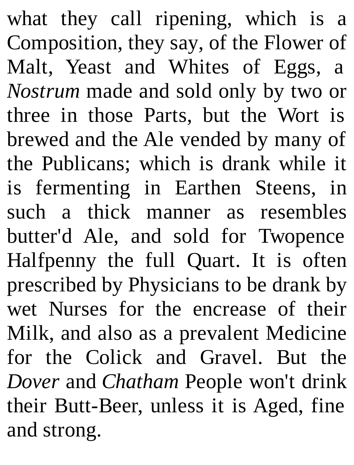what they call ripening, which is a Composition, they say, of the Flower of Malt, Yeast and Whites of Eggs, a *Nostrum* made and sold only by two or three in those Parts, but the Wort is brewed and the Ale vended by many of the Publicans; which is drank while it is fermenting in Earthen Steens, in such a thick manner as resembles butter'd Ale, and sold for Twopence Halfpenny the full Quart. It is often prescribed by Physicians to be drank by wet Nurses for the encrease of their Milk, and also as a prevalent Medicine for the Colick and Gravel. But the *Dover* and *Chatham* People won't drink their Butt-Beer, unless it is Aged, fine and strong.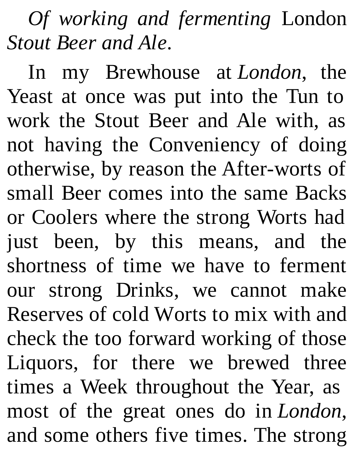*Of working and fermenting* London *Stout Beer and Ale*.

In my Brewhouse at *London*, the Yeast at once was put into the Tun to work the Stout Beer and Ale with, as not having the Conveniency of doing otherwise, by reason the After-worts of small Beer comes into the same Backs or Coolers where the strong Worts had just been, by this means, and the shortness of time we have to ferment our strong Drinks, we cannot make Reserves of cold Worts to mix with and check the too forward working of those Liquors, for there we brewed three times a Week throughout the Year, as most of the great ones do in *London*, and some others five times. The strong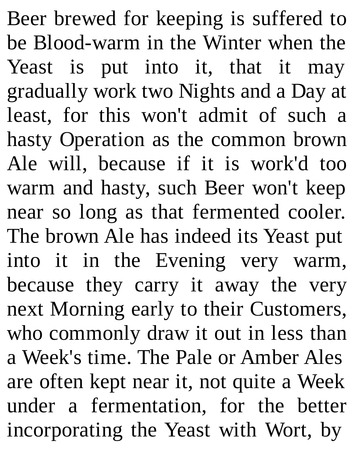Beer brewed for keeping is suffered to be Blood-warm in the Winter when the Yeast is put into it, that it may gradually work two Nights and a Day at least, for this won't admit of such a hasty Operation as the common brown Ale will, because if it is work'd too warm and hasty, such Beer won't keep near so long as that fermented cooler. The brown Ale has indeed its Yeast put into it in the Evening very warm, because they carry it away the very next Morning early to their Customers, who commonly draw it out in less than a Week's time. The Pale or Amber Ales are often kept near it, not quite a Week under a fermentation, for the better incorporating the Yeast with Wort, by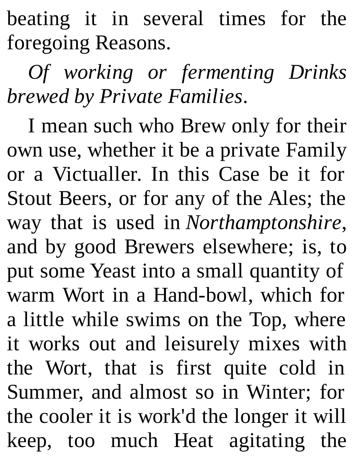beating it in several times for the foregoing Reasons.

*Of working or fermenting Drinks brewed by Private Families*.

I mean such who Brew only for their own use, whether it be a private Family or a Victualler. In this Case be it for Stout Beers, or for any of the Ales; the way that is used in *Northamptonshire*, and by good Brewers elsewhere; is, to put some Yeast into a small quantity of warm Wort in a Hand-bowl, which for a little while swims on the Top, where it works out and leisurely mixes with the Wort, that is first quite cold in Summer, and almost so in Winter; for the cooler it is work'd the longer it will keep, too much Heat agitating the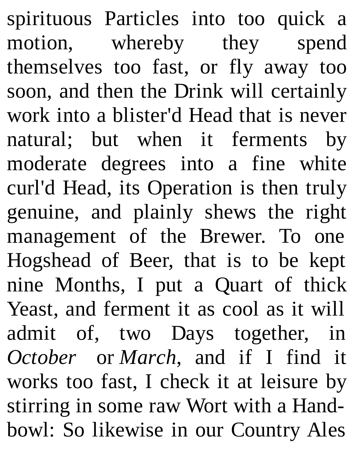spirituous Particles into too quick a motion, whereby they spend themselves too fast, or fly away too soon, and then the Drink will certainly work into a blister'd Head that is never natural; but when it ferments by moderate degrees into a fine white curl'd Head, its Operation is then truly genuine, and plainly shews the right management of the Brewer. To one Hogshead of Beer, that is to be kept nine Months, I put a Quart of thick Yeast, and ferment it as cool as it will admit of, two Days together, in *October* or *March*, and if I find it works too fast, I check it at leisure by stirring in some raw Wort with a Handbowl: So likewise in our Country Ales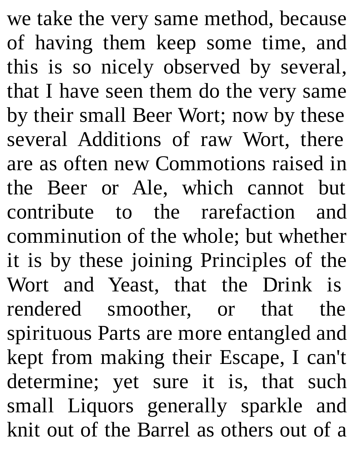we take the very same method, because of having them keep some time, and this is so nicely observed by several, that I have seen them do the very same by their small Beer Wort; now by these several Additions of raw Wort, there are as often new Commotions raised in the Beer or Ale, which cannot but contribute to the rarefaction and comminution of the whole; but whether it is by these joining Principles of the Wort and Yeast, that the Drink is rendered smoother, or that the spirituous Parts are more entangled and kept from making their Escape, I can't determine; yet sure it is, that such small Liquors generally sparkle and knit out of the Barrel as others out of a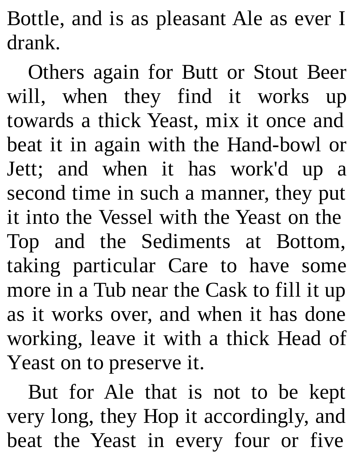Bottle, and is as pleasant Ale as ever I drank.

Others again for Butt or Stout Beer will, when they find it works up towards a thick Yeast, mix it once and beat it in again with the Hand-bowl or Jett; and when it has work'd up a second time in such a manner, they put it into the Vessel with the Yeast on the Top and the Sediments at Bottom, taking particular Care to have some more in a Tub near the Cask to fill it up as it works over, and when it has done working, leave it with a thick Head of Yeast on to preserve it.

But for Ale that is not to be kept very long, they Hop it accordingly, and beat the Yeast in every four or five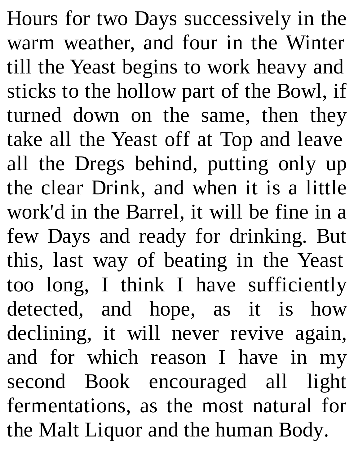Hours for two Days successively in the warm weather, and four in the Winter till the Yeast begins to work heavy and sticks to the hollow part of the Bowl, if turned down on the same, then they take all the Yeast off at Top and leave all the Dregs behind, putting only up the clear Drink, and when it is a little work'd in the Barrel, it will be fine in a few Days and ready for drinking. But this, last way of beating in the Yeast too long, I think I have sufficiently detected, and hope, as it is how declining, it will never revive again, and for which reason I have in my second Book encouraged all light fermentations, as the most natural for the Malt Liquor and the human Body.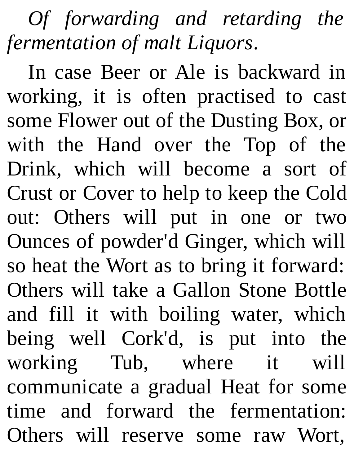*Of forwarding and retarding the fermentation of malt Liquors*.

In case Beer or Ale is backward in working, it is often practised to cast some Flower out of the Dusting Box, or with the Hand over the Top of the Drink, which will become a sort of Crust or Cover to help to keep the Cold out: Others will put in one or two Ounces of powder'd Ginger, which will so heat the Wort as to bring it forward: Others will take a Gallon Stone Bottle and fill it with boiling water, which being well Cork'd, is put into the working Tub, where it will communicate a gradual Heat for some time and forward the fermentation: Others will reserve some raw Wort,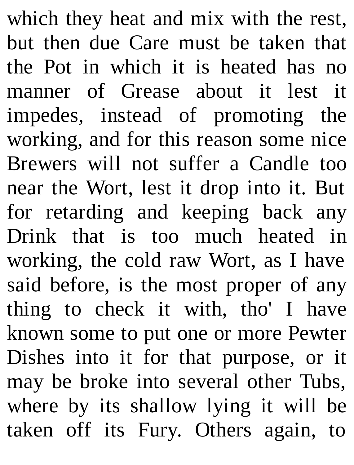which they heat and mix with the rest, but then due Care must be taken that the Pot in which it is heated has no manner of Grease about it lest it impedes, instead of promoting the working, and for this reason some nice Brewers will not suffer a Candle too near the Wort, lest it drop into it. But for retarding and keeping back any Drink that is too much heated in working, the cold raw Wort, as I have said before, is the most proper of any thing to check it with, tho' I have known some to put one or more Pewter Dishes into it for that purpose, or it may be broke into several other Tubs, where by its shallow lying it will be taken off its Fury. Others again, to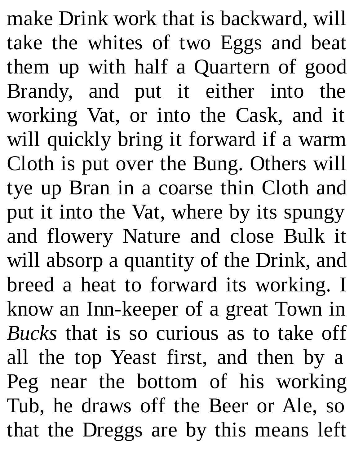make Drink work that is backward, will take the whites of two Eggs and beat them up with half a Quartern of good Brandy, and put it either into the working Vat, or into the Cask, and it will quickly bring it forward if a warm Cloth is put over the Bung. Others will tye up Bran in a coarse thin Cloth and put it into the Vat, where by its spungy and flowery Nature and close Bulk it will absorp a quantity of the Drink, and breed a heat to forward its working. I know an Inn-keeper of a great Town in *Bucks* that is so curious as to take off all the top Yeast first, and then by a Peg near the bottom of his working Tub, he draws off the Beer or Ale, so that the Dreggs are by this means left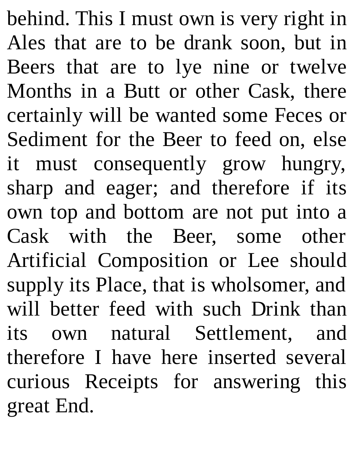behind. This I must own is very right in Ales that are to be drank soon, but in Beers that are to lye nine or twelve Months in a Butt or other Cask, there certainly will be wanted some Feces or Sediment for the Beer to feed on, else it must consequently grow hungry, sharp and eager; and therefore if its own top and bottom are not put into a Cask with the Beer, some other Artificial Composition or Lee should supply its Place, that is wholsomer, and will better feed with such Drink than its own natural Settlement, and therefore I have here inserted several curious Receipts for answering this great End.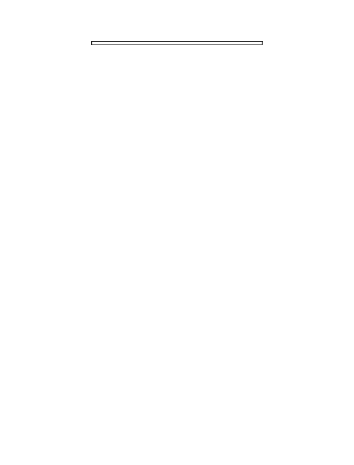$\overline{a}$  and  $\overline{a}$  and  $\overline{a}$  and  $\overline{a}$  and  $\overline{a}$  and  $\overline{a}$  and  $\overline{a}$  and  $\overline{a}$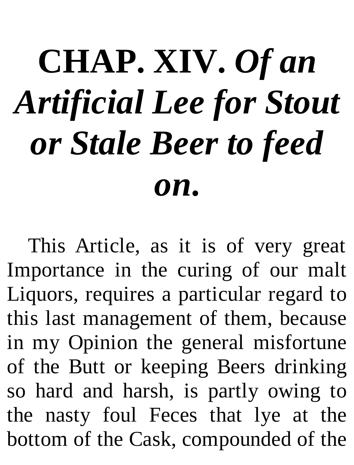# **CHAP. XIV.** *Of an Artificial Lee for Stout or Stale Beer to feed on***.**

This Article, as it is of very great Importance in the curing of our malt Liquors, requires a particular regard to this last management of them, because in my Opinion the general misfortune of the Butt or keeping Beers drinking so hard and harsh, is partly owing to the nasty foul Feces that lye at the bottom of the Cask, compounded of the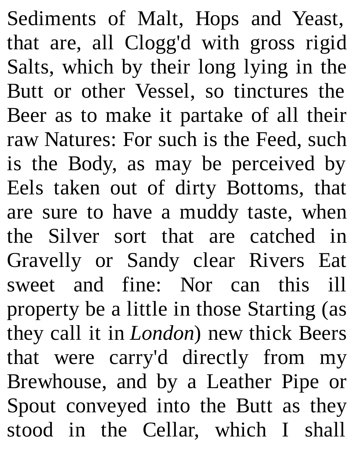Sediments of Malt, Hops and Yeast, that are, all Clogg'd with gross rigid Salts, which by their long lying in the Butt or other Vessel, so tinctures the Beer as to make it partake of all their raw Natures: For such is the Feed, such is the Body, as may be perceived by Eels taken out of dirty Bottoms, that are sure to have a muddy taste, when the Silver sort that are catched in Gravelly or Sandy clear Rivers Eat sweet and fine: Nor can this ill property be a little in those Starting (as they call it in *London*) new thick Beers that were carry'd directly from my Brewhouse, and by a Leather Pipe or Spout conveyed into the Butt as they stood in the Cellar, which I shall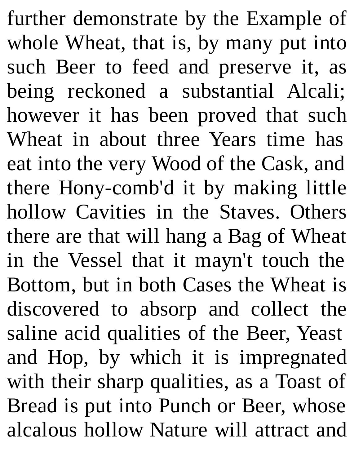further demonstrate by the Example of whole Wheat, that is, by many put into such Beer to feed and preserve it, as being reckoned a substantial Alcali; however it has been proved that such Wheat in about three Years time has eat into the very Wood of the Cask, and there Hony-comb'd it by making little hollow Cavities in the Staves. Others there are that will hang a Bag of Wheat in the Vessel that it mayn't touch the Bottom, but in both Cases the Wheat is discovered to absorp and collect the saline acid qualities of the Beer, Yeast and Hop, by which it is impregnated with their sharp qualities, as a Toast of Bread is put into Punch or Beer, whose alcalous hollow Nature will attract and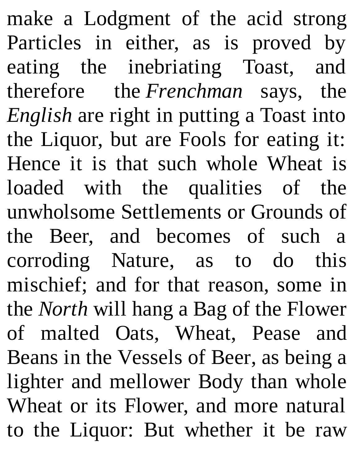make a Lodgment of the acid strong Particles in either, as is proved by eating the inebriating Toast, and therefore the *Frenchman* says, the *English* are right in putting a Toast into the Liquor, but are Fools for eating it: Hence it is that such whole Wheat is loaded with the qualities of the unwholsome Settlements or Grounds of the Beer, and becomes of such a corroding Nature, as to do this mischief; and for that reason, some in the *North* will hang a Bag of the Flower of malted Oats, Wheat, Pease and Beans in the Vessels of Beer, as being a lighter and mellower Body than whole Wheat or its Flower, and more natural to the Liquor: But whether it be raw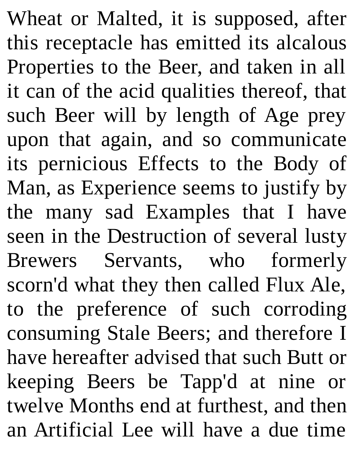Wheat or Malted, it is supposed, after this receptacle has emitted its alcalous Properties to the Beer, and taken in all it can of the acid qualities thereof, that such Beer will by length of Age prey upon that again, and so communicate its pernicious Effects to the Body of Man, as Experience seems to justify by the many sad Examples that I have seen in the Destruction of several lusty Brewers Servants, who formerly scorn'd what they then called Flux Ale, to the preference of such corroding consuming Stale Beers; and therefore I have hereafter advised that such Butt or keeping Beers be Tapp'd at nine or twelve Months end at furthest, and then an Artificial Lee will have a due time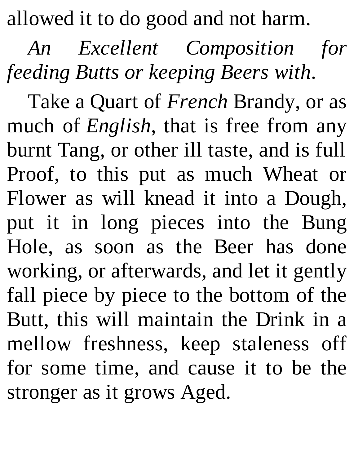allowed it to do good and not harm.

*An Excellent Composition for feeding Butts or keeping Beers with*.

Take a Quart of *French* Brandy, or as much of *English*, that is free from any burnt Tang, or other ill taste, and is full Proof, to this put as much Wheat or Flower as will knead it into a Dough, put it in long pieces into the Bung Hole, as soon as the Beer has done working, or afterwards, and let it gently fall piece by piece to the bottom of the Butt, this will maintain the Drink in a mellow freshness, keep staleness off for some time, and cause it to be the stronger as it grows Aged.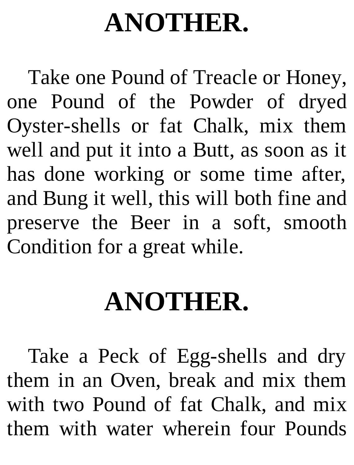### **ANOTHER.**

Take one Pound of Treacle or Honey, one Pound of the Powder of dryed Oyster-shells or fat Chalk, mix them well and put it into a Butt, as soon as it has done working or some time after, and Bung it well, this will both fine and preserve the Beer in a soft, smooth Condition for a great while.

#### **ANOTHER.**

Take a Peck of Egg-shells and dry them in an Oven, break and mix them with two Pound of fat Chalk, and mix them with water wherein four Pounds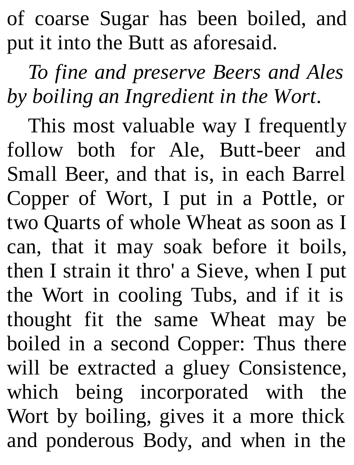of coarse Sugar has been boiled, and put it into the Butt as aforesaid.

*To fine and preserve Beers and Ales by boiling an Ingredient in the Wort*.

This most valuable way I frequently follow both for Ale, Butt-beer and Small Beer, and that is, in each Barrel Copper of Wort, I put in a Pottle, or two Quarts of whole Wheat as soon as I can, that it may soak before it boils, then I strain it thro' a Sieve, when I put the Wort in cooling Tubs, and if it is thought fit the same Wheat may be boiled in a second Copper: Thus there will be extracted a gluey Consistence, which being incorporated with the Wort by boiling, gives it a more thick and ponderous Body, and when in the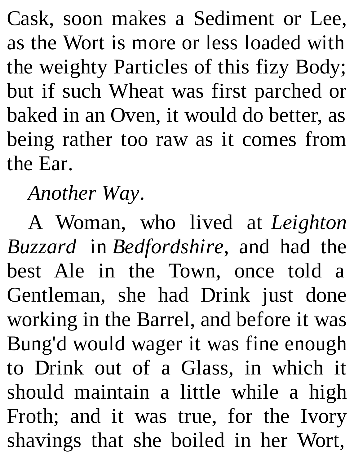Cask, soon makes a Sediment or Lee, as the Wort is more or less loaded with the weighty Particles of this fizy Body; but if such Wheat was first parched or baked in an Oven, it would do better, as being rather too raw as it comes from the Ear.

*Another Way*.

A Woman, who lived at *Leighton Buzzard* in *Bedfordshire*, and had the best Ale in the Town, once told a Gentleman, she had Drink just done working in the Barrel, and before it was Bung'd would wager it was fine enough to Drink out of a Glass, in which it should maintain a little while a high Froth; and it was true, for the Ivory shavings that she boiled in her Wort,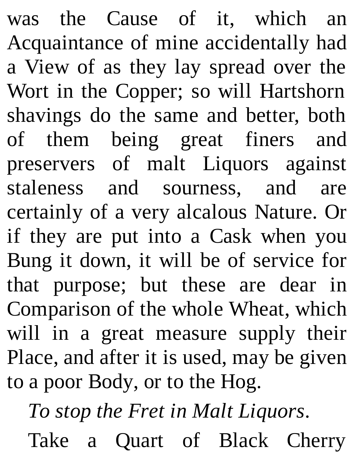was the Cause of it, which an Acquaintance of mine accidentally had a View of as they lay spread over the Wort in the Copper; so will Hartshorn shavings do the same and better, both of them being great finers and preservers of malt Liquors against staleness and sourness, and are certainly of a very alcalous Nature. Or if they are put into a Cask when you Bung it down, it will be of service for that purpose; but these are dear in Comparison of the whole Wheat, which will in a great measure supply their Place, and after it is used, may be given to a poor Body, or to the Hog.

*To stop the Fret in Malt Liquors*. Take a Quart of Black Cherry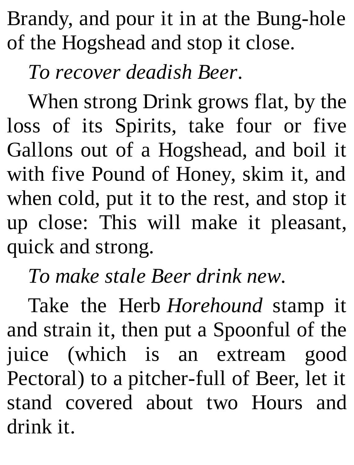Brandy, and pour it in at the Bung-hole of the Hogshead and stop it close.

*To recover deadish Beer*.

When strong Drink grows flat, by the loss of its Spirits, take four or five Gallons out of a Hogshead, and boil it with five Pound of Honey, skim it, and when cold, put it to the rest, and stop it up close: This will make it pleasant, quick and strong.

*To make stale Beer drink new*.

Take the Herb *Horehound* stamp it and strain it, then put a Spoonful of the juice (which is an extream good Pectoral) to a pitcher-full of Beer, let it stand covered about two Hours and drink it.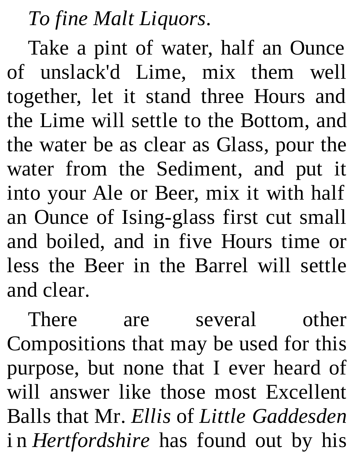*To fine Malt Liquors*.

Take a pint of water, half an Ounce of unslack'd Lime, mix them well together, let it stand three Hours and the Lime will settle to the Bottom, and the water be as clear as Glass, pour the water from the Sediment, and put it into your Ale or Beer, mix it with half an Ounce of Ising-glass first cut small and boiled, and in five Hours time or less the Beer in the Barrel will settle and clear.

There are several other Compositions that may be used for this purpose, but none that I ever heard of will answer like those most Excellent Balls that Mr. *Ellis* of *Little Gaddesden* i n *Hertfordshire* has found out by his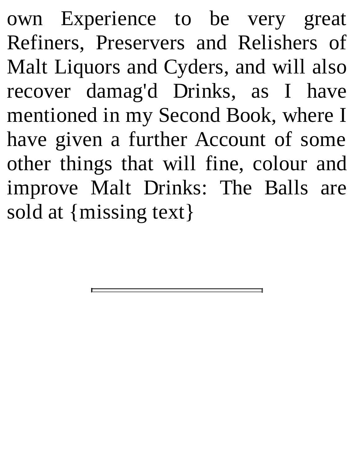own Experience to be very great Refiners, Preservers and Relishers of Malt Liquors and Cyders, and will also recover damag'd Drinks, as I have mentioned in my Second Book, where I have given a further Account of some other things that will fine, colour and improve Malt Drinks: The Balls are sold at {missing text}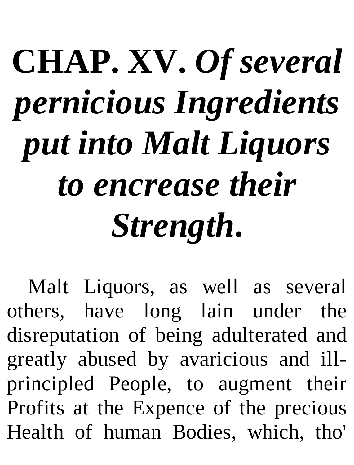# **CHAP. XV.** *Of several pernicious Ingredients put into Malt Liquors to encrease their Strength***.**

Malt Liquors, as well as several others, have long lain under the disreputation of being adulterated and greatly abused by avaricious and illprincipled People, to augment their Profits at the Expence of the precious Health of human Bodies, which, tho'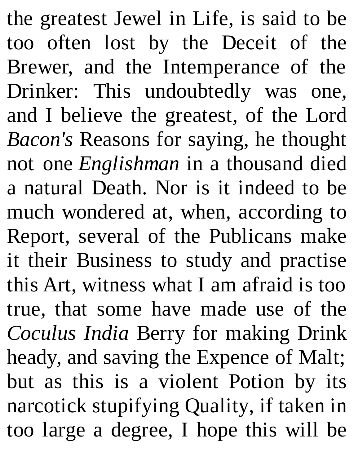the greatest Jewel in Life, is said to be too often lost by the Deceit of the Brewer, and the Intemperance of the Drinker: This undoubtedly was one, and I believe the greatest, of the Lord *Bacon's* Reasons for saying, he thought not one *Englishman* in a thousand died a natural Death. Nor is it indeed to be much wondered at, when, according to Report, several of the Publicans make it their Business to study and practise this Art, witness what I am afraid is too true, that some have made use of the *Coculus India* Berry for making Drink heady, and saving the Expence of Malt; but as this is a violent Potion by its narcotick stupifying Quality, if taken in too large a degree, I hope this will be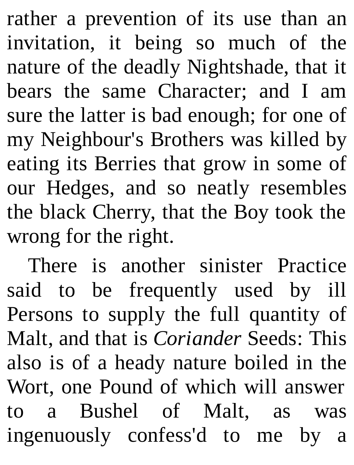rather a prevention of its use than an invitation, it being so much of the nature of the deadly Nightshade, that it bears the same Character; and I am sure the latter is bad enough; for one of my Neighbour's Brothers was killed by eating its Berries that grow in some of our Hedges, and so neatly resembles the black Cherry, that the Boy took the wrong for the right.

There is another sinister Practice said to be frequently used by ill Persons to supply the full quantity of Malt, and that is *Coriander* Seeds: This also is of a heady nature boiled in the Wort, one Pound of which will answer to a Bushel of Malt, as was ingenuously confess'd to me by a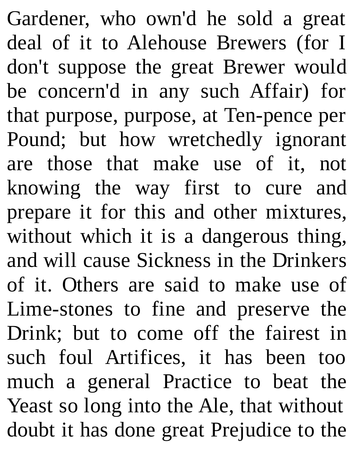Gardener, who own'd he sold a great deal of it to Alehouse Brewers (for I don't suppose the great Brewer would be concern'd in any such Affair) for that purpose, purpose, at Ten-pence per Pound; but how wretchedly ignorant are those that make use of it, not knowing the way first to cure and prepare it for this and other mixtures, without which it is a dangerous thing, and will cause Sickness in the Drinkers of it. Others are said to make use of Lime-stones to fine and preserve the Drink; but to come off the fairest in such foul Artifices, it has been too much a general Practice to beat the Yeast so long into the Ale, that without doubt it has done great Prejudice to the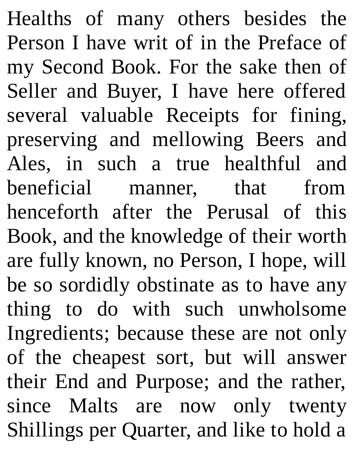Healths of many others besides the Person I have writ of in the Preface of my Second Book. For the sake then of Seller and Buyer, I have here offered several valuable Receipts for fining, preserving and mellowing Beers and Ales, in such a true healthful and beneficial manner, that from henceforth after the Perusal of this Book, and the knowledge of their worth are fully known, no Person, I hope, will be so sordidly obstinate as to have any thing to do with such unwholsome Ingredients; because these are not only of the cheapest sort, but will answer their End and Purpose; and the rather, since Malts are now only twenty Shillings per Quarter, and like to hold a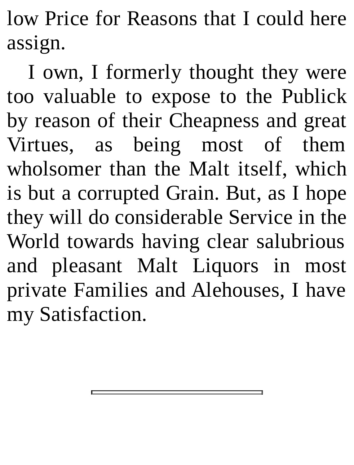low Price for Reasons that I could here assign.

I own, I formerly thought they were too valuable to expose to the Publick by reason of their Cheapness and great Virtues, as being most of them wholsomer than the Malt itself, which is but a corrupted Grain. But, as I hope they will do considerable Service in the World towards having clear salubrious and pleasant Malt Liquors in most private Families and Alehouses, I have my Satisfaction.

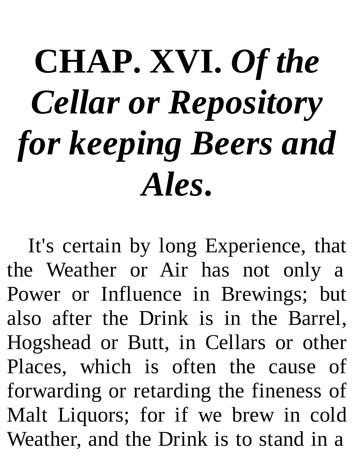# **CHAP. XVI.** *Of the Cellar or Repository for keeping Beers and Ales***.**

It's certain by long Experience, that the Weather or Air has not only a Power or Influence in Brewings; but also after the Drink is in the Barrel, Hogshead or Butt, in Cellars or other Places, which is often the cause of forwarding or retarding the fineness of Malt Liquors; for if we brew in cold Weather, and the Drink is to stand in a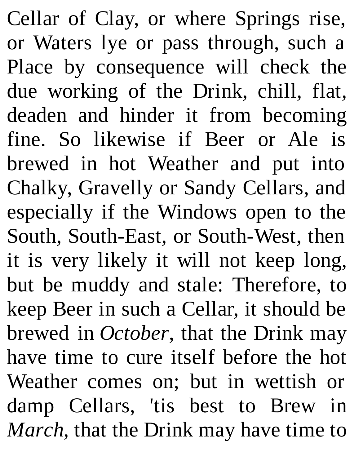Cellar of Clay, or where Springs rise, or Waters lye or pass through, such a Place by consequence will check the due working of the Drink, chill, flat, deaden and hinder it from becoming fine. So likewise if Beer or Ale is brewed in hot Weather and put into Chalky, Gravelly or Sandy Cellars, and especially if the Windows open to the South, South-East, or South-West, then it is very likely it will not keep long, but be muddy and stale: Therefore, to keep Beer in such a Cellar, it should be brewed in *October*, that the Drink may have time to cure itself before the hot Weather comes on; but in wettish or damp Cellars, 'tis best to Brew in *March*, that the Drink may have time to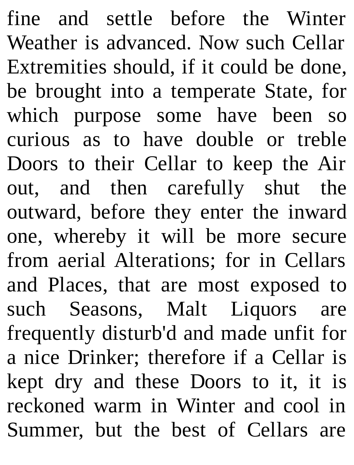fine and settle before the Winter Weather is advanced. Now such Cellar Extremities should, if it could be done, be brought into a temperate State, for which purpose some have been so curious as to have double or treble Doors to their Cellar to keep the Air out, and then carefully shut the outward, before they enter the inward one, whereby it will be more secure from aerial Alterations; for in Cellars and Places, that are most exposed to such Seasons, Malt Liquors are frequently disturb'd and made unfit for a nice Drinker; therefore if a Cellar is kept dry and these Doors to it, it is reckoned warm in Winter and cool in Summer, but the best of Cellars are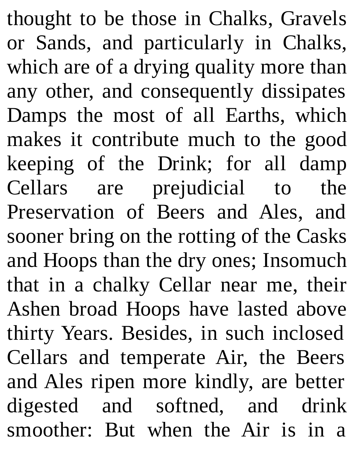thought to be those in Chalks, Gravels or Sands, and particularly in Chalks, which are of a drying quality more than any other, and consequently dissipates Damps the most of all Earths, which makes it contribute much to the good keeping of the Drink; for all damp Cellars are prejudicial to the Preservation of Beers and Ales, and sooner bring on the rotting of the Casks and Hoops than the dry ones; Insomuch that in a chalky Cellar near me, their Ashen broad Hoops have lasted above thirty Years. Besides, in such inclosed Cellars and temperate Air, the Beers and Ales ripen more kindly, are better digested and softned, and drink smoother: But when the Air is in a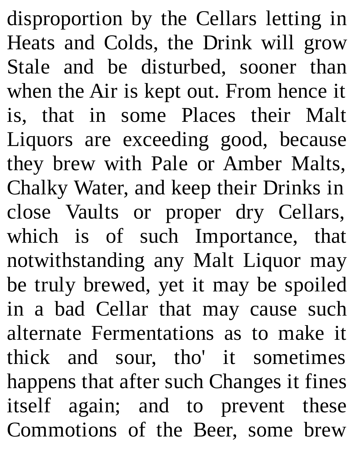disproportion by the Cellars letting in Heats and Colds, the Drink will grow Stale and be disturbed, sooner than when the Air is kept out. From hence it is, that in some Places their Malt Liquors are exceeding good, because they brew with Pale or Amber Malts, Chalky Water, and keep their Drinks in close Vaults or proper dry Cellars, which is of such Importance, that notwithstanding any Malt Liquor may be truly brewed, yet it may be spoiled in a bad Cellar that may cause such alternate Fermentations as to make it thick and sour, tho' it sometimes happens that after such Changes it fines itself again; and to prevent these Commotions of the Beer, some brew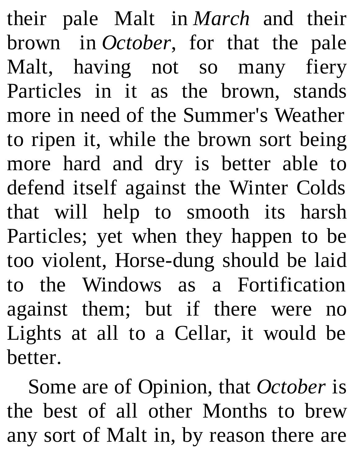their pale Malt in *March* and their brown in *October*, for that the pale Malt, having not so many fiery Particles in it as the brown, stands more in need of the Summer's Weather to ripen it, while the brown sort being more hard and dry is better able to defend itself against the Winter Colds that will help to smooth its harsh Particles; yet when they happen to be too violent, Horse-dung should be laid to the Windows as a Fortification against them; but if there were no Lights at all to a Cellar, it would be better.

Some are of Opinion, that *October* is the best of all other Months to brew any sort of Malt in, by reason there are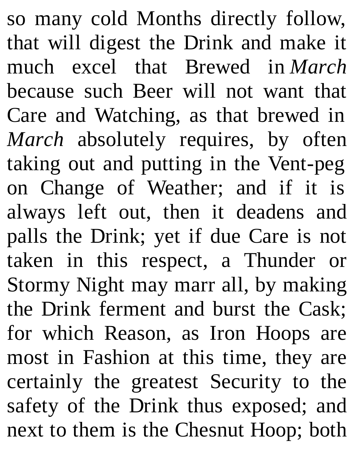so many cold Months directly follow, that will digest the Drink and make it much excel that Brewed in *March* because such Beer will not want that Care and Watching, as that brewed in *March* absolutely requires, by often taking out and putting in the Vent-peg on Change of Weather; and if it is always left out, then it deadens and palls the Drink; yet if due Care is not taken in this respect, a Thunder or Stormy Night may marr all, by making the Drink ferment and burst the Cask; for which Reason, as Iron Hoops are most in Fashion at this time, they are certainly the greatest Security to the safety of the Drink thus exposed; and next to them is the Chesnut Hoop; both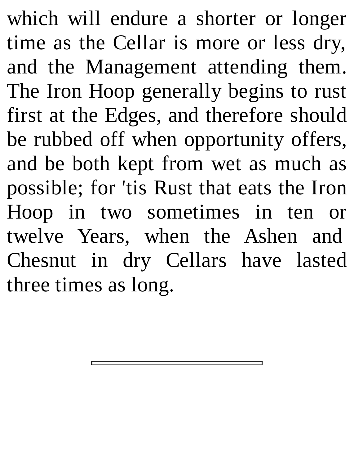which will endure a shorter or longer time as the Cellar is more or less dry, and the Management attending them. The Iron Hoop generally begins to rust first at the Edges, and therefore should be rubbed off when opportunity offers, and be both kept from wet as much as possible; for 'tis Rust that eats the Iron Hoop in two sometimes in ten or twelve Years, when the Ashen and Chesnut in dry Cellars have lasted three times as long.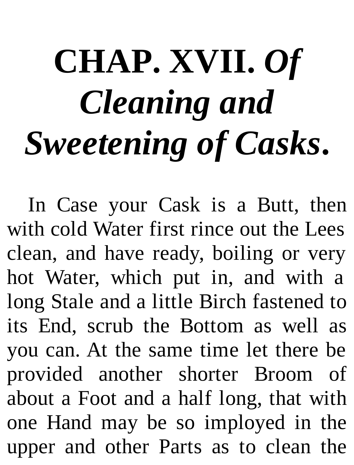## **CHAP. XVII.** *Of Cleaning and Sweetening of Casks***.**

In Case your Cask is a Butt, then with cold Water first rince out the Lees clean, and have ready, boiling or very hot Water, which put in, and with a long Stale and a little Birch fastened to its End, scrub the Bottom as well as you can. At the same time let there be provided another shorter Broom of about a Foot and a half long, that with one Hand may be so imployed in the upper and other Parts as to clean the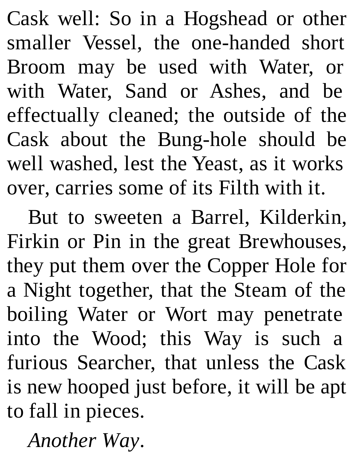Cask well: So in a Hogshead or other smaller Vessel, the one-handed short Broom may be used with Water, or with Water, Sand or Ashes, and be effectually cleaned; the outside of the Cask about the Bung-hole should be well washed, lest the Yeast, as it works over, carries some of its Filth with it.

But to sweeten a Barrel, Kilderkin, Firkin or Pin in the great Brewhouses, they put them over the Copper Hole for a Night together, that the Steam of the boiling Water or Wort may penetrate into the Wood; this Way is such a furious Searcher, that unless the Cask is new hooped just before, it will be apt to fall in pieces.

*Another Way*.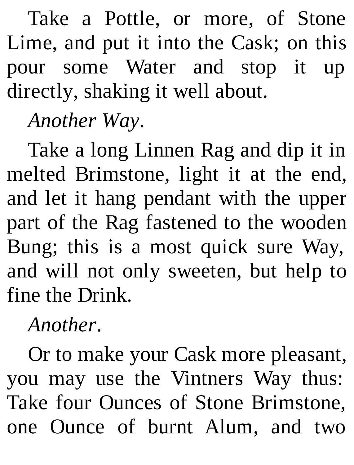Take a Pottle, or more, of Stone Lime, and put it into the Cask; on this pour some Water and stop it up directly, shaking it well about.

*Another Way*.

Take a long Linnen Rag and dip it in melted Brimstone, light it at the end, and let it hang pendant with the upper part of the Rag fastened to the wooden Bung; this is a most quick sure Way, and will not only sweeten, but help to fine the Drink.

*Another*.

Or to make your Cask more pleasant, you may use the Vintners Way thus: Take four Ounces of Stone Brimstone, one Ounce of burnt Alum, and two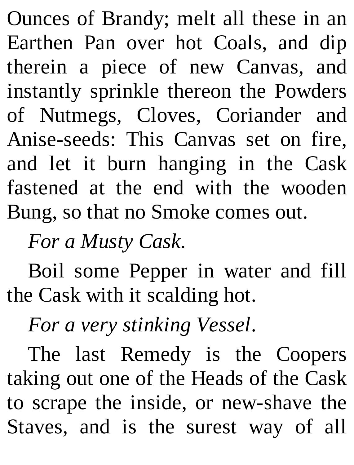Ounces of Brandy; melt all these in an Earthen Pan over hot Coals, and dip therein a piece of new Canvas, and instantly sprinkle thereon the Powders of Nutmegs, Cloves, Coriander and Anise-seeds: This Canvas set on fire, and let it burn hanging in the Cask fastened at the end with the wooden Bung, so that no Smoke comes out.

*For a Musty Cask*.

Boil some Pepper in water and fill the Cask with it scalding hot.

*For a very stinking Vessel*.

The last Remedy is the Coopers taking out one of the Heads of the Cask to scrape the inside, or new-shave the Staves, and is the surest way of all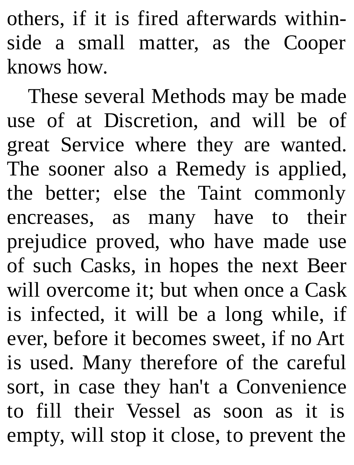others, if it is fired afterwards withinside a small matter, as the Cooper knows how.

These several Methods may be made use of at Discretion, and will be of great Service where they are wanted. The sooner also a Remedy is applied, the better; else the Taint commonly encreases, as many have to their prejudice proved, who have made use of such Casks, in hopes the next Beer will overcome it; but when once a Cask is infected, it will be a long while, if ever, before it becomes sweet, if no Art is used. Many therefore of the careful sort, in case they han't a Convenience to fill their Vessel as soon as it is empty, will stop it close, to prevent the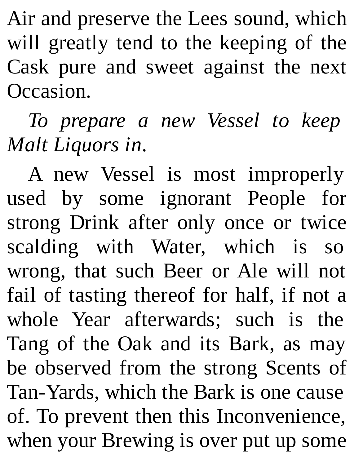Air and preserve the Lees sound, which will greatly tend to the keeping of the Cask pure and sweet against the next Occasion.

*To prepare a new Vessel to keep Malt Liquors in*.

A new Vessel is most improperly used by some ignorant People for strong Drink after only once or twice scalding with Water, which is so wrong, that such Beer or Ale will not fail of tasting thereof for half, if not a whole Year afterwards; such is the Tang of the Oak and its Bark, as may be observed from the strong Scents of Tan-Yards, which the Bark is one cause of. To prevent then this Inconvenience, when your Brewing is over put up some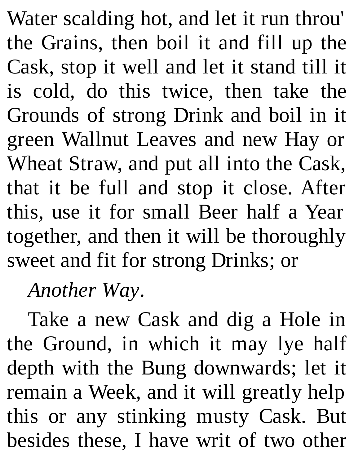Water scalding hot, and let it run throu' the Grains, then boil it and fill up the Cask, stop it well and let it stand till it is cold, do this twice, then take the Grounds of strong Drink and boil in it green Wallnut Leaves and new Hay or Wheat Straw, and put all into the Cask, that it be full and stop it close. After this, use it for small Beer half a Year together, and then it will be thoroughly sweet and fit for strong Drinks; or

*Another Way*.

Take a new Cask and dig a Hole in the Ground, in which it may lye half depth with the Bung downwards; let it remain a Week, and it will greatly help this or any stinking musty Cask. But besides these, I have writ of two other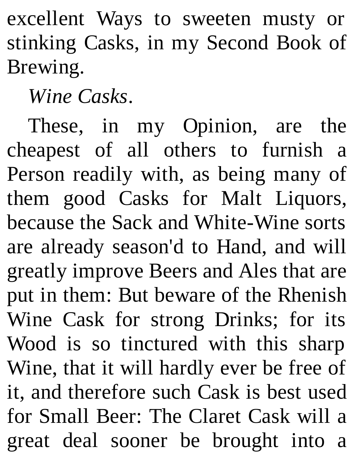excellent Ways to sweeten musty or stinking Casks, in my Second Book of Brewing.

*Wine Casks*.

These, in my Opinion, are the cheapest of all others to furnish a Person readily with, as being many of them good Casks for Malt Liquors, because the Sack and White-Wine sorts are already season'd to Hand, and will greatly improve Beers and Ales that are put in them: But beware of the Rhenish Wine Cask for strong Drinks; for its Wood is so tinctured with this sharp Wine, that it will hardly ever be free of it, and therefore such Cask is best used for Small Beer: The Claret Cask will a great deal sooner be brought into a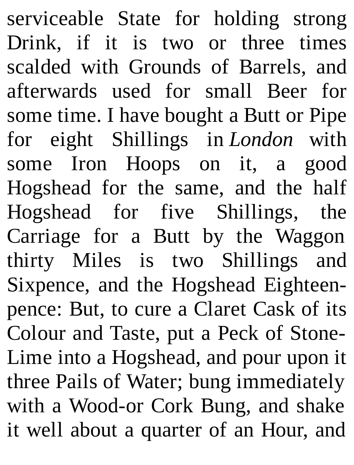serviceable State for holding strong Drink, if it is two or three times scalded with Grounds of Barrels, and afterwards used for small Beer for some time. I have bought a Butt or Pipe for eight Shillings in *London* with some Iron Hoops on it, a good Hogshead for the same, and the half Hogshead for five Shillings, the Carriage for a Butt by the Waggon thirty Miles is two Shillings and Sixpence, and the Hogshead Eighteenpence: But, to cure a Claret Cask of its Colour and Taste, put a Peck of Stone-Lime into a Hogshead, and pour upon it three Pails of Water; bung immediately with a Wood-or Cork Bung, and shake it well about a quarter of an Hour, and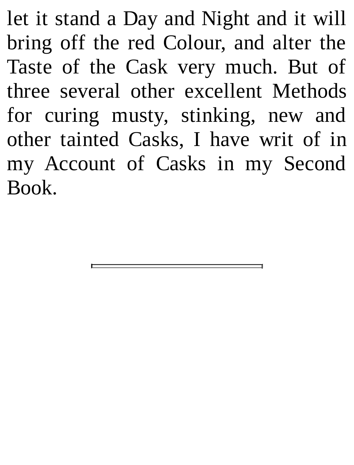let it stand a Day and Night and it will bring off the red Colour, and alter the Taste of the Cask very much. But of three several other excellent Methods for curing musty, stinking, new and other tainted Casks, I have writ of in my Account of Casks in my Second Book.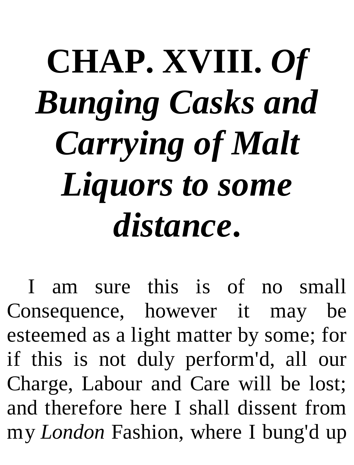## **CHAP. XVIII.** *Of Bunging Casks and Carrying of Malt Liquors to some distance***.**

I am sure this is of no small Consequence, however it may be esteemed as a light matter by some; for if this is not duly perform'd, all our Charge, Labour and Care will be lost; and therefore here I shall dissent from my *London* Fashion, where I bung'd up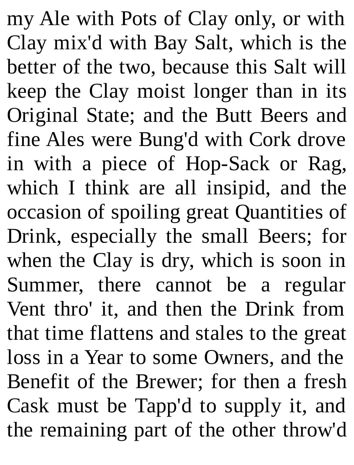my Ale with Pots of Clay only, or with Clay mix'd with Bay Salt, which is the better of the two, because this Salt will keep the Clay moist longer than in its Original State; and the Butt Beers and fine Ales were Bung'd with Cork drove in with a piece of Hop-Sack or Rag, which I think are all insipid, and the occasion of spoiling great Quantities of Drink, especially the small Beers; for when the Clay is dry, which is soon in Summer, there cannot be a regular Vent thro' it, and then the Drink from that time flattens and stales to the great loss in a Year to some Owners, and the Benefit of the Brewer; for then a fresh Cask must be Tapp'd to supply it, and the remaining part of the other throw'd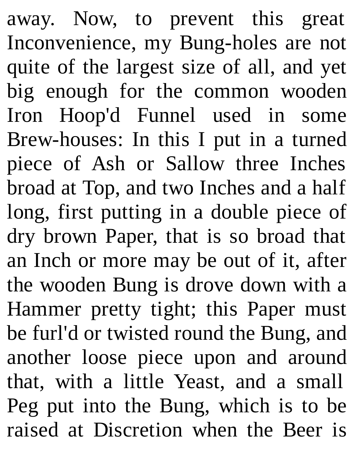away. Now, to prevent this great Inconvenience, my Bung-holes are not quite of the largest size of all, and yet big enough for the common wooden Iron Hoop'd Funnel used in some Brew-houses: In this I put in a turned piece of Ash or Sallow three Inches broad at Top, and two Inches and a half long, first putting in a double piece of dry brown Paper, that is so broad that an Inch or more may be out of it, after the wooden Bung is drove down with a Hammer pretty tight; this Paper must be furl'd or twisted round the Bung, and another loose piece upon and around that, with a little Yeast, and a small Peg put into the Bung, which is to be raised at Discretion when the Beer is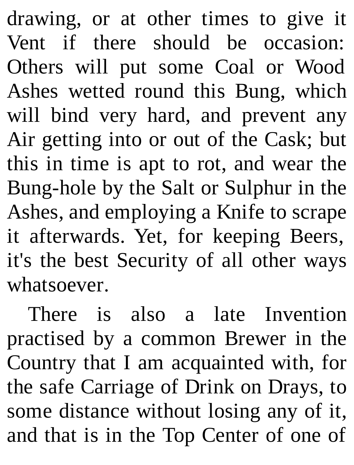drawing, or at other times to give it Vent if there should be occasion: Others will put some Coal or Wood Ashes wetted round this Bung, which will bind very hard, and prevent any Air getting into or out of the Cask; but this in time is apt to rot, and wear the Bung-hole by the Salt or Sulphur in the Ashes, and employing a Knife to scrape it afterwards. Yet, for keeping Beers, it's the best Security of all other ways whatsoever.

There is also a late Invention practised by a common Brewer in the Country that I am acquainted with, for the safe Carriage of Drink on Drays, to some distance without losing any of it, and that is in the Top Center of one of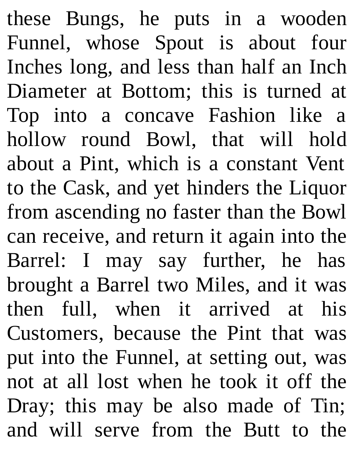these Bungs, he puts in a wooden Funnel, whose Spout is about four Inches long, and less than half an Inch Diameter at Bottom; this is turned at Top into a concave Fashion like a hollow round Bowl, that will hold about a Pint, which is a constant Vent to the Cask, and yet hinders the Liquor from ascending no faster than the Bowl can receive, and return it again into the Barrel: I may say further, he has brought a Barrel two Miles, and it was then full, when it arrived at his Customers, because the Pint that was put into the Funnel, at setting out, was not at all lost when he took it off the Dray; this may be also made of Tin; and will serve from the Butt to the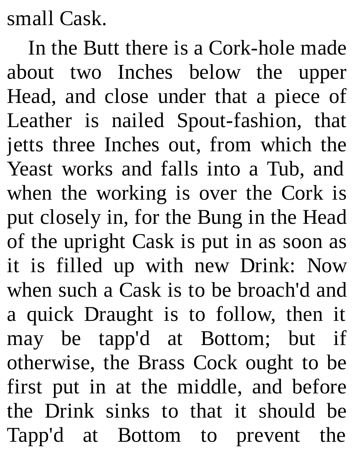small Cask.

In the Butt there is a Cork-hole made about two Inches below the upper Head, and close under that a piece of Leather is nailed Spout-fashion, that jetts three Inches out, from which the Yeast works and falls into a Tub, and when the working is over the Cork is put closely in, for the Bung in the Head of the upright Cask is put in as soon as it is filled up with new Drink: Now when such a Cask is to be broach'd and a quick Draught is to follow, then it may be tapp'd at Bottom; but if otherwise, the Brass Cock ought to be first put in at the middle, and before the Drink sinks to that it should be Tapp'd at Bottom to prevent the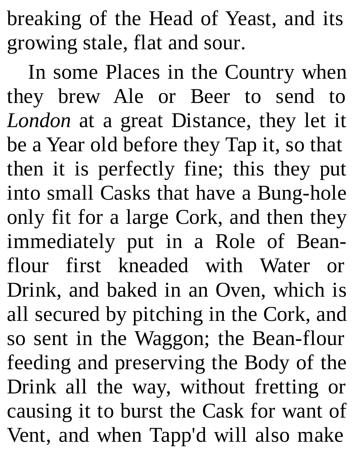breaking of the Head of Yeast, and its growing stale, flat and sour.

In some Places in the Country when they brew Ale or Beer to send to *London* at a great Distance, they let it be a Year old before they Tap it, so that then it is perfectly fine; this they put into small Casks that have a Bung-hole only fit for a large Cork, and then they immediately put in a Role of Beanflour first kneaded with Water or Drink, and baked in an Oven, which is all secured by pitching in the Cork, and so sent in the Waggon; the Bean-flour feeding and preserving the Body of the Drink all the way, without fretting or causing it to burst the Cask for want of Vent, and when Tapp'd will also make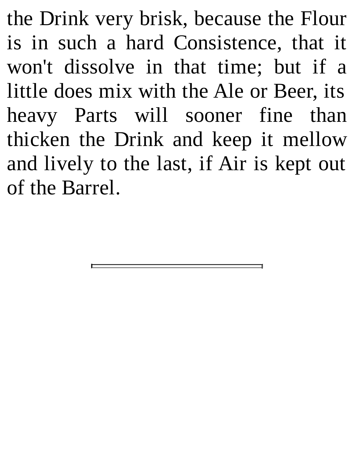the Drink very brisk, because the Flour is in such a hard Consistence, that it won't dissolve in that time; but if a little does mix with the Ale or Beer, its heavy Parts will sooner fine than thicken the Drink and keep it mellow and lively to the last, if Air is kept out of the Barrel.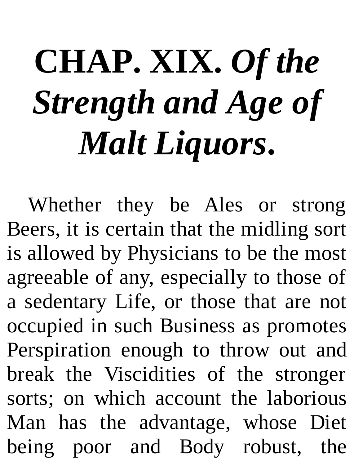## **CHAP. XIX.** *Of the Strength and Age of Malt Liquors***.**

Whether they be Ales or strong Beers, it is certain that the midling sort is allowed by Physicians to be the most agreeable of any, especially to those of a sedentary Life, or those that are not occupied in such Business as promotes Perspiration enough to throw out and break the Viscidities of the stronger sorts; on which account the laborious Man has the advantage, whose Diet being poor and Body robust, the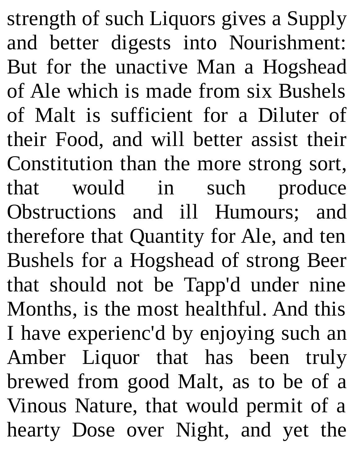strength of such Liquors gives a Supply and better digests into Nourishment: But for the unactive Man a Hogshead of Ale which is made from six Bushels of Malt is sufficient for a Diluter of their Food, and will better assist their Constitution than the more strong sort, that would in such produce Obstructions and ill Humours; and therefore that Quantity for Ale, and ten Bushels for a Hogshead of strong Beer that should not be Tapp'd under nine Months, is the most healthful. And this I have experienc'd by enjoying such an Amber Liquor that has been truly brewed from good Malt, as to be of a Vinous Nature, that would permit of a hearty Dose over Night, and yet the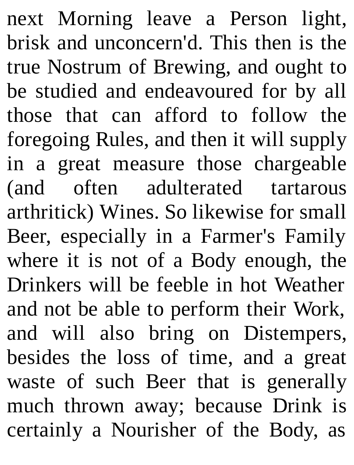next Morning leave a Person light, brisk and unconcern'd. This then is the true Nostrum of Brewing, and ought to be studied and endeavoured for by all those that can afford to follow the foregoing Rules, and then it will supply in a great measure those chargeable (and often adulterated tartarous arthritick) Wines. So likewise for small Beer, especially in a Farmer's Family where it is not of a Body enough, the Drinkers will be feeble in hot Weather and not be able to perform their Work, and will also bring on Distempers, besides the loss of time, and a great waste of such Beer that is generally much thrown away; because Drink is certainly a Nourisher of the Body, as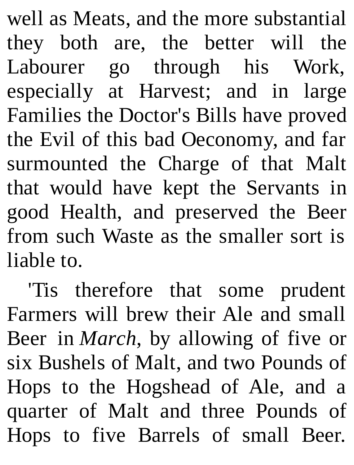well as Meats, and the more substantial they both are, the better will the Labourer go through his Work, especially at Harvest; and in large Families the Doctor's Bills have proved the Evil of this bad Oeconomy, and far surmounted the Charge of that Malt that would have kept the Servants in good Health, and preserved the Beer from such Waste as the smaller sort is liable to.

'Tis therefore that some prudent Farmers will brew their Ale and small Beer in *March*, by allowing of five or six Bushels of Malt, and two Pounds of Hops to the Hogshead of Ale, and a quarter of Malt and three Pounds of Hops to five Barrels of small Beer.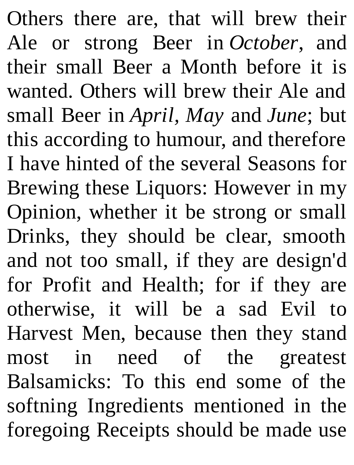Others there are, that will brew their Ale or strong Beer in *October*, and their small Beer a Month before it is wanted. Others will brew their Ale and small Beer in *April, May* and *June*; but this according to humour, and therefore I have hinted of the several Seasons for Brewing these Liquors: However in my Opinion, whether it be strong or small Drinks, they should be clear, smooth and not too small, if they are design'd for Profit and Health; for if they are otherwise, it will be a sad Evil to Harvest Men, because then they stand most in need of the greatest Balsamicks: To this end some of the softning Ingredients mentioned in the foregoing Receipts should be made use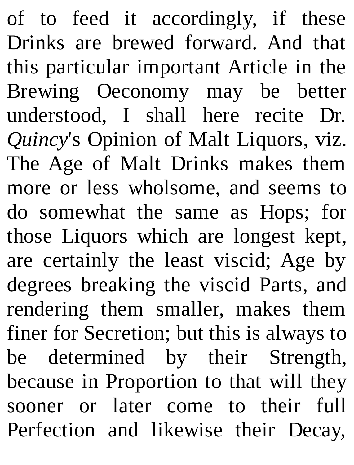of to feed it accordingly, if these Drinks are brewed forward. And that this particular important Article in the Brewing Oeconomy may be better understood, I shall here recite Dr. *Quincy*'s Opinion of Malt Liquors, viz. The Age of Malt Drinks makes them more or less wholsome, and seems to do somewhat the same as Hops; for those Liquors which are longest kept, are certainly the least viscid; Age by degrees breaking the viscid Parts, and rendering them smaller, makes them finer for Secretion; but this is always to be determined by their Strength, because in Proportion to that will they sooner or later come to their full Perfection and likewise their Decay,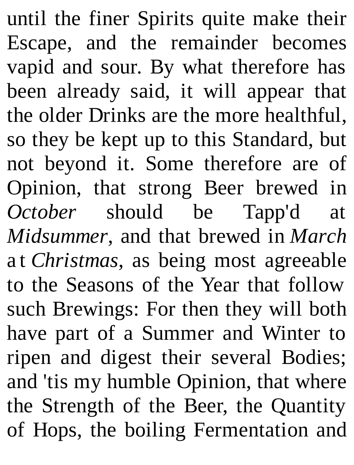until the finer Spirits quite make their Escape, and the remainder becomes vapid and sour. By what therefore has been already said, it will appear that the older Drinks are the more healthful, so they be kept up to this Standard, but not beyond it. Some therefore are of Opinion, that strong Beer brewed in *October* should be Tapp'd at *Midsummer*, and that brewed in *March* a t *Christmas*, as being most agreeable to the Seasons of the Year that follow such Brewings: For then they will both have part of a Summer and Winter to ripen and digest their several Bodies; and 'tis my humble Opinion, that where the Strength of the Beer, the Quantity of Hops, the boiling Fermentation and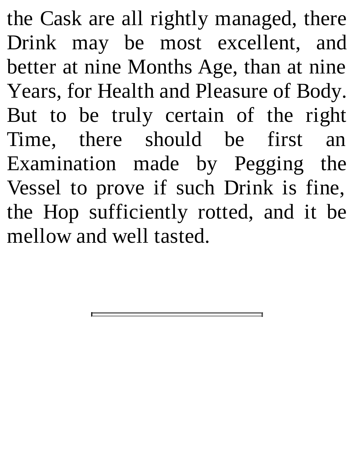the Cask are all rightly managed, there Drink may be most excellent, and better at nine Months Age, than at nine Years, for Health and Pleasure of Body. But to be truly certain of the right Time, there should be first an Examination made by Pegging the Vessel to prove if such Drink is fine, the Hop sufficiently rotted, and it be mellow and well tasted.

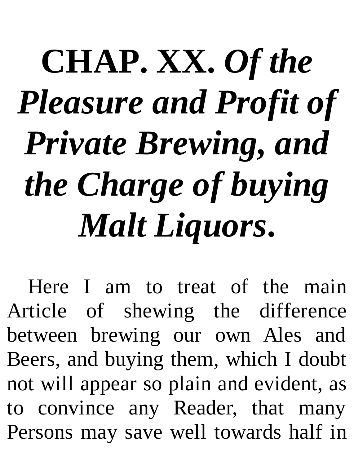## **CHAP. XX.** *Of the Pleasure and Profit of Private Brewing, and the Charge of buying Malt Liquors***.**

Here I am to treat of the main Article of shewing the difference between brewing our own Ales and Beers, and buying them, which I doubt not will appear so plain and evident, as to convince any Reader, that many Persons may save well towards half in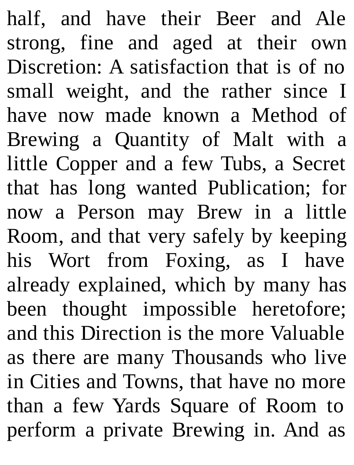half, and have their Beer and Ale strong, fine and aged at their own Discretion: A satisfaction that is of no small weight, and the rather since I have now made known a Method of Brewing a Quantity of Malt with a little Copper and a few Tubs, a Secret that has long wanted Publication; for now a Person may Brew in a little Room, and that very safely by keeping his Wort from Foxing, as I have already explained, which by many has been thought impossible heretofore; and this Direction is the more Valuable as there are many Thousands who live in Cities and Towns, that have no more than a few Yards Square of Room to perform a private Brewing in. And as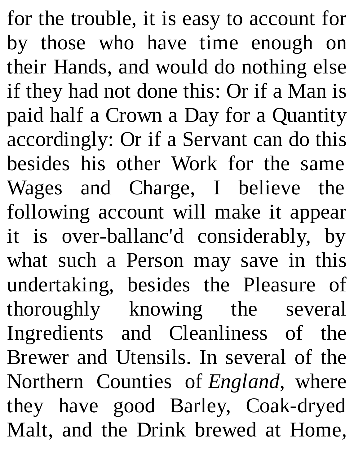for the trouble, it is easy to account for by those who have time enough on their Hands, and would do nothing else if they had not done this: Or if a Man is paid half a Crown a Day for a Quantity accordingly: Or if a Servant can do this besides his other Work for the same Wages and Charge, I believe the following account will make it appear it is over-ballanc'd considerably, by what such a Person may save in this undertaking, besides the Pleasure of thoroughly knowing the several Ingredients and Cleanliness of the Brewer and Utensils. In several of the Northern Counties of *England*, where they have good Barley, Coak-dryed Malt, and the Drink brewed at Home,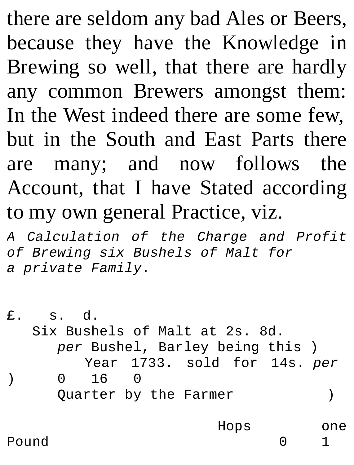there are seldom any bad Ales or Beers, because they have the Knowledge in Brewing so well, that there are hardly any common Brewers amongst them: In the West indeed there are some few, but in the South and East Parts there are many; and now follows the Account, that I have Stated according to my own general Practice, viz.

*A Calculation of the Charge and Profit of Brewing six Bushels of Malt for a private Family*.

```
£. s. d.
  Six Bushels of Malt at 2s. 8d.
     per Bushel, Barley being this )
        Year 1733. sold for 14s. per
) 0 16 0
     Quarter by the Farmer (1998)
```
Hops one

Pound 0 1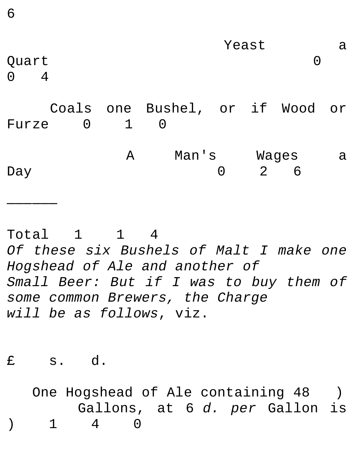Yeast a Quart 0  $0 \quad A$ Coals one Bushel, or if Wood or  $F_{\text{II}}$ rze  $\theta$  1  $\theta$ A Man's Wages a Day 0 2 6

Total 1 1 4 *Of these six Bushels of Malt I make one Hogshead of Ale and another of Small Beer: But if I was to buy them of some common Brewers, the Charge will be as follows*, viz.

£ s. d.

——————

One Hogshead of Ale containing 48 ) Gallons, at 6 *d. per* Gallon is ) 1 4 0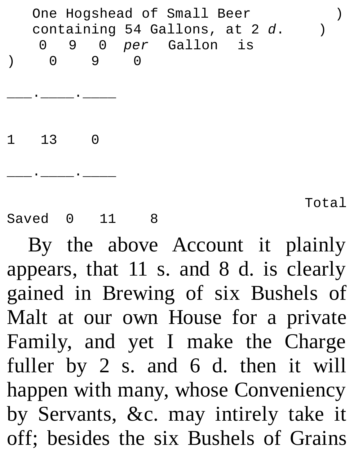|              | 0<br>0 |   | 9 | Θ | One Hogshead of Small Beer<br>9 0 <i>per</i> Gallon is | containing 54 Gallons, at 2 d. |       |  |
|--------------|--------|---|---|---|--------------------------------------------------------|--------------------------------|-------|--|
|              |        |   |   |   |                                                        |                                |       |  |
| $\mathbf{1}$ | 13     |   | 0 |   |                                                        |                                |       |  |
|              |        |   |   |   |                                                        |                                |       |  |
| Saved        |        | 0 |   |   |                                                        |                                | Total |  |

By the above Account it plainly appears, that 11 s. and 8 d. is clearly gained in Brewing of six Bushels of Malt at our own House for a private Family, and yet I make the Charge fuller by 2 s. and 6 d. then it will happen with many, whose Conveniency by Servants, &c. may intirely take it off; besides the six Bushels of Grains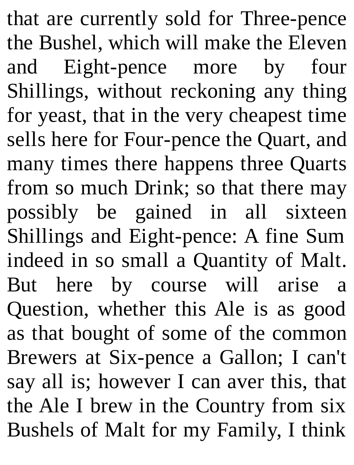that are currently sold for Three-pence the Bushel, which will make the Eleven and Eight-pence more by four Shillings, without reckoning any thing for yeast, that in the very cheapest time sells here for Four-pence the Quart, and many times there happens three Quarts from so much Drink; so that there may possibly be gained in all sixteen Shillings and Eight-pence: A fine Sum indeed in so small a Quantity of Malt. But here by course will arise a Question, whether this Ale is as good as that bought of some of the common Brewers at Six-pence a Gallon; I can't say all is; however I can aver this, that the Ale I brew in the Country from six Bushels of Malt for my Family, I think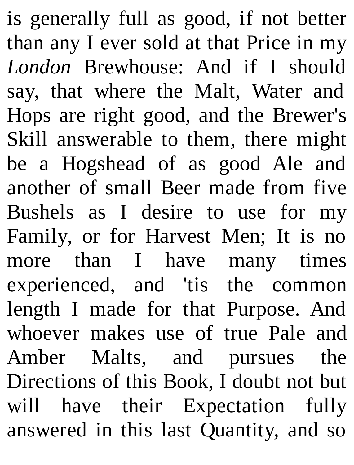is generally full as good, if not better than any I ever sold at that Price in my *London* Brewhouse: And if I should say, that where the Malt, Water and Hops are right good, and the Brewer's Skill answerable to them, there might be a Hogshead of as good Ale and another of small Beer made from five Bushels as I desire to use for my Family, or for Harvest Men; It is no more than I have many times experienced, and 'tis the common length I made for that Purpose. And whoever makes use of true Pale and Amber Malts, and pursues the Directions of this Book, I doubt not but will have their Expectation fully answered in this last Quantity, and so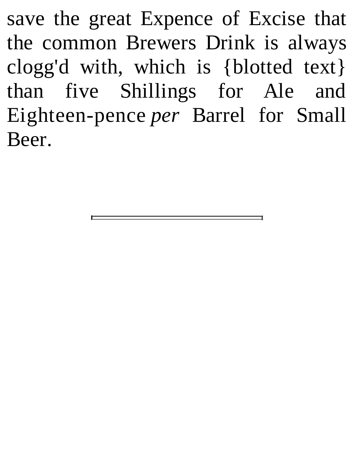save the great Expence of Excise that the common Brewers Drink is always clogg'd with, which is {blotted text} than five Shillings for Ale and Eighteen-pence *per* Barrel for Small Beer.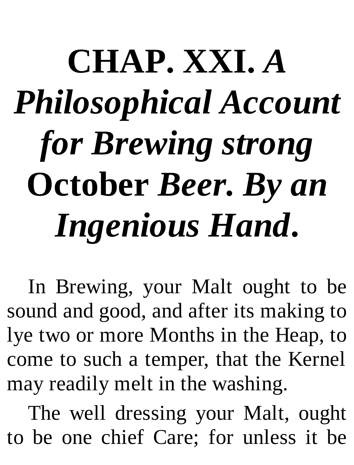## **CHAP. XXI.** *A Philosophical Account for Brewing strong* **October** *Beer. By an Ingenious Hand***.**

In Brewing, your Malt ought to be sound and good, and after its making to lye two or more Months in the Heap, to come to such a temper, that the Kernel may readily melt in the washing.

The well dressing your Malt, ought to be one chief Care; for unless it be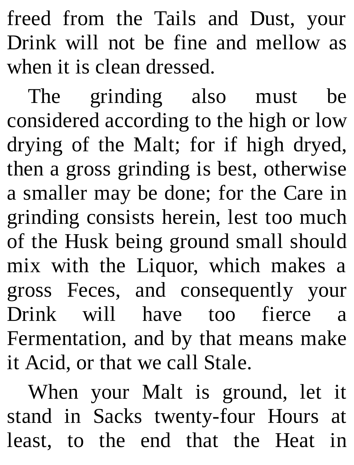freed from the Tails and Dust, your Drink will not be fine and mellow as when it is clean dressed.

The grinding also must be considered according to the high or low drying of the Malt; for if high dryed, then a gross grinding is best, otherwise a smaller may be done; for the Care in grinding consists herein, lest too much of the Husk being ground small should mix with the Liquor, which makes a gross Feces, and consequently your Drink will have too fierce a Fermentation, and by that means make it Acid, or that we call Stale.

When your Malt is ground, let it stand in Sacks twenty-four Hours at least, to the end that the Heat in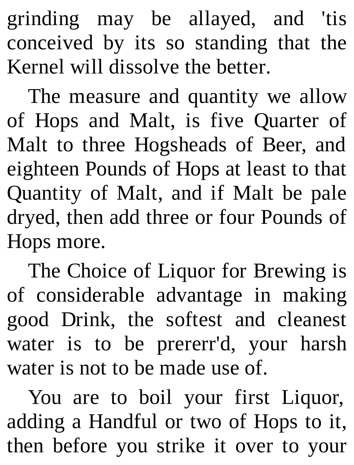grinding may be allayed, and 'tis conceived by its so standing that the Kernel will dissolve the better.

The measure and quantity we allow of Hops and Malt, is five Quarter of Malt to three Hogsheads of Beer, and eighteen Pounds of Hops at least to that Quantity of Malt, and if Malt be pale dryed, then add three or four Pounds of Hops more.

The Choice of Liquor for Brewing is of considerable advantage in making good Drink, the softest and cleanest water is to be prererr'd, your harsh water is not to be made use of.

You are to boil your first Liquor, adding a Handful or two of Hops to it, then before you strike it over to your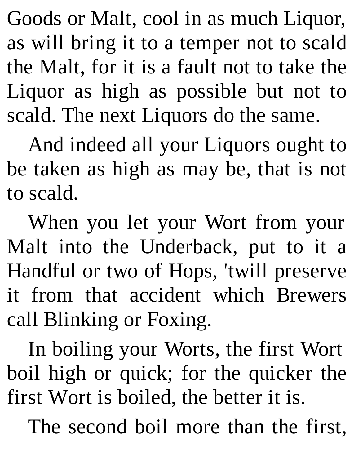Goods or Malt, cool in as much Liquor, as will bring it to a temper not to scald the Malt, for it is a fault not to take the Liquor as high as possible but not to scald. The next Liquors do the same.

And indeed all your Liquors ought to be taken as high as may be, that is not to scald.

When you let your Wort from your Malt into the Underback, put to it a Handful or two of Hops, 'twill preserve it from that accident which Brewers call Blinking or Foxing.

In boiling your Worts, the first Wort boil high or quick; for the quicker the first Wort is boiled, the better it is.

The second boil more than the first,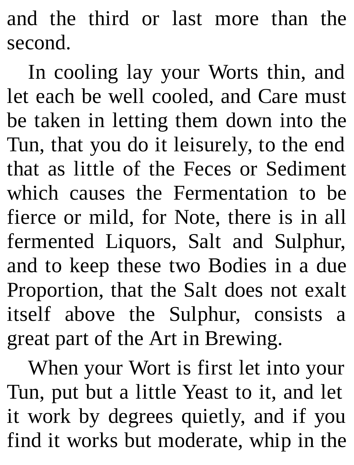and the third or last more than the second.

In cooling lay your Worts thin, and let each be well cooled, and Care must be taken in letting them down into the Tun, that you do it leisurely, to the end that as little of the Feces or Sediment which causes the Fermentation to be fierce or mild, for Note, there is in all fermented Liquors, Salt and Sulphur, and to keep these two Bodies in a due Proportion, that the Salt does not exalt itself above the Sulphur, consists a great part of the Art in Brewing.

When your Wort is first let into your Tun, put but a little Yeast to it, and let it work by degrees quietly, and if you find it works but moderate, whip in the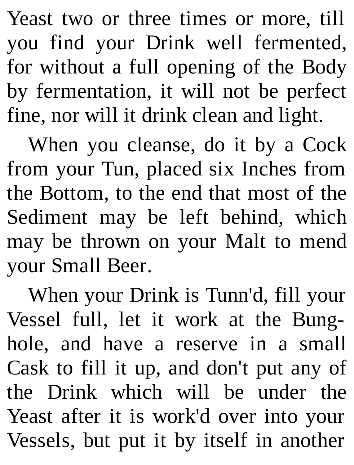Yeast two or three times or more, till you find your Drink well fermented, for without a full opening of the Body by fermentation, it will not be perfect fine, nor will it drink clean and light.

When you cleanse, do it by a Cock from your Tun, placed six Inches from the Bottom, to the end that most of the Sediment may be left behind, which may be thrown on your Malt to mend your Small Beer.

When your Drink is Tunn'd, fill your Vessel full, let it work at the Bunghole, and have a reserve in a small Cask to fill it up, and don't put any of the Drink which will be under the Yeast after it is work'd over into your Vessels, but put it by itself in another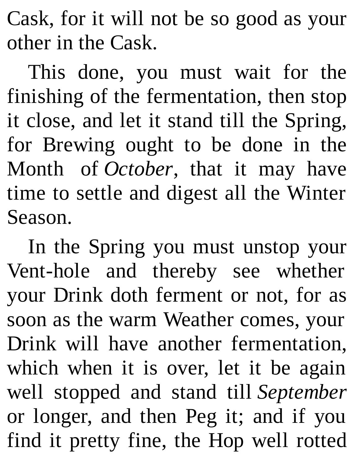Cask, for it will not be so good as your other in the Cask.

This done, you must wait for the finishing of the fermentation, then stop it close, and let it stand till the Spring, for Brewing ought to be done in the Month of *October*, that it may have time to settle and digest all the Winter Season.

In the Spring you must unstop your Vent-hole and thereby see whether your Drink doth ferment or not, for as soon as the warm Weather comes, your Drink will have another fermentation, which when it is over, let it be again well stopped and stand till *September* or longer, and then Peg it; and if you find it pretty fine, the Hop well rotted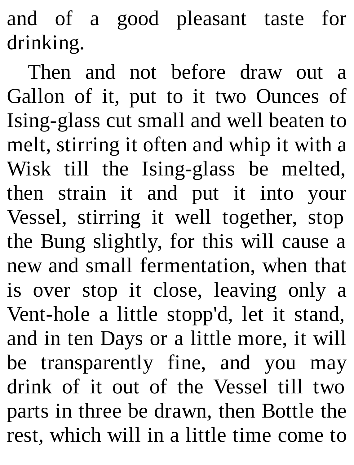and of a good pleasant taste for drinking.

Then and not before draw out a Gallon of it, put to it two Ounces of Ising-glass cut small and well beaten to melt, stirring it often and whip it with a Wisk till the Ising-glass be melted, then strain it and put it into your Vessel, stirring it well together, stop the Bung slightly, for this will cause a new and small fermentation, when that is over stop it close, leaving only a Vent-hole a little stopp'd, let it stand, and in ten Days or a little more, it will be transparently fine, and you may drink of it out of the Vessel till two parts in three be drawn, then Bottle the rest, which will in a little time come to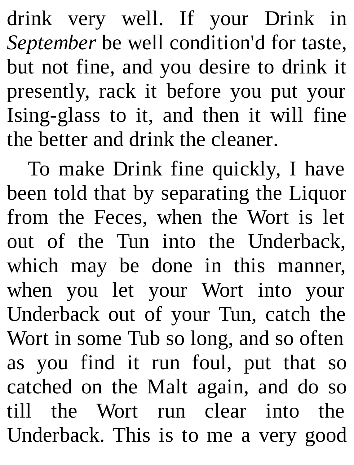drink very well. If your Drink in *September* be well condition'd for taste, but not fine, and you desire to drink it presently, rack it before you put your Ising-glass to it, and then it will fine the better and drink the cleaner.

To make Drink fine quickly, I have been told that by separating the Liquor from the Feces, when the Wort is let out of the Tun into the Underback, which may be done in this manner, when you let your Wort into your Underback out of your Tun, catch the Wort in some Tub so long, and so often as you find it run foul, put that so catched on the Malt again, and do so till the Wort run clear into the Underback. This is to me a very good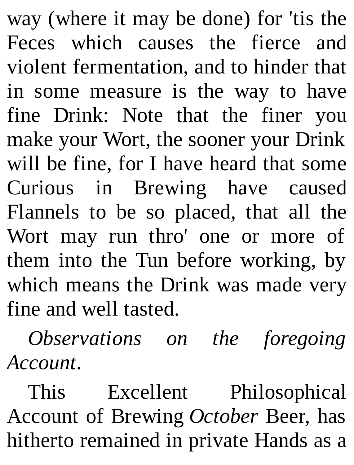way (where it may be done) for 'tis the Feces which causes the fierce and violent fermentation, and to hinder that in some measure is the way to have fine Drink: Note that the finer you make your Wort, the sooner your Drink will be fine, for I have heard that some Curious in Brewing have caused Flannels to be so placed, that all the Wort may run thro' one or more of them into the Tun before working, by which means the Drink was made very fine and well tasted.

*Observations on the foregoing Account*.

This Excellent Philosophical Account of Brewing *October* Beer, has hitherto remained in private Hands as a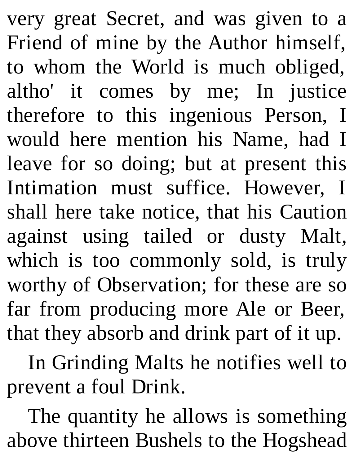very great Secret, and was given to a Friend of mine by the Author himself, to whom the World is much obliged, altho' it comes by me; In justice therefore to this ingenious Person, I would here mention his Name, had I leave for so doing; but at present this Intimation must suffice. However, I shall here take notice, that his Caution against using tailed or dusty Malt, which is too commonly sold, is truly worthy of Observation; for these are so far from producing more Ale or Beer, that they absorb and drink part of it up.

In Grinding Malts he notifies well to prevent a foul Drink.

The quantity he allows is something above thirteen Bushels to the Hogshead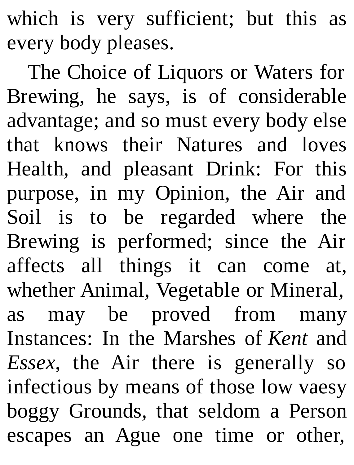which is very sufficient; but this as every body pleases.

The Choice of Liquors or Waters for Brewing, he says, is of considerable advantage; and so must every body else that knows their Natures and loves Health, and pleasant Drink: For this purpose, in my Opinion, the Air and Soil is to be regarded where the Brewing is performed; since the Air affects all things it can come at, whether Animal, Vegetable or Mineral, as may be proved from many Instances: In the Marshes of *Kent* and *Essex*, the Air there is generally so infectious by means of those low vaesy boggy Grounds, that seldom a Person escapes an Ague one time or other,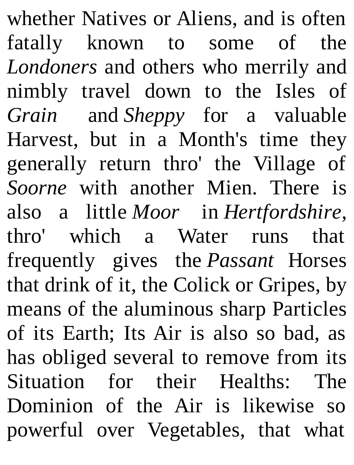whether Natives or Aliens, and is often fatally known to some of the *Londoners* and others who merrily and nimbly travel down to the Isles of *Grain* and *Sheppy* for a valuable Harvest, but in a Month's time they generally return thro' the Village of *Soorne* with another Mien. There is also a little *Moor* in *Hertfordshire*, thro' which a Water runs that frequently gives the *Passant* Horses that drink of it, the Colick or Gripes, by means of the aluminous sharp Particles of its Earth; Its Air is also so bad, as has obliged several to remove from its Situation for their Healths: The Dominion of the Air is likewise so powerful over Vegetables, that what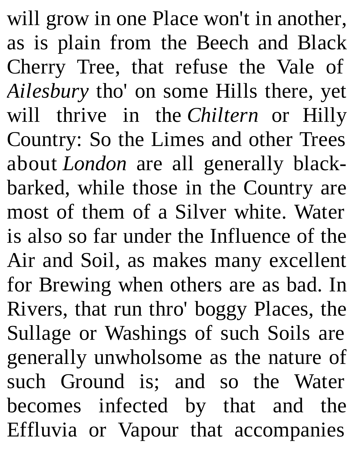will grow in one Place won't in another, as is plain from the Beech and Black Cherry Tree, that refuse the Vale of *Ailesbury* tho' on some Hills there, yet will thrive in the *Chiltern* or Hilly Country: So the Limes and other Trees about *London* are all generally blackbarked, while those in the Country are most of them of a Silver white. Water is also so far under the Influence of the Air and Soil, as makes many excellent for Brewing when others are as bad. In Rivers, that run thro' boggy Places, the Sullage or Washings of such Soils are generally unwholsome as the nature of such Ground is; and so the Water becomes infected by that and the Effluvia or Vapour that accompanies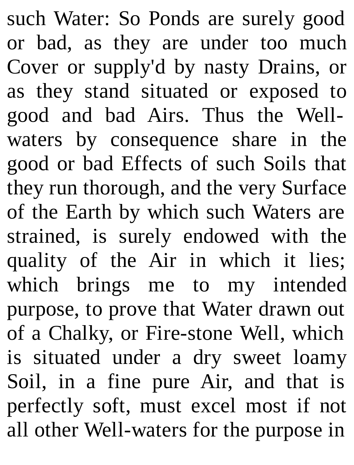such Water: So Ponds are surely good or bad, as they are under too much Cover or supply'd by nasty Drains, or as they stand situated or exposed to good and bad Airs. Thus the Wellwaters by consequence share in the good or bad Effects of such Soils that they run thorough, and the very Surface of the Earth by which such Waters are strained, is surely endowed with the quality of the Air in which it lies; which brings me to my intended purpose, to prove that Water drawn out of a Chalky, or Fire-stone Well, which is situated under a dry sweet loamy Soil, in a fine pure Air, and that is perfectly soft, must excel most if not all other Well-waters for the purpose in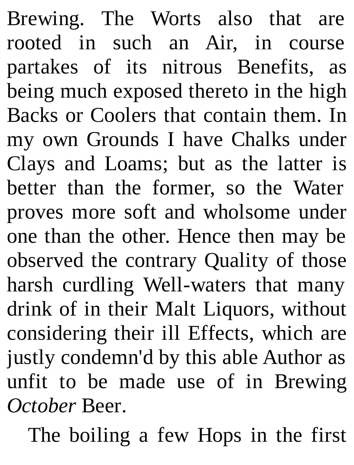Brewing. The Worts also that are rooted in such an Air, in course partakes of its nitrous Benefits, as being much exposed thereto in the high Backs or Coolers that contain them. In my own Grounds I have Chalks under Clays and Loams; but as the latter is better than the former, so the Water proves more soft and wholsome under one than the other. Hence then may be observed the contrary Quality of those harsh curdling Well-waters that many drink of in their Malt Liquors, without considering their ill Effects, which are justly condemn'd by this able Author as unfit to be made use of in Brewing *October* Beer.

The boiling a few Hops in the first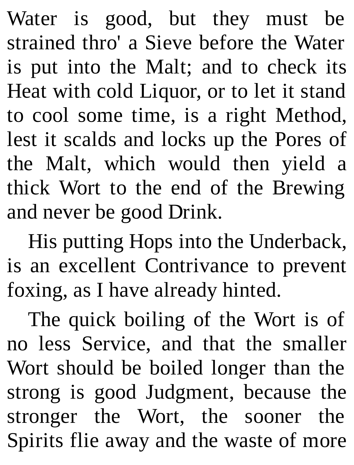Water is good, but they must be strained thro' a Sieve before the Water is put into the Malt; and to check its Heat with cold Liquor, or to let it stand to cool some time, is a right Method, lest it scalds and locks up the Pores of the Malt, which would then yield a thick Wort to the end of the Brewing and never be good Drink.

His putting Hops into the Underback, is an excellent Contrivance to prevent foxing, as I have already hinted.

The quick boiling of the Wort is of no less Service, and that the smaller Wort should be boiled longer than the strong is good Judgment, because the stronger the Wort, the sooner the Spirits flie away and the waste of more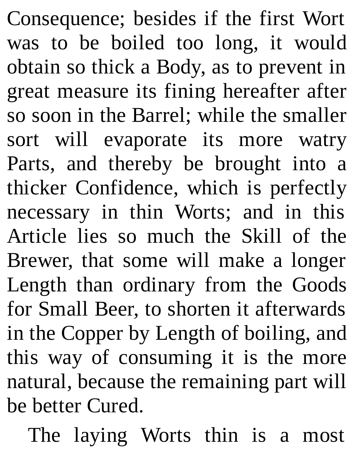Consequence; besides if the first Wort was to be boiled too long, it would obtain so thick a Body, as to prevent in great measure its fining hereafter after so soon in the Barrel; while the smaller sort will evaporate its more watry Parts, and thereby be brought into a thicker Confidence, which is perfectly necessary in thin Worts; and in this Article lies so much the Skill of the Brewer, that some will make a longer Length than ordinary from the Goods for Small Beer, to shorten it afterwards in the Copper by Length of boiling, and this way of consuming it is the more natural, because the remaining part will be better Cured.

The laying Worts thin is a most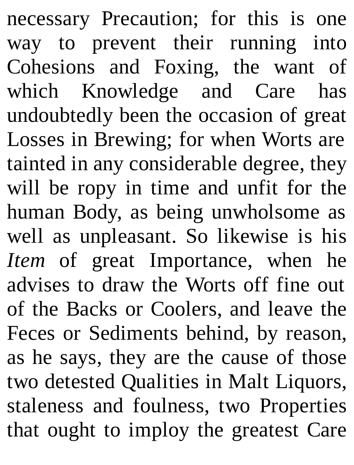necessary Precaution; for this is one way to prevent their running into Cohesions and Foxing, the want of which Knowledge and Care has undoubtedly been the occasion of great Losses in Brewing; for when Worts are tainted in any considerable degree, they will be ropy in time and unfit for the human Body, as being unwholsome as well as unpleasant. So likewise is his *Item* of great Importance, when he advises to draw the Worts off fine out of the Backs or Coolers, and leave the Feces or Sediments behind, by reason, as he says, they are the cause of those two detested Qualities in Malt Liquors, staleness and foulness, two Properties that ought to imploy the greatest Care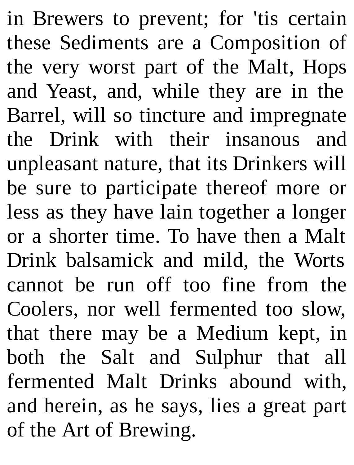in Brewers to prevent; for 'tis certain these Sediments are a Composition of the very worst part of the Malt, Hops and Yeast, and, while they are in the Barrel, will so tincture and impregnate the Drink with their insanous and unpleasant nature, that its Drinkers will be sure to participate thereof more or less as they have lain together a longer or a shorter time. To have then a Malt Drink balsamick and mild, the Worts cannot be run off too fine from the Coolers, nor well fermented too slow, that there may be a Medium kept, in both the Salt and Sulphur that all fermented Malt Drinks abound with, and herein, as he says, lies a great part of the Art of Brewing.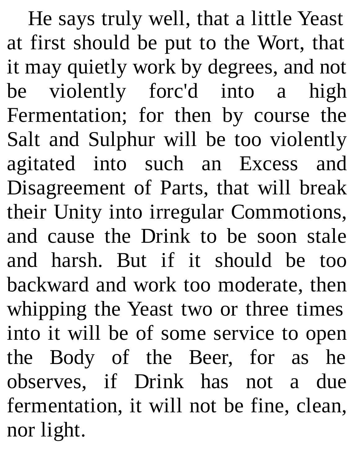He says truly well, that a little Yeast at first should be put to the Wort, that it may quietly work by degrees, and not be violently forc'd into a high Fermentation; for then by course the Salt and Sulphur will be too violently agitated into such an Excess and Disagreement of Parts, that will break their Unity into irregular Commotions, and cause the Drink to be soon stale and harsh. But if it should be too backward and work too moderate, then whipping the Yeast two or three times into it will be of some service to open the Body of the Beer, for as he observes, if Drink has not a due fermentation, it will not be fine, clean, nor light.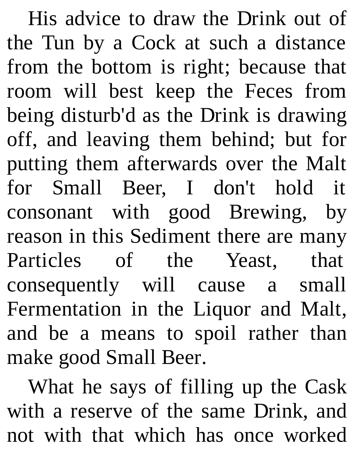His advice to draw the Drink out of the Tun by a Cock at such a distance from the bottom is right; because that room will best keep the Feces from being disturb'd as the Drink is drawing off, and leaving them behind; but for putting them afterwards over the Malt for Small Beer, I don't hold it consonant with good Brewing, by reason in this Sediment there are many Particles of the Yeast, that consequently will cause a small Fermentation in the Liquor and Malt, and be a means to spoil rather than make good Small Beer.

What he says of filling up the Cask with a reserve of the same Drink, and not with that which has once worked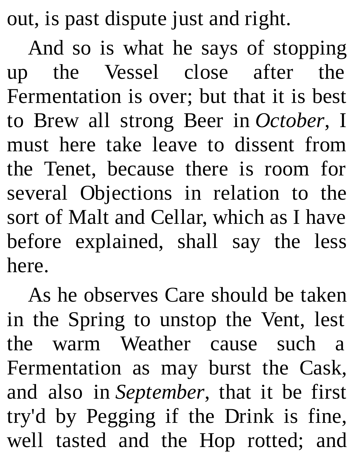out, is past dispute just and right.

And so is what he says of stopping up the Vessel close after the Fermentation is over; but that it is best to Brew all strong Beer in *October*, I must here take leave to dissent from the Tenet, because there is room for several Objections in relation to the sort of Malt and Cellar, which as I have before explained, shall say the less here.

As he observes Care should be taken in the Spring to unstop the Vent, lest the warm Weather cause such a Fermentation as may burst the Cask, and also in *September*, that it be first try'd by Pegging if the Drink is fine, well tasted and the Hop rotted; and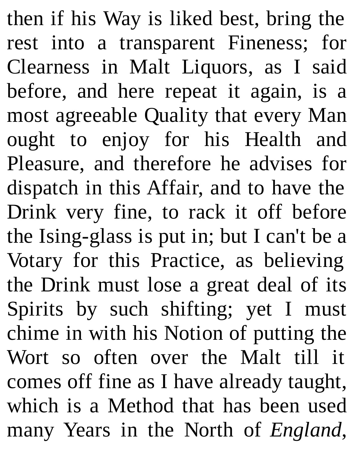then if his Way is liked best, bring the rest into a transparent Fineness; for Clearness in Malt Liquors, as I said before, and here repeat it again, is a most agreeable Quality that every Man ought to enjoy for his Health and Pleasure, and therefore he advises for dispatch in this Affair, and to have the Drink very fine, to rack it off before the Ising-glass is put in; but I can't be a Votary for this Practice, as believing the Drink must lose a great deal of its Spirits by such shifting; yet I must chime in with his Notion of putting the Wort so often over the Malt till it comes off fine as I have already taught, which is a Method that has been used many Years in the North of *England*,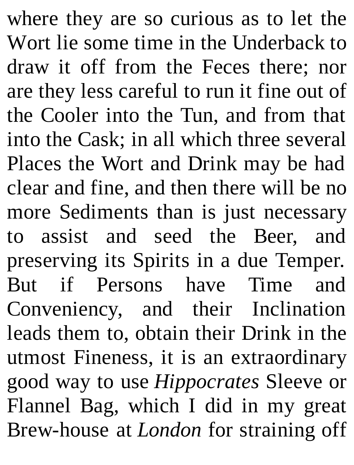where they are so curious as to let the Wort lie some time in the Underback to draw it off from the Feces there; nor are they less careful to run it fine out of the Cooler into the Tun, and from that into the Cask; in all which three several Places the Wort and Drink may be had clear and fine, and then there will be no more Sediments than is just necessary to assist and seed the Beer, and preserving its Spirits in a due Temper. But if Persons have Time and Conveniency, and their Inclination leads them to, obtain their Drink in the utmost Fineness, it is an extraordinary good way to use *Hippocrates* Sleeve or Flannel Bag, which I did in my great Brew-house at *London* for straining off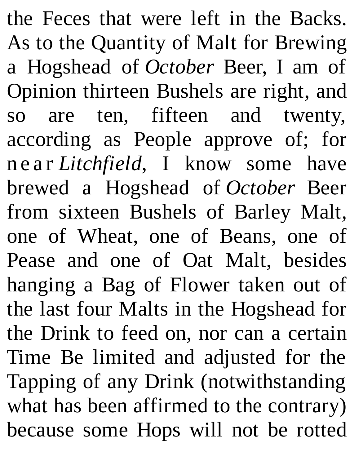the Feces that were left in the Backs. As to the Quantity of Malt for Brewing a Hogshead of *October* Beer, I am of Opinion thirteen Bushels are right, and so are ten, fifteen and twenty, according as People approve of; for n e a r *Litchfield*, I know some have brewed a Hogshead of *October* Beer from sixteen Bushels of Barley Malt, one of Wheat, one of Beans, one of Pease and one of Oat Malt, besides hanging a Bag of Flower taken out of the last four Malts in the Hogshead for the Drink to feed on, nor can a certain Time Be limited and adjusted for the Tapping of any Drink (notwithstanding what has been affirmed to the contrary) because some Hops will not be rotted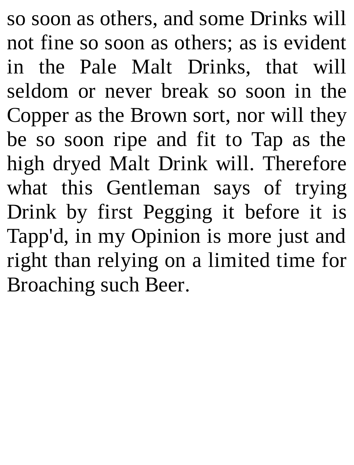so soon as others, and some Drinks will not fine so soon as others; as is evident in the Pale Malt Drinks, that will seldom or never break so soon in the Copper as the Brown sort, nor will they be so soon ripe and fit to Tap as the high dryed Malt Drink will. Therefore what this Gentleman says of trying Drink by first Pegging it before it is Tapp'd, in my Opinion is more just and right than relying on a limited time for Broaching such Beer.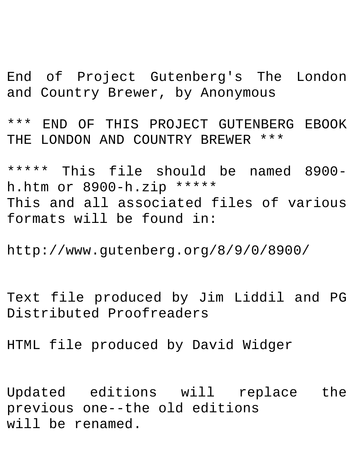End of Project Gutenberg's The London and Country Brewer, by Anonymous

\*\*\* END OF THIS PROJECT GUTENBERG EBOOK THE LONDON AND COUNTRY BREWER \*\*\*

\*\*\*\*\* This file should be named 8900 h.htm or 8900-h.zip \*\*\*\*\* This and all associated files of various formats will be found in:

http://www.gutenberg.org/8/9/0/8900/

Text file produced by Jim Liddil and PG Distributed Proofreaders

HTML file produced by David Widger

Updated editions will replace the previous one--the old editions will be renamed.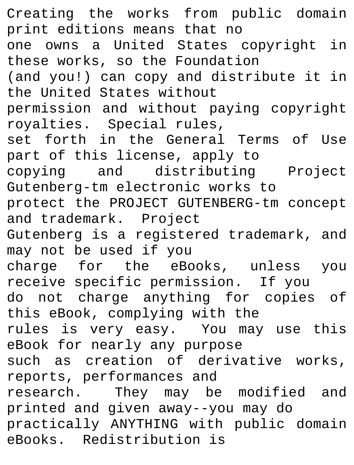Creating the works from public domain print editions means that no one owns a United States copyright in these works, so the Foundation (and you!) can copy and distribute it in the United States without permission and without paying copyright royalties. Special rules, set forth in the General Terms of Use part of this license, apply to copying and distributing Project Gutenberg-tm electronic works to protect the PROJECT GUTENBERG-tm concept and trademark. Project Gutenberg is a registered trademark, and may not be used if you charge for the eBooks, unless you receive specific permission. If you do not charge anything for copies of this eBook, complying with the rules is very easy. You may use this eBook for nearly any purpose such as creation of derivative works, reports, performances and research. They may be modified and printed and given away--you may do practically ANYTHING with public domain eBooks. Redistribution is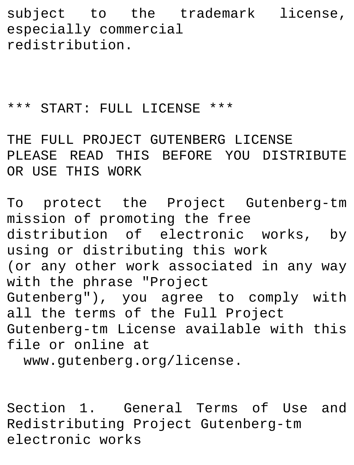subject to the trademark license, especially commercial redistribution.

## \*\*\* START: FULL LICENSE \*\*\*

THE FULL PROJECT GUTENBERG LICENSE PLEASE READ THIS BEFORE YOU DISTRIBUTE OR USE THIS WORK

To protect the Project Gutenberg-tm mission of promoting the free distribution of electronic works, by using or distributing this work (or any other work associated in any way with the phrase "Project Gutenberg"), you agree to comply with all the terms of the Full Project Gutenberg-tm License available with this file or online at www.gutenberg.org/license.

Section 1. General Terms of Use and Redistributing Project Gutenberg-tm electronic works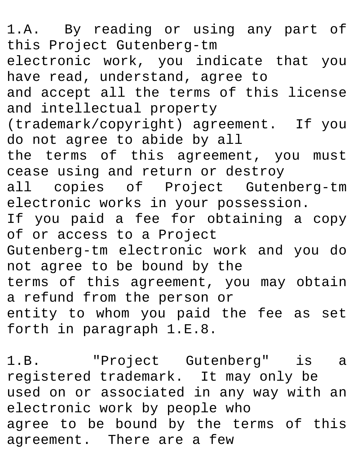1.A. By reading or using any part of this Project Gutenberg-tm electronic work, you indicate that you have read, understand, agree to and accept all the terms of this license and intellectual property (trademark/copyright) agreement. If you do not agree to abide by all the terms of this agreement, you must cease using and return or destroy all copies of Project Gutenberg-tm electronic works in your possession. If you paid a fee for obtaining a copy of or access to a Project Gutenberg-tm electronic work and you do not agree to be bound by the terms of this agreement, you may obtain a refund from the person or entity to whom you paid the fee as set forth in paragraph 1.E.8.

1.B. "Project Gutenberg" is a registered trademark. It may only be used on or associated in any way with an electronic work by people who agree to be bound by the terms of this agreement. There are a few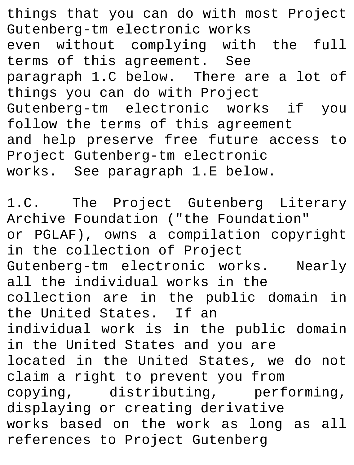things that you can do with most Project Gutenberg-tm electronic works even without complying with the full terms of this agreement. See paragraph 1.C below. There are a lot of things you can do with Project Gutenberg-tm electronic works if you follow the terms of this agreement and help preserve free future access to Project Gutenberg-tm electronic works. See paragraph 1.E below.

1.C. The Project Gutenberg Literary Archive Foundation ("the Foundation" or PGLAF), owns a compilation copyright in the collection of Project Gutenberg-tm electronic works. Nearly all the individual works in the collection are in the public domain in the United States. If an individual work is in the public domain in the United States and you are located in the United States, we do not claim a right to prevent you from copying, distributing, performing, displaying or creating derivative works based on the work as long as all references to Project Gutenberg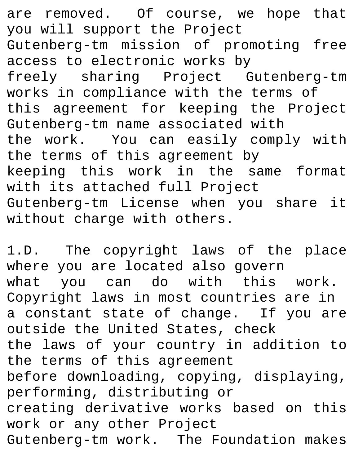are removed. Of course, we hope that you will support the Project Gutenberg-tm mission of promoting free access to electronic works by freely sharing Project Gutenberg-tm works in compliance with the terms of this agreement for keeping the Project Gutenberg-tm name associated with the work. You can easily comply with the terms of this agreement by keeping this work in the same format with its attached full Project Gutenberg-tm License when you share it without charge with others.

1.D. The copyright laws of the place where you are located also govern what you can do with this work. Copyright laws in most countries are in a constant state of change. If you are outside the United States, check the laws of your country in addition to the terms of this agreement before downloading, copying, displaying, performing, distributing or creating derivative works based on this work or any other Project Gutenberg-tm work. The Foundation makes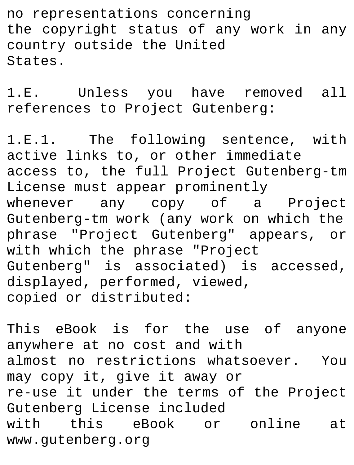no representations concerning the copyright status of any work in any country outside the United States.

1.E. Unless you have removed all references to Project Gutenberg:

1.E.1. The following sentence, with active links to, or other immediate access to, the full Project Gutenberg-tm License must appear prominently whenever any copy of a Project Gutenberg-tm work (any work on which the phrase "Project Gutenberg" appears, or with which the phrase "Project Gutenberg" is associated) is accessed, displayed, performed, viewed, copied or distributed:

This eBook is for the use of anyone anywhere at no cost and with almost no restrictions whatsoever. You may copy it, give it away or re-use it under the terms of the Project Gutenberg License included with this eBook or online at www.gutenberg.org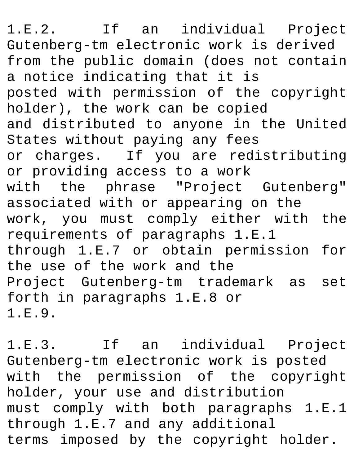1.E.2. If an individual Project Gutenberg-tm electronic work is derived from the public domain (does not contain a notice indicating that it is posted with permission of the copyright holder), the work can be copied and distributed to anyone in the United States without paying any fees or charges. If you are redistributing or providing access to a work with the phrase "Project Gutenberg" associated with or appearing on the work, you must comply either with the requirements of paragraphs 1.E.1 through 1.E.7 or obtain permission for the use of the work and the Project Gutenberg-tm trademark as set forth in paragraphs 1.E.8 or 1.E.9.

1.E.3. If an individual Project Gutenberg-tm electronic work is posted with the permission of the copyright holder, your use and distribution must comply with both paragraphs 1.E.1 through 1.E.7 and any additional terms imposed by the copyright holder.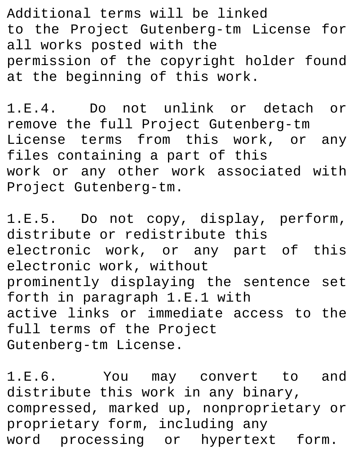Additional terms will be linked to the Project Gutenberg-tm License for all works posted with the permission of the copyright holder found at the beginning of this work.

1.E.4. Do not unlink or detach or remove the full Project Gutenberg-tm License terms from this work, or any files containing a part of this work or any other work associated with Project Gutenberg-tm.

1.E.5. Do not copy, display, perform, distribute or redistribute this electronic work, or any part of this electronic work, without prominently displaying the sentence set forth in paragraph 1.E.1 with active links or immediate access to the full terms of the Project Gutenberg-tm License.

1.E.6. You may convert to and distribute this work in any binary, compressed, marked up, nonproprietary or proprietary form, including any word processing or hypertext form.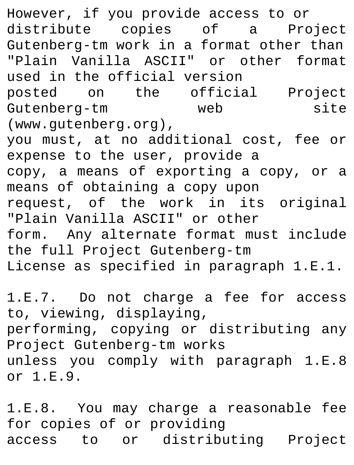However, if you provide access to or distribute copies of a Project Gutenberg-tm work in a format other than "Plain Vanilla ASCII" or other format used in the official version posted on the official Project Gutenberg-tm web site (www.gutenberg.org), you must, at no additional cost, fee or expense to the user, provide a copy, a means of exporting a copy, or a means of obtaining a copy upon request, of the work in its original "Plain Vanilla ASCII" or other form. Any alternate format must include the full Project Gutenberg-tm License as specified in paragraph 1.E.1.

1.E.7. Do not charge a fee for access to, viewing, displaying, performing, copying or distributing any Project Gutenberg-tm works unless you comply with paragraph 1.E.8 or 1.E.9.

1.E.8. You may charge a reasonable fee for copies of or providing access to or distributing Project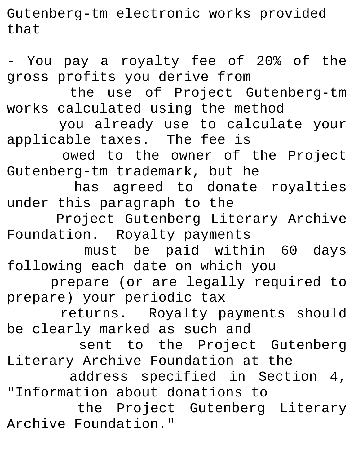Gutenberg-tm electronic works provided that

- You pay a royalty fee of 20% of the gross profits you derive from the use of Project Gutenberg-tm works calculated using the method you already use to calculate your applicable taxes. The fee is owed to the owner of the Project Gutenberg-tm trademark, but he has agreed to donate royalties under this paragraph to the Project Gutenberg Literary Archive Foundation. Royalty payments must be paid within 60 days following each date on which you prepare (or are legally required to prepare) your periodic tax returns. Royalty payments should be clearly marked as such and sent to the Project Gutenberg Literary Archive Foundation at the address specified in Section 4, "Information about donations to the Project Gutenberg Literary Archive Foundation."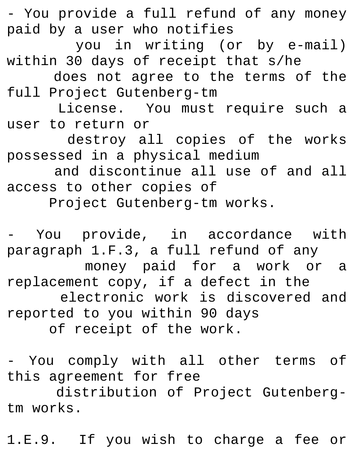- You provide a full refund of any money paid by a user who notifies you in writing (or by e-mail) within 30 days of receipt that s/he does not agree to the terms of the full Project Gutenberg-tm License. You must require such a user to return or destroy all copies of the works possessed in a physical medium and discontinue all use of and all access to other copies of Project Gutenberg-tm works.

- You provide, in accordance with paragraph 1.F.3, a full refund of any money paid for a work or a replacement copy, if a defect in the electronic work is discovered and reported to you within 90 days of receipt of the work.

- You comply with all other terms of this agreement for free

distribution of Project Gutenbergtm works.

1.E.9. If you wish to charge a fee or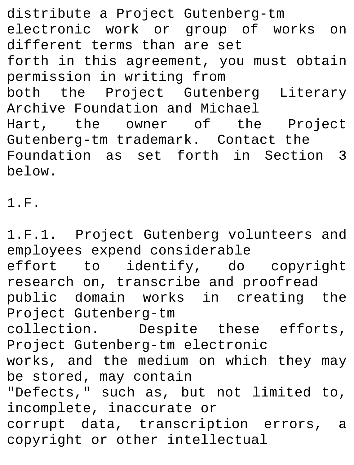distribute a Project Gutenberg-tm electronic work or group of works on different terms than are set forth in this agreement, you must obtain permission in writing from both the Project Gutenberg Literary Archive Foundation and Michael Hart, the owner of the Project Gutenberg-tm trademark. Contact the Foundation as set forth in Section 3 below.

1.F.

1.F.1. Project Gutenberg volunteers and employees expend considerable effort to identify, do copyright research on, transcribe and proofread public domain works in creating the .<br>Project Gutenberg-tm collection. Despite these efforts, Project Gutenberg-tm electronic works, and the medium on which they may be stored, may contain "Defects," such as, but not limited to, incomplete, inaccurate or corrupt data, transcription errors, a copyright or other intellectual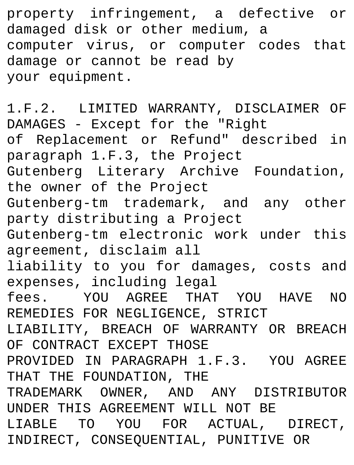property infringement, a defective or damaged disk or other medium, a computer virus, or computer codes that damage or cannot be read by your equipment.

1.F.2. LIMITED WARRANTY, DISCLAIMER OF DAMAGES - Except for the "Right of Replacement or Refund" described in paragraph 1.F.3, the Project Gutenberg Literary Archive Foundation, the owner of the Project Gutenberg-tm trademark, and any other party distributing a Project Gutenberg-tm electronic work under this agreement, disclaim all liability to you for damages, costs and expenses, including legal fees. YOU AGREE THAT YOU HAVE NO REMEDIES FOR NEGLIGENCE, STRICT LIABILITY, BREACH OF WARRANTY OR BREACH OF CONTRACT EXCEPT THOSE PROVIDED IN PARAGRAPH 1.F.3. YOU AGREE THAT THE FOUNDATION, THE TRADEMARK OWNER, AND ANY DISTRIBUTOR UNDER THIS AGREEMENT WILL NOT BE LIABLE TO YOU FOR ACTUAL, DIRECT, INDIRECT, CONSEQUENTIAL, PUNITIVE OR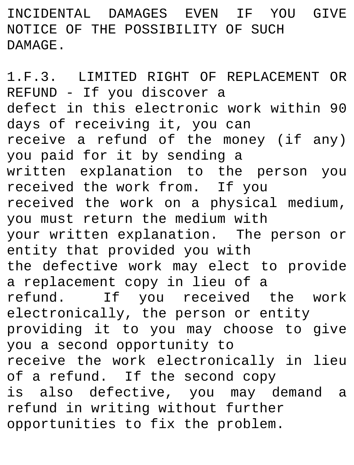INCIDENTAL DAMAGES EVEN IF YOU GIVE NOTICE OF THE POSSIBILITY OF SUCH DAMAGE.

1.F.3. LIMITED RIGHT OF REPLACEMENT OR REFUND - If you discover a defect in this electronic work within 90 days of receiving it, you can receive a refund of the money (if any) you paid for it by sending a written explanation to the person you received the work from. If you received the work on a physical medium, you must return the medium with your written explanation. The person or entity that provided you with the defective work may elect to provide a replacement copy in lieu of a refund. If you received the work electronically, the person or entity providing it to you may choose to give you a second opportunity to receive the work electronically in lieu of a refund. If the second copy is also defective, you may demand a refund in writing without further opportunities to fix the problem.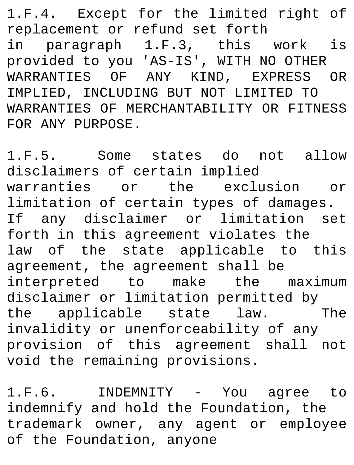1.F.4. Except for the limited right of replacement or refund set forth in paragraph 1.F.3, this work is provided to you 'AS-IS', WITH NO OTHER WARRANTIES OF ANY KIND, EXPRESS OR IMPLIED, INCLUDING BUT NOT LIMITED TO WARRANTIES OF MERCHANTABILITY OR FITNESS FOR ANY PURPOSE.

1.F.5. Some states do not allow disclaimers of certain implied warranties or the exclusion or limitation of certain types of damages. If any disclaimer or limitation set forth in this agreement violates the law of the state applicable to this agreement, the agreement shall be interpreted to make the maximum disclaimer or limitation permitted by the applicable state law. The invalidity or unenforceability of any provision of this agreement shall not void the remaining provisions.

1.F.6. INDEMNITY - You agree to indemnify and hold the Foundation, the trademark owner, any agent or employee of the Foundation, anyone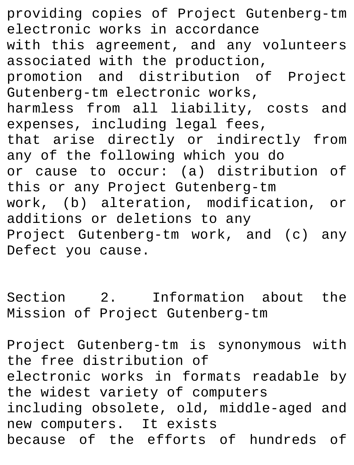providing copies of Project Gutenberg-tm electronic works in accordance with this agreement, and any volunteers associated with the production, promotion and distribution of Project Gutenberg-tm electronic works, harmless from all liability, costs and expenses, including legal fees, that arise directly or indirectly from any of the following which you do or cause to occur: (a) distribution of this or any Project Gutenberg-tm work, (b) alteration, modification, or additions or deletions to any Project Gutenberg-tm work, and (c) any Defect you cause.

Section 2. Information about the Mission of Project Gutenberg-tm

Project Gutenberg-tm is synonymous with the free distribution of electronic works in formats readable by the widest variety of computers including obsolete, old, middle-aged and new computers. It exists because of the efforts of hundreds of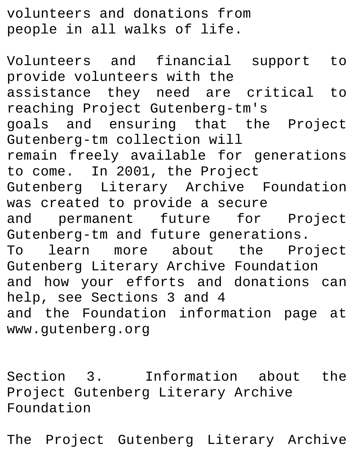volunteers and donations from people in all walks of life.

Volunteers and financial support to provide volunteers with the assistance they need are critical to reaching Project Gutenberg-tm's goals and ensuring that the Project Gutenberg-tm collection will remain freely available for generations to come. In 2001, the Project Gutenberg Literary Archive Foundation was created to provide a secure and permanent future for Project Gutenberg-tm and future generations. To learn more about the Project Gutenberg Literary Archive Foundation and how your efforts and donations can help, see Sections 3 and 4 and the Foundation information page at www.gutenberg.org

Section 3. Information about the Project Gutenberg Literary Archive Foundation

The Project Gutenberg Literary Archive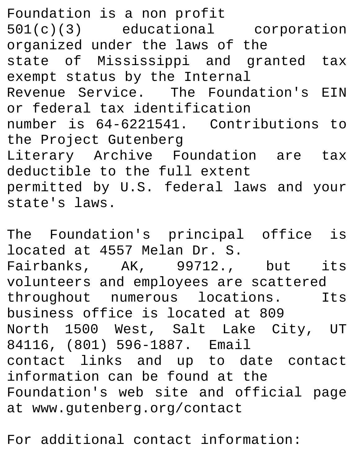Foundation is a non profit 501(c)(3) educational corporation organized under the laws of the state of Mississippi and granted tax exempt status by the Internal Revenue Service. The Foundation's EIN or federal tax identification number is 64-6221541. Contributions to the Project Gutenberg Literary Archive Foundation are tax deductible to the full extent permitted by U.S. federal laws and your state's laws.

The Foundation's principal office is located at 4557 Melan Dr. S. Fairbanks, AK, 99712., but its volunteers and employees are scattered throughout numerous locations. Its business office is located at 809 North 1500 West, Salt Lake City, UT 84116, (801) 596-1887. Email contact links and up to date contact information can be found at the Foundation's web site and official page at www.gutenberg.org/contact

For additional contact information: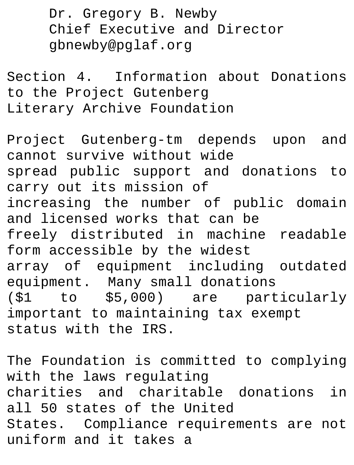Dr. Gregory B. Newby Chief Executive and Director gbnewby@pglaf.org

Section 4. Information about Donations to the Project Gutenberg Literary Archive Foundation

Project Gutenberg-tm depends upon and cannot survive without wide spread public support and donations to carry out its mission of increasing the number of public domain and licensed works that can be freely distributed in machine readable form accessible by the widest array of equipment including outdated equipment. Many small donations (\$1 to \$5,000) are particularly important to maintaining tax exempt status with the IRS.

The Foundation is committed to complying with the laws regulating charities and charitable donations in all 50 states of the United States. Compliance requirements are not uniform and it takes a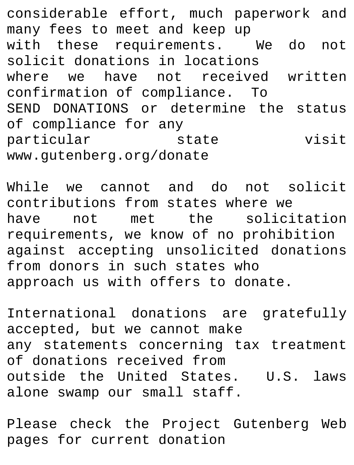considerable effort, much paperwork and many fees to meet and keep up with these requirements. We do not solicit donations in locations where we have not received written confirmation of compliance. To SEND DONATIONS or determine the status of compliance for any particular state visit www.gutenberg.org/donate

While we cannot and do not solicit contributions from states where we have not met the solicitation requirements, we know of no prohibition against accepting unsolicited donations from donors in such states who approach us with offers to donate.

International donations are gratefully accepted, but we cannot make any statements concerning tax treatment of donations received from outside the United States. U.S. laws alone swamp our small staff.

Please check the Project Gutenberg Web pages for current donation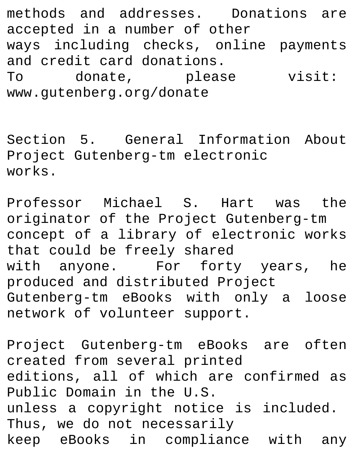methods and addresses. Donations are accepted in a number of other ways including checks, online payments and credit card donations. To donate, please visit: www.gutenberg.org/donate

Section 5. General Information About Project Gutenberg-tm electronic works.

Professor Michael S. Hart was the originator of the Project Gutenberg-tm concept of a library of electronic works that could be freely shared with anyone. For forty years, he produced and distributed Project Gutenberg-tm eBooks with only a loose network of volunteer support.

Project Gutenberg-tm eBooks are often created from several printed editions, all of which are confirmed as Public Domain in the U.S. unless a copyright notice is included. Thus, we do not necessarily keep eBooks in compliance with any